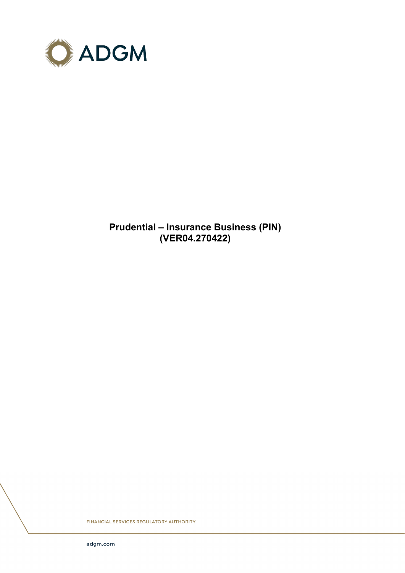

**Prudential – Insurance Business (PIN) (VER04.270422)**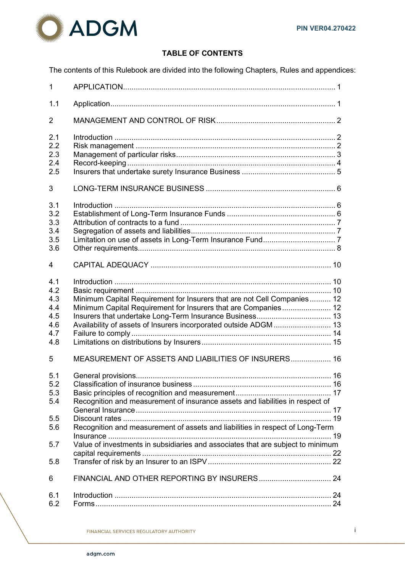i



# **TABLE OF CONTENTS**

The contents of this Rulebook are divided into the following Chapters, Rules and appendices:

| $\mathbf{1}$                                         |                                                                                                                                                                                                              |  |
|------------------------------------------------------|--------------------------------------------------------------------------------------------------------------------------------------------------------------------------------------------------------------|--|
| 1.1                                                  |                                                                                                                                                                                                              |  |
| 2                                                    |                                                                                                                                                                                                              |  |
| 2.1<br>2.2<br>2.3<br>2.4<br>2.5                      |                                                                                                                                                                                                              |  |
| 3                                                    |                                                                                                                                                                                                              |  |
| 3.1<br>3.2<br>3.3<br>3.4<br>3.5<br>3.6               |                                                                                                                                                                                                              |  |
| 4                                                    |                                                                                                                                                                                                              |  |
| 4.1<br>4.2<br>4.3<br>4.4<br>4.5<br>4.6<br>4.7<br>4.8 | Minimum Capital Requirement for Insurers that are not Cell Companies 12<br>Minimum Capital Requirement for Insurers that are Companies 12<br>Availability of assets of Insurers incorporated outside ADGM 13 |  |
| 5                                                    | MEASUREMENT OF ASSETS AND LIABILITIES OF INSURERS 16                                                                                                                                                         |  |
| 5.1<br>5.2<br>5.3<br>5.4                             | Recognition and measurement of insurance assets and liabilities in respect of                                                                                                                                |  |
| 5.5<br>5.6                                           | Recognition and measurement of assets and liabilities in respect of Long-Term                                                                                                                                |  |
| 5.7<br>5.8                                           | Value of investments in subsidiaries and associates that are subject to minimum                                                                                                                              |  |
| 6                                                    |                                                                                                                                                                                                              |  |
| 6.1<br>6.2                                           |                                                                                                                                                                                                              |  |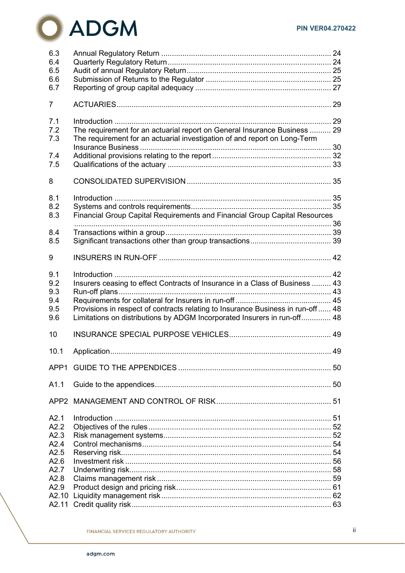

| 6.3<br>6.4<br>6.5<br>6.6<br>6.7                      |                                                                                                                                                                                                                                             |  |
|------------------------------------------------------|---------------------------------------------------------------------------------------------------------------------------------------------------------------------------------------------------------------------------------------------|--|
| $\overline{7}$                                       |                                                                                                                                                                                                                                             |  |
| 7.1<br>7.2<br>7.3<br>7.4<br>7.5                      | The requirement for an actuarial report on General Insurance Business  29<br>The requirement for an actuarial investigation of and report on Long-Term                                                                                      |  |
| 8                                                    |                                                                                                                                                                                                                                             |  |
| 8.1<br>8.2<br>8.3                                    | Financial Group Capital Requirements and Financial Group Capital Resources                                                                                                                                                                  |  |
| 8.4<br>8.5                                           |                                                                                                                                                                                                                                             |  |
| 9                                                    |                                                                                                                                                                                                                                             |  |
| 9.1<br>9.2<br>9.3<br>9.4<br>9.5<br>9.6               | Insurers ceasing to effect Contracts of Insurance in a Class of Business  43<br>Provisions in respect of contracts relating to Insurance Business in run-off 48<br>Limitations on distributions by ADGM Incorporated Insurers in run-off 48 |  |
| 10                                                   |                                                                                                                                                                                                                                             |  |
| 10.1                                                 |                                                                                                                                                                                                                                             |  |
| APP <sub>1</sub>                                     |                                                                                                                                                                                                                                             |  |
| A1.1                                                 |                                                                                                                                                                                                                                             |  |
|                                                      |                                                                                                                                                                                                                                             |  |
| A2.1<br>A2.2<br>A2.3<br>A2.4<br>A2.5<br>A2.6<br>A2.7 |                                                                                                                                                                                                                                             |  |
| A2.8<br>A2.9                                         |                                                                                                                                                                                                                                             |  |
| A2.10                                                |                                                                                                                                                                                                                                             |  |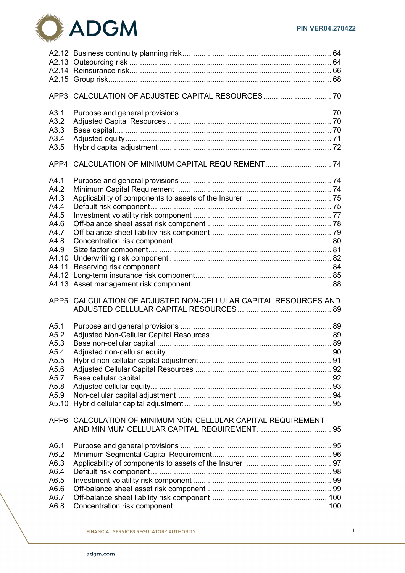

|              | APP3 CALCULATION OF ADJUSTED CAPITAL RESOURCES 70               |  |
|--------------|-----------------------------------------------------------------|--|
| A3.1<br>A3.2 |                                                                 |  |
| A3.3         |                                                                 |  |
| A3.4         |                                                                 |  |
| A3.5         |                                                                 |  |
|              | APP4 CALCULATION OF MINIMUM CAPITAL REQUIREMENT 74              |  |
| A4.1         |                                                                 |  |
| A4.2         |                                                                 |  |
| A4.3         |                                                                 |  |
| A4.4         |                                                                 |  |
| A4.5         |                                                                 |  |
| A4.6         |                                                                 |  |
| A4.7         |                                                                 |  |
| A4.8         |                                                                 |  |
| A4.9         |                                                                 |  |
| A4.10        |                                                                 |  |
|              |                                                                 |  |
|              |                                                                 |  |
|              |                                                                 |  |
|              | APP5 CALCULATION OF ADJUSTED NON-CELLULAR CAPITAL RESOURCES AND |  |
|              |                                                                 |  |
| A5.1         |                                                                 |  |
| A5.2         |                                                                 |  |
| A5.3         |                                                                 |  |
| A5.4<br>A5.5 |                                                                 |  |
| A5.6         |                                                                 |  |
| A5.7         |                                                                 |  |
| A5.8         |                                                                 |  |
| A5.9         |                                                                 |  |
| A5.10        |                                                                 |  |
|              |                                                                 |  |
|              | APP6 CALCULATION OF MINIMUM NON-CELLULAR CAPITAL REQUIREMENT    |  |
| A6.1         |                                                                 |  |
| A6.2         |                                                                 |  |
| A6.3         |                                                                 |  |
| A6.4         |                                                                 |  |
| A6.5         |                                                                 |  |
| A6.6         |                                                                 |  |
| A6.7         |                                                                 |  |
| A6.8         |                                                                 |  |
|              |                                                                 |  |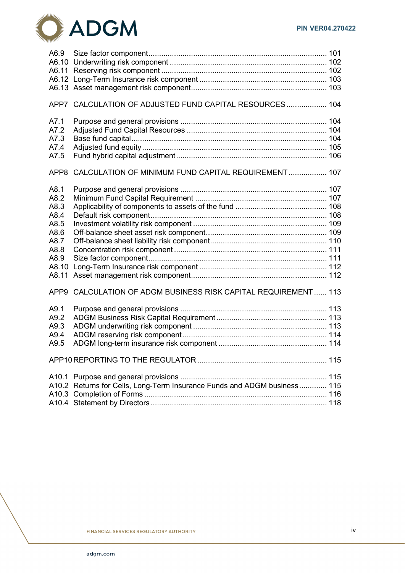

| A6.9                                                                                   |                                                                          |  |
|----------------------------------------------------------------------------------------|--------------------------------------------------------------------------|--|
|                                                                                        | APP7 CALCULATION OF ADJUSTED FUND CAPITAL RESOURCES 104                  |  |
| A7.1<br>A7.2<br>A7.3<br>A7.4<br>A7.5                                                   |                                                                          |  |
|                                                                                        | APP8 CALCULATION OF MINIMUM FUND CAPITAL REQUIREMENT 107                 |  |
| A8.1<br>A8.2<br>A8.3<br>A8.4<br>A8.5<br>A8.6<br>A8.7<br>A8.8<br>A8.9<br>A8.10<br>A8.11 | APP9 CALCULATION OF ADGM BUSINESS RISK CAPITAL REQUIREMENT 113           |  |
|                                                                                        |                                                                          |  |
| A9.1<br>A9.2<br>A9.3<br>A9.4<br>A9.5                                                   |                                                                          |  |
|                                                                                        |                                                                          |  |
|                                                                                        | A10.2 Returns for Cells, Long-Term Insurance Funds and ADGM business 115 |  |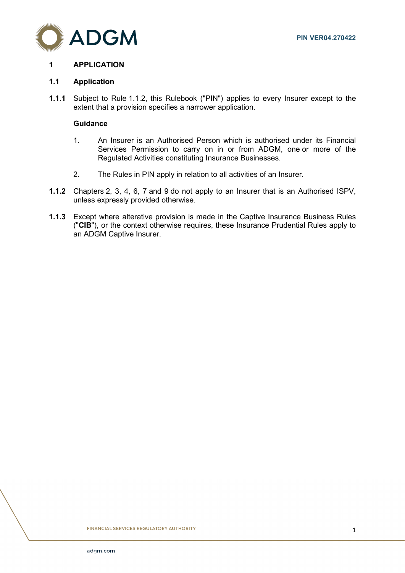

# <span id="page-5-0"></span>**1 APPLICATION**

### <span id="page-5-1"></span>**1.1 Application**

**1.1.1** Subject to Rule [1.1.2,](#page-5-2) this Rulebook ("PIN") applies to every Insurer except to the extent that a provision specifies a narrower application.

### **Guidance**

- 1. An Insurer is an Authorised Person which is authorised under its Financial Services Permission to carry on in or from ADGM, one or more of the Regulated Activities constituting Insurance Businesses.
- 2. The Rules in PIN apply in relation to all activities of an Insurer.
- <span id="page-5-2"></span>**1.1.2** Chapters [2,](#page-6-0) [3,](#page-10-0) [4,](#page-14-0) [6,](#page-28-0) [7](#page-33-0) and [9](#page-46-0) do not apply to an Insurer that is an Authorised ISPV, unless expressly provided otherwise.
- **1.1.3** Except where alterative provision is made in the Captive Insurance Business Rules ("**CIB**"), or the context otherwise requires, these Insurance Prudential Rules apply to an ADGM Captive Insurer.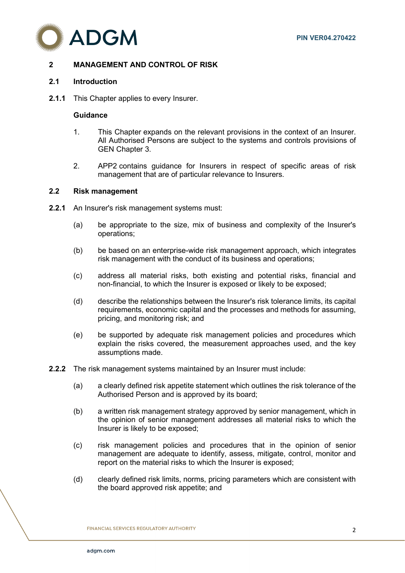

# <span id="page-6-0"></span>**2 MANAGEMENT AND CONTROL OF RISK**

### <span id="page-6-1"></span>**2.1 Introduction**

<span id="page-6-3"></span>**2.1.1** This Chapter applies to every Insurer.

# **Guidance**

- 1. This Chapter expands on the relevant provisions in the context of an Insurer. All Authorised Persons are subject to the systems and controls provisions of GEN Chapter 3.
- 2. [APP2](#page-55-0) contains guidance for Insurers in respect of specific areas of risk management that are of particular relevance to Insurers.

### <span id="page-6-2"></span>**2.2 Risk management**

- **2.2.1** An Insurer's risk management systems must:
	- (a) be appropriate to the size, mix of business and complexity of the Insurer's operations;
	- (b) be based on an enterprise-wide risk management approach, which integrates risk management with the conduct of its business and operations;
	- (c) address all material risks, both existing and potential risks, financial and non-financial, to which the Insurer is exposed or likely to be exposed;
	- (d) describe the relationships between the Insurer's risk tolerance limits, its capital requirements, economic capital and the processes and methods for assuming, pricing, and monitoring risk; and
	- (e) be supported by adequate risk management policies and procedures which explain the risks covered, the measurement approaches used, and the key assumptions made.
- <span id="page-6-4"></span>**2.2.2** The risk management systems maintained by an Insurer must include:
	- (a) a clearly defined risk appetite statement which outlines the risk tolerance of the Authorised Person and is approved by its board;
	- (b) a written risk management strategy approved by senior management, which in the opinion of senior management addresses all material risks to which the Insurer is likely to be exposed;
	- (c) risk management policies and procedures that in the opinion of senior management are adequate to identify, assess, mitigate, control, monitor and report on the material risks to which the Insurer is exposed;
	- (d) clearly defined risk limits, norms, pricing parameters which are consistent with the board approved risk appetite; and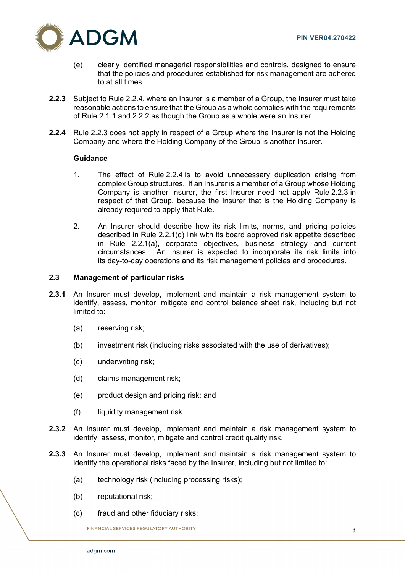

- (e) clearly identified managerial responsibilities and controls, designed to ensure that the policies and procedures established for risk management are adhered to at all times.
- <span id="page-7-2"></span>**2.2.3** Subject to Rule [2.2.4,](#page-7-1) where an Insurer is a member of a Group, the Insurer must take reasonable actions to ensure that the Group as a whole complies with the requirements of Rule [2.1.1](#page-6-3) and [2.2.2](#page-6-4) as though the Group as a whole were an Insurer.
- <span id="page-7-1"></span>**2.2.4** Rule [2.2.3](#page-7-2) does not apply in respect of a Group where the Insurer is not the Holding Company and where the Holding Company of the Group is another Insurer.

- 1. The effect of Rule [2.2.4](#page-7-1) is to avoid unnecessary duplication arising from complex Group structures. If an Insurer is a member of a Group whose Holding Company is another Insurer, the first Insurer need not apply Rule [2.2.3](#page-7-2) in respect of that Group, because the Insurer that is the Holding Company is already required to apply that Rule.
- 2. An Insurer should describe how its risk limits, norms, and pricing policies described in Rule 2.2.1(d) link with its board approved risk appetite described in Rule 2.2.1(a), corporate objectives, business strategy and current circumstances. An Insurer is expected to incorporate its risk limits into its day-to-day operations and its risk management policies and procedures.

#### <span id="page-7-0"></span>**2.3 Management of particular risks**

- **2.3.1** An Insurer must develop, implement and maintain a risk management system to identify, assess, monitor, mitigate and control balance sheet risk, including but not limited to:
	- (a) reserving risk;
	- (b) investment risk (including risks associated with the use of derivatives);
	- (c) underwriting risk;
	- (d) claims management risk;
	- (e) product design and pricing risk; and
	- (f) liquidity management risk.
- **2.3.2** An Insurer must develop, implement and maintain a risk management system to identify, assess, monitor, mitigate and control credit quality risk.
- **2.3.3** An Insurer must develop, implement and maintain a risk management system to identify the operational risks faced by the Insurer, including but not limited to:
	- (a) technology risk (including processing risks);
	- (b) reputational risk;
	- (c) fraud and other fiduciary risks;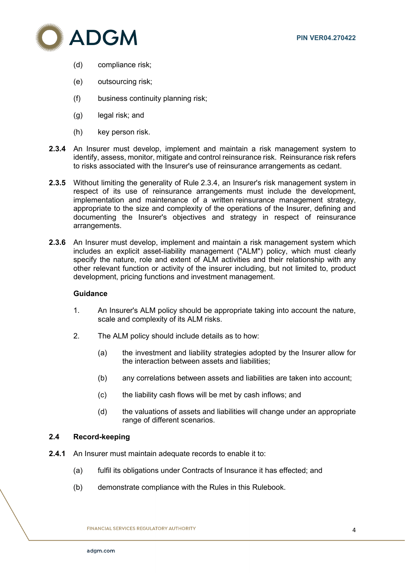

- (d) compliance risk;
- (e) outsourcing risk;
- (f) business continuity planning risk;
- (g) legal risk; and
- (h) key person risk.
- <span id="page-8-1"></span>**2.3.4** An Insurer must develop, implement and maintain a risk management system to identify, assess, monitor, mitigate and control reinsurance risk. Reinsurance risk refers to risks associated with the Insurer's use of reinsurance arrangements as cedant.
- **2.3.5** Without limiting the generality of Rule [2.3.4,](#page-8-1) an Insurer's risk management system in respect of its use of reinsurance arrangements must include the development, implementation and maintenance of a written reinsurance management strategy, appropriate to the size and complexity of the operations of the Insurer, defining and documenting the Insurer's objectives and strategy in respect of reinsurance arrangements.
- **2.3.6** An Insurer must develop, implement and maintain a risk management system which includes an explicit asset-liability management ("ALM") policy, which must clearly specify the nature, role and extent of ALM activities and their relationship with any other relevant function or activity of the insurer including, but not limited to, product development, pricing functions and investment management.

- 1. An Insurer's ALM policy should be appropriate taking into account the nature, scale and complexity of its ALM risks.
- 2. The ALM policy should include details as to how:
	- (a) the investment and liability strategies adopted by the Insurer allow for the interaction between assets and liabilities;
	- (b) any correlations between assets and liabilities are taken into account;
	- (c) the liability cash flows will be met by cash inflows; and
	- (d) the valuations of assets and liabilities will change under an appropriate range of different scenarios.

# <span id="page-8-0"></span>**2.4 Record-keeping**

- **2.4.1** An Insurer must maintain adequate records to enable it to:
	- (a) fulfil its obligations under Contracts of Insurance it has effected; and
	- (b) demonstrate compliance with the Rules in this Rulebook.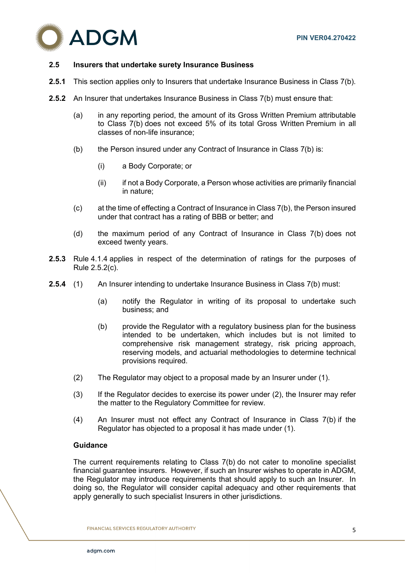# <span id="page-9-0"></span>**2.5 Insurers that undertake surety Insurance Business**

- **2.5.1** This section applies only to Insurers that undertake Insurance Business in Class 7(b).
- **2.5.2** An Insurer that undertakes Insurance Business in Class 7(b) must ensure that:
	- (a) in any reporting period, the amount of its Gross Written Premium attributable to Class 7(b) does not exceed 5% of its total Gross Written Premium in all classes of non-life insurance;
	- (b) the Person insured under any Contract of Insurance in Class 7(b) is:
		- (i) a Body Corporate; or
		- (ii) if not a Body Corporate, a Person whose activities are primarily financial in nature;
	- (c) at the time of effecting a Contract of Insurance in Class 7(b), the Person insured under that contract has a rating of BBB or better; and
	- (d) the maximum period of any Contract of Insurance in Class 7(b) does not exceed twenty years.
- <span id="page-9-1"></span>**2.5.3** Rule [4.1.4](#page-14-3) applies in respect of the determination of ratings for the purposes of Rule [2.5.2\(c\).](#page-9-1)
- **2.5.4** (1) An Insurer intending to undertake Insurance Business in Class 7(b) must:
	- (a) notify the Regulator in writing of its proposal to undertake such business; and
	- (b) provide the Regulator with a regulatory business plan for the business intended to be undertaken, which includes but is not limited to comprehensive risk management strategy, risk pricing approach, reserving models, and actuarial methodologies to determine technical provisions required.
	- (2) The Regulator may object to a proposal made by an Insurer under (1).
	- (3) If the Regulator decides to exercise its power under (2), the Insurer may refer the matter to the Regulatory Committee for review.
	- (4) An Insurer must not effect any Contract of Insurance in Class 7(b) if the Regulator has objected to a proposal it has made under (1).

### **Guidance**

The current requirements relating to Class 7(b) do not cater to monoline specialist financial guarantee insurers. However, if such an Insurer wishes to operate in ADGM, the Regulator may introduce requirements that should apply to such an Insurer. In doing so, the Regulator will consider capital adequacy and other requirements that apply generally to such specialist Insurers in other jurisdictions.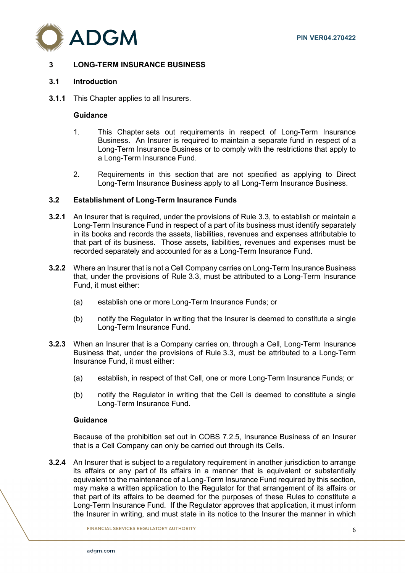

# <span id="page-10-0"></span>**3 LONG-TERM INSURANCE BUSINESS**

# <span id="page-10-1"></span>**3.1 Introduction**

**3.1.1** This Chapter applies to all Insurers.

# **Guidance**

- 1. This Chapter sets out requirements in respect of Long-Term Insurance Business. An Insurer is required to maintain a separate fund in respect of a Long-Term Insurance Business or to comply with the restrictions that apply to a Long-Term Insurance Fund.
- 2. Requirements in this section that are not specified as applying to Direct Long-Term Insurance Business apply to all Long-Term Insurance Business.

# <span id="page-10-2"></span>**3.2 Establishment of Long-Term Insurance Funds**

- **3.2.1** An Insurer that is required, under the provisions of Rule [3.3,](#page-11-0) to establish or maintain a Long-Term Insurance Fund in respect of a part of its business must identify separately in its books and records the assets, liabilities, revenues and expenses attributable to that part of its business. Those assets, liabilities, revenues and expenses must be recorded separately and accounted for as a Long-Term Insurance Fund.
- **3.2.2** Where an Insurer that is not a Cell Company carries on Long-Term Insurance Business that, under the provisions of Rule [3.3,](#page-11-0) must be attributed to a Long-Term Insurance Fund, it must either:
	- (a) establish one or more Long-Term Insurance Funds; or
	- (b) notify the Regulator in writing that the Insurer is deemed to constitute a single Long-Term Insurance Fund.
- <span id="page-10-3"></span>**3.2.3** When an Insurer that is a Company carries on, through a Cell, Long-Term Insurance Business that, under the provisions of Rule [3.3,](#page-11-0) must be attributed to a Long-Term Insurance Fund, it must either:
	- (a) establish, in respect of that Cell, one or more Long-Term Insurance Funds; or
	- (b) notify the Regulator in writing that the Cell is deemed to constitute a single Long-Term Insurance Fund.

#### <span id="page-10-4"></span>**Guidance**

Because of the prohibition set out in COBS 7.2.5, Insurance Business of an Insurer that is a Cell Company can only be carried out through its Cells.

**3.2.4** An Insurer that is subject to a regulatory requirement in another jurisdiction to arrange its affairs or any part of its affairs in a manner that is equivalent or substantially equivalent to the maintenance of a Long-Term Insurance Fund required by this section, may make a written application to the Regulator for that arrangement of its affairs or that part of its affairs to be deemed for the purposes of these Rules to constitute a Long-Term Insurance Fund. If the Regulator approves that application, it must inform the Insurer in writing, and must state in its notice to the Insurer the manner in which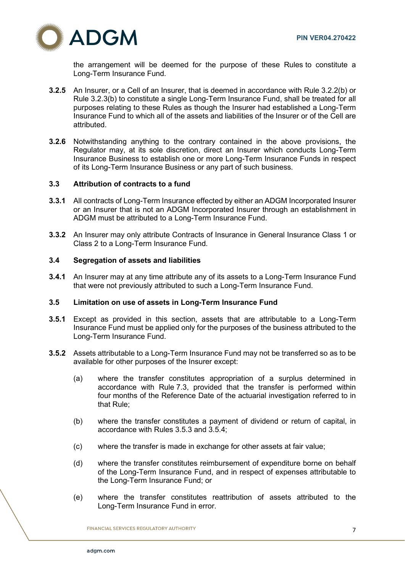

the arrangement will be deemed for the purpose of these Rules to constitute a Long-Term Insurance Fund.

- **3.2.5** An Insurer, or a Cell of an Insurer, that is deemed in accordance with Rule [3.2.2\(b\)](#page-10-3) or Rule [3.2.3\(b\)](#page-10-4) to constitute a single Long-Term Insurance Fund, shall be treated for all purposes relating to these Rules as though the Insurer had established a Long-Term Insurance Fund to which all of the assets and liabilities of the Insurer or of the Cell are attributed.
- **3.2.6** Notwithstanding anything to the contrary contained in the above provisions, the Regulator may, at its sole discretion, direct an Insurer which conducts Long-Term Insurance Business to establish one or more Long-Term Insurance Funds in respect of its Long-Term Insurance Business or any part of such business.

# <span id="page-11-0"></span>**3.3 Attribution of contracts to a fund**

- **3.3.1** All contracts of Long-Term Insurance effected by either an ADGM Incorporated Insurer or an Insurer that is not an ADGM Incorporated Insurer through an establishment in ADGM must be attributed to a Long-Term Insurance Fund.
- <span id="page-11-3"></span>**3.3.2** An Insurer may only attribute Contracts of Insurance in General Insurance Class 1 or Class 2 to a Long-Term Insurance Fund.

#### <span id="page-11-1"></span>**3.4 Segregation of assets and liabilities**

**3.4.1** An Insurer may at any time attribute any of its assets to a Long-Term Insurance Fund that were not previously attributed to such a Long-Term Insurance Fund.

# <span id="page-11-2"></span>**3.5 Limitation on use of assets in Long-Term Insurance Fund**

- **3.5.1** Except as provided in this section, assets that are attributable to a Long-Term Insurance Fund must be applied only for the purposes of the business attributed to the Long-Term Insurance Fund.
- **3.5.2** Assets attributable to a Long-Term Insurance Fund may not be transferred so as to be available for other purposes of the Insurer except:
	- (a) where the transfer constitutes appropriation of a surplus determined in accordance with Rule [7.3,](#page-34-0) provided that the transfer is performed within four months of the Reference Date of the actuarial investigation referred to in that Rule;
	- (b) where the transfer constitutes a payment of dividend or return of capital, in accordance with Rules [3.5.3](#page-12-1) and [3.5.4;](#page-12-2)
	- (c) where the transfer is made in exchange for other assets at fair value;
	- (d) where the transfer constitutes reimbursement of expenditure borne on behalf of the Long-Term Insurance Fund, and in respect of expenses attributable to the Long-Term Insurance Fund; or
	- (e) where the transfer constitutes reattribution of assets attributed to the Long-Term Insurance Fund in error.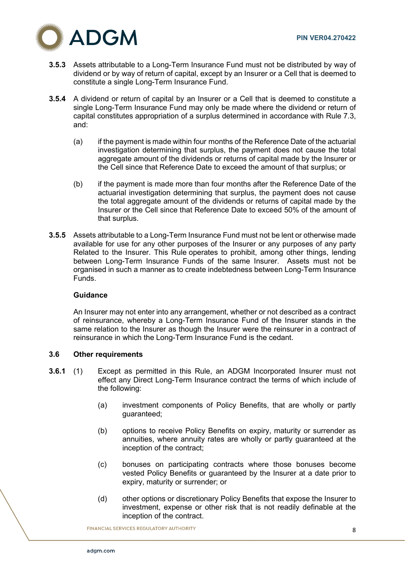

- <span id="page-12-1"></span>**3.5.3** Assets attributable to a Long-Term Insurance Fund must not be distributed by way of dividend or by way of return of capital, except by an Insurer or a Cell that is deemed to constitute a single Long-Term Insurance Fund.
- <span id="page-12-2"></span>**3.5.4** A dividend or return of capital by an Insurer or a Cell that is deemed to constitute a single Long-Term Insurance Fund may only be made where the dividend or return of capital constitutes appropriation of a surplus determined in accordance with Rule [7.3,](#page-34-0) and:
	- (a) if the payment is made within four months of the Reference Date of the actuarial investigation determining that surplus, the payment does not cause the total aggregate amount of the dividends or returns of capital made by the Insurer or the Cell since that Reference Date to exceed the amount of that surplus; or
	- (b) if the payment is made more than four months after the Reference Date of the actuarial investigation determining that surplus, the payment does not cause the total aggregate amount of the dividends or returns of capital made by the Insurer or the Cell since that Reference Date to exceed 50% of the amount of that surplus.
- **3.5.5** Assets attributable to a Long-Term Insurance Fund must not be lent or otherwise made available for use for any other purposes of the Insurer or any purposes of any party Related to the Insurer. This Rule operates to prohibit, among other things, lending between Long-Term Insurance Funds of the same Insurer. Assets must not be organised in such a manner as to create indebtedness between Long-Term Insurance Funds.

An Insurer may not enter into any arrangement, whether or not described as a contract of reinsurance, whereby a Long-Term Insurance Fund of the Insurer stands in the same relation to the Insurer as though the Insurer were the reinsurer in a contract of reinsurance in which the Long-Term Insurance Fund is the cedant.

# <span id="page-12-0"></span>**3.6 Other requirements**

- <span id="page-12-3"></span>**3.6.1** (1) Except as permitted in this Rule, an ADGM Incorporated Insurer must not effect any Direct Long-Term Insurance contract the terms of which include of the following:
	- (a) investment components of Policy Benefits, that are wholly or partly guaranteed;
	- (b) options to receive Policy Benefits on expiry, maturity or surrender as annuities, where annuity rates are wholly or partly guaranteed at the inception of the contract;
	- (c) bonuses on participating contracts where those bonuses become vested Policy Benefits or guaranteed by the Insurer at a date prior to expiry, maturity or surrender; or
	- (d) other options or discretionary Policy Benefits that expose the Insurer to investment, expense or other risk that is not readily definable at the inception of the contract.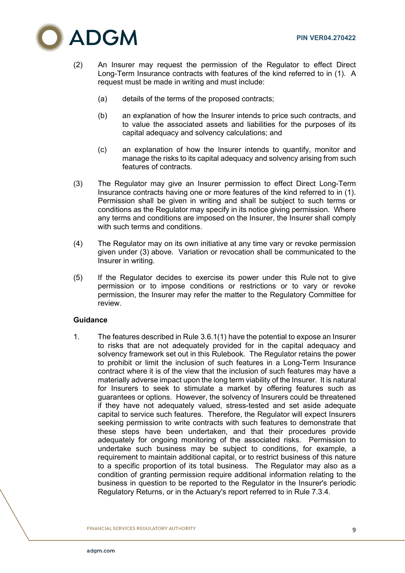

- (2) An Insurer may request the permission of the Regulator to effect Direct Long-Term Insurance contracts with features of the kind referred to in (1). A request must be made in writing and must include:
	- (a) details of the terms of the proposed contracts;
	- (b) an explanation of how the Insurer intends to price such contracts, and to value the associated assets and liabilities for the purposes of its capital adequacy and solvency calculations; and
	- (c) an explanation of how the Insurer intends to quantify, monitor and manage the risks to its capital adequacy and solvency arising from such features of contracts.
- (3) The Regulator may give an Insurer permission to effect Direct Long-Term Insurance contracts having one or more features of the kind referred to in (1). Permission shall be given in writing and shall be subject to such terms or conditions as the Regulator may specify in its notice giving permission. Where any terms and conditions are imposed on the Insurer, the Insurer shall comply with such terms and conditions.
- (4) The Regulator may on its own initiative at any time vary or revoke permission given under (3) above. Variation or revocation shall be communicated to the Insurer in writing.
- (5) If the Regulator decides to exercise its power under this Rule not to give permission or to impose conditions or restrictions or to vary or revoke permission, the Insurer may refer the matter to the Regulatory Committee for review.

1. The features described in Rule [3.6.1\(](#page-12-3)1) have the potential to expose an Insurer to risks that are not adequately provided for in the capital adequacy and solvency framework set out in this Rulebook. The Regulator retains the power to prohibit or limit the inclusion of such features in a Long-Term Insurance contract where it is of the view that the inclusion of such features may have a materially adverse impact upon the long term viability of the Insurer. It is natural for Insurers to seek to stimulate a market by offering features such as guarantees or options. However, the solvency of Insurers could be threatened if they have not adequately valued, stress-tested and set aside adequate capital to service such features. Therefore, the Regulator will expect Insurers seeking permission to write contracts with such features to demonstrate that these steps have been undertaken, and that their procedures provide adequately for ongoing monitoring of the associated risks. Permission to undertake such business may be subject to conditions, for example, a requirement to maintain additional capital, or to restrict business of this nature to a specific proportion of its total business. The Regulator may also as a condition of granting permission require additional information relating to the business in question to be reported to the Regulator in the Insurer's periodic Regulatory Returns, or in the Actuary's report referred to in Rule [7.3.4.](#page-34-1)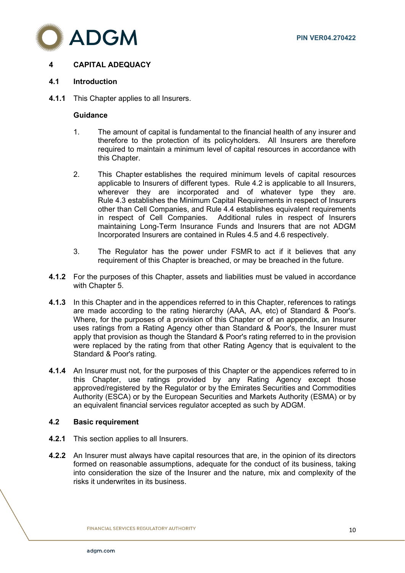

# <span id="page-14-0"></span>**4 CAPITAL ADEQUACY**

# <span id="page-14-1"></span>**4.1 Introduction**

**4.1.1** This Chapter applies to all Insurers.

# **Guidance**

- 1. The amount of capital is fundamental to the financial health of any insurer and therefore to the protection of its policyholders. All Insurers are therefore required to maintain a minimum level of capital resources in accordance with this Chapter.
- 2. This Chapter establishes the required minimum levels of capital resources applicable to Insurers of different types. Rule [4.2](#page-14-2) is applicable to all Insurers, wherever they are incorporated and of whatever type they are. Rule [4.3](#page-16-0) establishes the Minimum Capital Requirements in respect of Insurers other than Cell Companies, and Rule [4.4](#page-16-1) establishes equivalent requirements in respect of Cell Companies. Additional rules in respect of Insurers maintaining Long-Term Insurance Funds and Insurers that are not ADGM Incorporated Insurers are contained in Rules [4.5](#page-17-0) and [4.6](#page-17-1) respectively.
- 3. The Regulator has the power under FSMR to act if it believes that any requirement of this Chapter is breached, or may be breached in the future.
- **4.1.2** For the purposes of this Chapter, assets and liabilities must be valued in accordance with Chapter [5.](#page-20-0)
- **4.1.3** In this Chapter and in the appendices referred to in this Chapter, references to ratings are made according to the rating hierarchy (AAA, AA, etc) of Standard & Poor's. Where, for the purposes of a provision of this Chapter or of an appendix, an Insurer uses ratings from a Rating Agency other than Standard & Poor's, the Insurer must apply that provision as though the Standard & Poor's rating referred to in the provision were replaced by the rating from that other Rating Agency that is equivalent to the Standard & Poor's rating.
- <span id="page-14-3"></span>**4.1.4** An Insurer must not, for the purposes of this Chapter or the appendices referred to in this Chapter, use ratings provided by any Rating Agency except those approved/registered by the Regulator or by the Emirates Securities and Commodities Authority (ESCA) or by the European Securities and Markets Authority (ESMA) or by an equivalent financial services regulator accepted as such by ADGM.

# <span id="page-14-2"></span>**4.2 Basic requirement**

- **4.2.1** This section applies to all Insurers.
- <span id="page-14-4"></span>**4.2.2** An Insurer must always have capital resources that are, in the opinion of its directors formed on reasonable assumptions, adequate for the conduct of its business, taking into consideration the size of the Insurer and the nature, mix and complexity of the risks it underwrites in its business.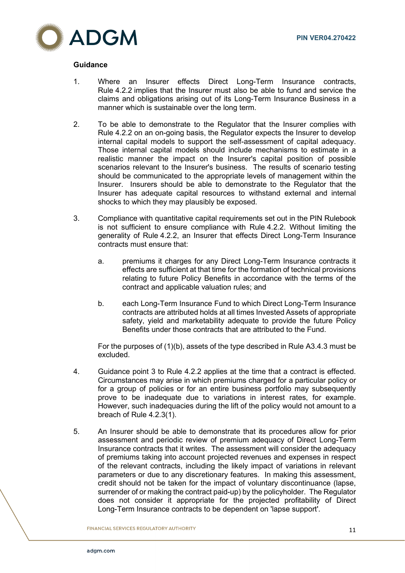

- 1. Where an Insurer effects Direct Long-Term Insurance contracts, Rule [4.2.2](#page-14-4) implies that the Insurer must also be able to fund and service the claims and obligations arising out of its Long-Term Insurance Business in a manner which is sustainable over the long term.
- 2. To be able to demonstrate to the Regulator that the Insurer complies with Rule [4.2.2](#page-14-4) on an on-going basis, the Regulator expects the Insurer to develop internal capital models to support the self-assessment of capital adequacy. Those internal capital models should include mechanisms to estimate in a realistic manner the impact on the Insurer's capital position of possible scenarios relevant to the Insurer's business. The results of scenario testing should be communicated to the appropriate levels of management within the Insurer. Insurers should be able to demonstrate to the Regulator that the Insurer has adequate capital resources to withstand external and internal shocks to which they may plausibly be exposed.
- <span id="page-15-0"></span>3. Compliance with quantitative capital requirements set out in the PIN Rulebook is not sufficient to ensure compliance with Rule [4.2.2.](#page-14-4) Without limiting the generality of Rule [4.2.2,](#page-14-4) an Insurer that effects Direct Long-Term Insurance contracts must ensure that:
	- a. premiums it charges for any Direct Long-Term Insurance contracts it effects are sufficient at that time for the formation of technical provisions relating to future Policy Benefits in accordance with the terms of the contract and applicable valuation rules; and
	- b. each Long-Term Insurance Fund to which Direct Long-Term Insurance contracts are attributed holds at all times Invested Assets of appropriate safety, yield and marketability adequate to provide the future Policy Benefits under those contracts that are attributed to the Fund.

For the purposes of (1)(b), assets of the type described in Rule [A3.4.3](#page-75-1) must be excluded.

- 4. Guidance point 3 to Rule [4.2.2](#page-14-4) applies at the time that a contract is effected. Circumstances may arise in which premiums charged for a particular policy or for a group of policies or for an entire business portfolio may subsequently prove to be inadequate due to variations in interest rates, for example. However, such inadequacies during the lift of the policy would not amount to a breach of Rule 4.2.3(1).
- 5. An Insurer should be able to demonstrate that its procedures allow for prior assessment and periodic review of premium adequacy of Direct Long-Term Insurance contracts that it writes. The assessment will consider the adequacy of premiums taking into account projected revenues and expenses in respect of the relevant contracts, including the likely impact of variations in relevant parameters or due to any discretionary features. In making this assessment, credit should not be taken for the impact of voluntary discontinuance (lapse, surrender of or making the contract paid-up) by the policyholder. The Regulator does not consider it appropriate for the projected profitability of Direct Long-Term Insurance contracts to be dependent on 'lapse support'.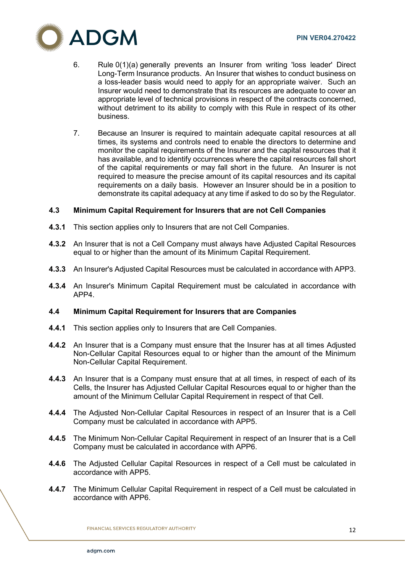

- 6. Rule [0\(](#page-15-0)1)(a) generally prevents an Insurer from writing 'loss leader' Direct Long-Term Insurance products. An Insurer that wishes to conduct business on a loss-leader basis would need to apply for an appropriate waiver. Such an Insurer would need to demonstrate that its resources are adequate to cover an appropriate level of technical provisions in respect of the contracts concerned, without detriment to its ability to comply with this Rule in respect of its other business.
- 7. Because an Insurer is required to maintain adequate capital resources at all times, its systems and controls need to enable the directors to determine and monitor the capital requirements of the Insurer and the capital resources that it has available, and to identify occurrences where the capital resources fall short of the capital requirements or may fall short in the future. An Insurer is not required to measure the precise amount of its capital resources and its capital requirements on a daily basis. However an Insurer should be in a position to demonstrate its capital adequacy at any time if asked to do so by the Regulator.

# <span id="page-16-0"></span>**4.3 Minimum Capital Requirement for Insurers that are not Cell Companies**

- **4.3.1** This section applies only to Insurers that are not Cell Companies.
- **4.3.2** An Insurer that is not a Cell Company must always have Adjusted Capital Resources equal to or higher than the amount of its Minimum Capital Requirement.
- **4.3.3** An Insurer's Adjusted Capital Resources must be calculated in accordance with [APP3.](#page-74-0)
- **4.3.4** An Insurer's Minimum Capital Requirement must be calculated in accordance with [APP4.](#page-78-0)

### <span id="page-16-1"></span>**4.4 Minimum Capital Requirement for Insurers that are Companies**

- **4.4.1** This section applies only to Insurers that are Cell Companies.
- **4.4.2** An Insurer that is a Company must ensure that the Insurer has at all times Adjusted Non-Cellular Capital Resources equal to or higher than the amount of the Minimum Non-Cellular Capital Requirement.
- **4.4.3** An Insurer that is a Company must ensure that at all times, in respect of each of its Cells, the Insurer has Adjusted Cellular Capital Resources equal to or higher than the amount of the Minimum Cellular Capital Requirement in respect of that Cell.
- **4.4.4** The Adjusted Non-Cellular Capital Resources in respect of an Insurer that is a Cell Company must be calculated in accordance with [APP5.](#page-93-0)
- **4.4.5** The Minimum Non-Cellular Capital Requirement in respect of an Insurer that is a Cell Company must be calculated in accordance with [APP6.](#page-99-1)
- **4.4.6** The Adjusted Cellular Capital Resources in respect of a Cell must be calculated in accordance with [APP5.](#page-93-0)
- **4.4.7** The Minimum Cellular Capital Requirement in respect of a Cell must be calculated in accordance with [APP6.](#page-99-1)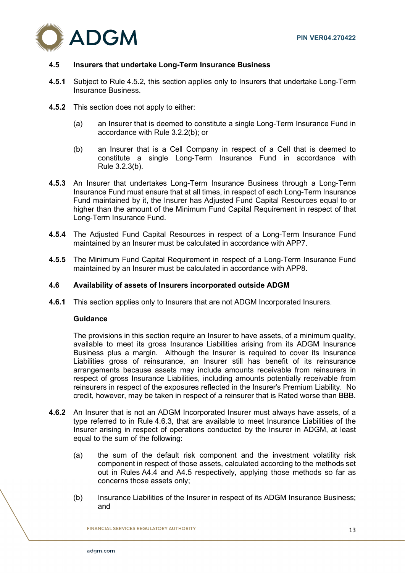

# <span id="page-17-0"></span>**4.5 Insurers that undertake Long-Term Insurance Business**

- **4.5.1** Subject to Rule [4.5.2,](#page-17-2) this section applies only to Insurers that undertake Long-Term Insurance Business.
- <span id="page-17-2"></span>**4.5.2** This section does not apply to either:
	- (a) an Insurer that is deemed to constitute a single Long-Term Insurance Fund in accordance with Rule [3.2.2\(b\);](#page-10-3) or
	- (b) an Insurer that is a Cell Company in respect of a Cell that is deemed to constitute a single Long-Term Insurance Fund in accordance with Rule [3.2.3\(b\).](#page-10-4)
- **4.5.3** An Insurer that undertakes Long-Term Insurance Business through a Long-Term Insurance Fund must ensure that at all times, in respect of each Long-Term Insurance Fund maintained by it, the Insurer has Adjusted Fund Capital Resources equal to or higher than the amount of the Minimum Fund Capital Requirement in respect of that Long-Term Insurance Fund.
- **4.5.4** The Adjusted Fund Capital Resources in respect of a Long-Term Insurance Fund maintained by an Insurer must be calculated in accordance with [APP7.](#page-108-0)
- **4.5.5** The Minimum Fund Capital Requirement in respect of a Long-Term Insurance Fund maintained by an Insurer must be calculated in accordance with [APP8.](#page-111-0)

# <span id="page-17-1"></span>**4.6 Availability of assets of Insurers incorporated outside ADGM**

**4.6.1** This section applies only to Insurers that are not ADGM Incorporated Insurers.

### **Guidance**

The provisions in this section require an Insurer to have assets, of a minimum quality, available to meet its gross Insurance Liabilities arising from its ADGM Insurance Business plus a margin. Although the Insurer is required to cover its Insurance Liabilities gross of reinsurance, an Insurer still has benefit of its reinsurance arrangements because assets may include amounts receivable from reinsurers in respect of gross Insurance Liabilities, including amounts potentially receivable from reinsurers in respect of the exposures reflected in the Insurer's Premium Liability. No credit, however, may be taken in respect of a reinsurer that is Rated worse than BBB.

- <span id="page-17-4"></span><span id="page-17-3"></span>**4.6.2** An Insurer that is not an ADGM Incorporated Insurer must always have assets, of a type referred to in Rule [4.6.3,](#page-18-1) that are available to meet Insurance Liabilities of the Insurer arising in respect of operations conducted by the Insurer in ADGM, at least equal to the sum of the following:
	- (a) the sum of the default risk component and the investment volatility risk component in respect of those assets, calculated according to the methods set out in Rules [A4.4](#page-79-1) and [A4.5](#page-81-0) respectively, applying those methods so far as concerns those assets only;
	- (b) Insurance Liabilities of the Insurer in respect of its ADGM Insurance Business; and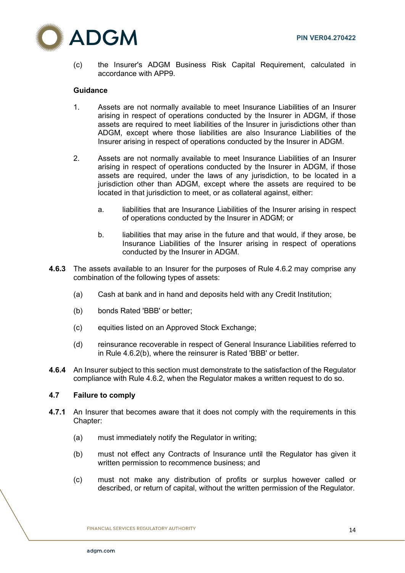

(c) the Insurer's ADGM Business Risk Capital Requirement, calculated in accordance with [APP9.](#page-117-0)

# **Guidance**

- 1. Assets are not normally available to meet Insurance Liabilities of an Insurer arising in respect of operations conducted by the Insurer in ADGM, if those assets are required to meet liabilities of the Insurer in jurisdictions other than ADGM, except where those liabilities are also Insurance Liabilities of the Insurer arising in respect of operations conducted by the Insurer in ADGM.
- 2. Assets are not normally available to meet Insurance Liabilities of an Insurer arising in respect of operations conducted by the Insurer in ADGM, if those assets are required, under the laws of any jurisdiction, to be located in a jurisdiction other than ADGM, except where the assets are required to be located in that jurisdiction to meet, or as collateral against, either:
	- a. liabilities that are Insurance Liabilities of the Insurer arising in respect of operations conducted by the Insurer in ADGM; or
	- b. liabilities that may arise in the future and that would, if they arose, be Insurance Liabilities of the Insurer arising in respect of operations conducted by the Insurer in ADGM.
- <span id="page-18-1"></span>**4.6.3** The assets available to an Insurer for the purposes of Rule [4.6.2](#page-17-3) may comprise any combination of the following types of assets:
	- (a) Cash at bank and in hand and deposits held with any Credit Institution;
	- (b) bonds Rated 'BBB' or better;
	- (c) equities listed on an Approved Stock Exchange;
	- (d) reinsurance recoverable in respect of General Insurance Liabilities referred to in Rule [4.6.2\(b\),](#page-17-4) where the reinsurer is Rated 'BBB' or better.
- **4.6.4** An Insurer subject to this section must demonstrate to the satisfaction of the Regulator compliance with Rule [4.6.2,](#page-17-3) when the Regulator makes a written request to do so.

# <span id="page-18-0"></span>**4.7 Failure to comply**

- **4.7.1** An Insurer that becomes aware that it does not comply with the requirements in this Chapter:
	- (a) must immediately notify the Regulator in writing;
	- (b) must not effect any Contracts of Insurance until the Regulator has given it written permission to recommence business; and
	- (c) must not make any distribution of profits or surplus however called or described, or return of capital, without the written permission of the Regulator.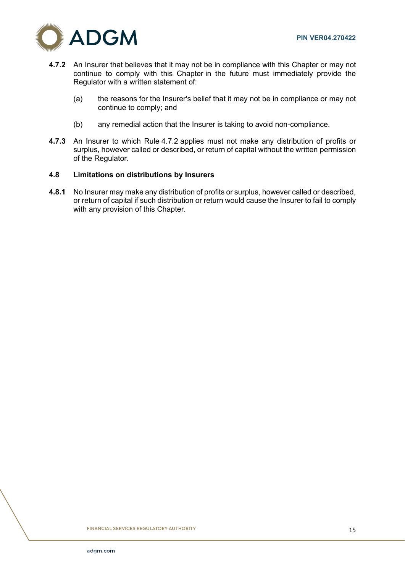- <span id="page-19-1"></span>**4.7.2** An Insurer that believes that it may not be in compliance with this Chapter or may not continue to comply with this Chapter in the future must immediately provide the Regulator with a written statement of:
	- (a) the reasons for the Insurer's belief that it may not be in compliance or may not continue to comply; and
	- (b) any remedial action that the Insurer is taking to avoid non-compliance.
- **4.7.3** An Insurer to which Rule [4.7.2](#page-19-1) applies must not make any distribution of profits or surplus, however called or described, or return of capital without the written permission of the Regulator.

# <span id="page-19-0"></span>**4.8 Limitations on distributions by Insurers**

**4.8.1** No Insurer may make any distribution of profits or surplus, however called or described, or return of capital if such distribution or return would cause the Insurer to fail to comply with any provision of this Chapter.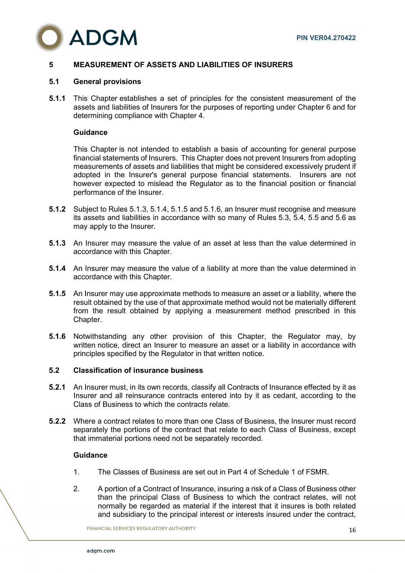

# <span id="page-20-0"></span>**5 MEASUREMENT OF ASSETS AND LIABILITIES OF INSURERS**

### <span id="page-20-1"></span>**5.1 General provisions**

**5.1.1** This Chapter establishes a set of principles for the consistent measurement of the assets and liabilities of Insurers for the purposes of reporting under Chapter [6](#page-28-0) and for determining compliance with Chapter [4.](#page-14-0)

# **Guidance**

This Chapter is not intended to establish a basis of accounting for general purpose financial statements of Insurers. This Chapter does not prevent Insurers from adopting measurements of assets and liabilities that might be considered excessively prudent if adopted in the Insurer's general purpose financial statements. Insurers are not however expected to mislead the Regulator as to the financial position or financial performance of the Insurer.

- **5.1.2** Subject to Rules [5.1.3,](#page-20-3) [5.1.4,](#page-20-4) [5.1.5](#page-20-5) and [5.1.6,](#page-20-6) an Insurer must recognise and measure its assets and liabilities in accordance with so many of Rules [5.3,](#page-21-0) [5.4,](#page-21-1) [5.5](#page-23-0) and [5.6](#page-23-1) as may apply to the Insurer.
- <span id="page-20-3"></span>**5.1.3** An Insurer may measure the value of an asset at less than the value determined in accordance with this Chapter.
- <span id="page-20-4"></span>**5.1.4** An Insurer may measure the value of a liability at more than the value determined in accordance with this Chapter.
- <span id="page-20-5"></span>**5.1.5** An Insurer may use approximate methods to measure an asset or a liability, where the result obtained by the use of that approximate method would not be materially different from the result obtained by applying a measurement method prescribed in this Chapter.
- <span id="page-20-6"></span>**5.1.6** Notwithstanding any other provision of this Chapter, the Regulator may, by written notice, direct an Insurer to measure an asset or a liability in accordance with principles specified by the Regulator in that written notice.

# <span id="page-20-2"></span>**5.2 Classification of insurance business**

- **5.2.1** An Insurer must, in its own records, classify all Contracts of Insurance effected by it as Insurer and all reinsurance contracts entered into by it as cedant, according to the Class of Business to which the contracts relate.
- **5.2.2** Where a contract relates to more than one Class of Business, the Insurer must record separately the portions of the contract that relate to each Class of Business, except that immaterial portions need not be separately recorded.

### **Guidance**

- 1. The Classes of Business are set out in Part 4 of Schedule 1 of FSMR.
- 2. A portion of a Contract of Insurance, insuring a risk of a Class of Business other than the principal Class of Business to which the contract relates, will not normally be regarded as material if the interest that it insures is both related and subsidiary to the principal interest or interests insured under the contract,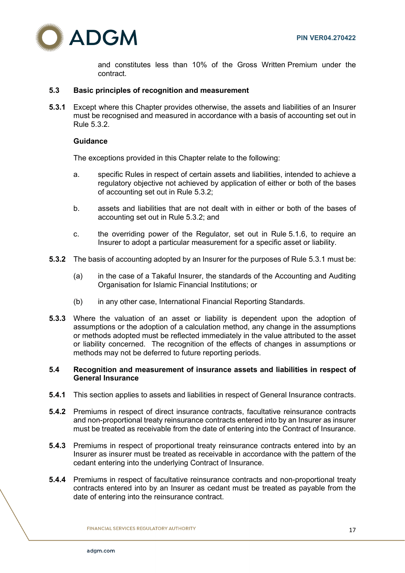

and constitutes less than 10% of the Gross Written Premium under the contract.

#### <span id="page-21-0"></span>**5.3 Basic principles of recognition and measurement**

<span id="page-21-3"></span>**5.3.1** Except where this Chapter provides otherwise, the assets and liabilities of an Insurer must be recognised and measured in accordance with a basis of accounting set out in Rule [5.3.2.](#page-21-2)

#### **Guidance**

The exceptions provided in this Chapter relate to the following:

- a. specific Rules in respect of certain assets and liabilities, intended to achieve a regulatory objective not achieved by application of either or both of the bases of accounting set out in Rule [5.3.2;](#page-21-2)
- b. assets and liabilities that are not dealt with in either or both of the bases of accounting set out in Rule [5.3.2;](#page-21-2) and
- c. the overriding power of the Regulator, set out in Rule [5.1.6,](#page-20-6) to require an Insurer to adopt a particular measurement for a specific asset or liability.
- <span id="page-21-2"></span>**5.3.2** The basis of accounting adopted by an Insurer for the purposes of Rule [5.3.1](#page-21-3) must be:
	- (a) in the case of a Takaful Insurer, the standards of the Accounting and Auditing Organisation for Islamic Financial Institutions; or
	- (b) in any other case, International Financial Reporting Standards.
- **5.3.3** Where the valuation of an asset or liability is dependent upon the adoption of assumptions or the adoption of a calculation method, any change in the assumptions or methods adopted must be reflected immediately in the value attributed to the asset or liability concerned. The recognition of the effects of changes in assumptions or methods may not be deferred to future reporting periods.

# <span id="page-21-1"></span>**5.4 Recognition and measurement of insurance assets and liabilities in respect of General Insurance**

- **5.4.1** This section applies to assets and liabilities in respect of General Insurance contracts.
- **5.4.2** Premiums in respect of direct insurance contracts, facultative reinsurance contracts and non-proportional treaty reinsurance contracts entered into by an Insurer as insurer must be treated as receivable from the date of entering into the Contract of Insurance.
- **5.4.3** Premiums in respect of proportional treaty reinsurance contracts entered into by an Insurer as insurer must be treated as receivable in accordance with the pattern of the cedant entering into the underlying Contract of Insurance.
- **5.4.4** Premiums in respect of facultative reinsurance contracts and non-proportional treaty contracts entered into by an Insurer as cedant must be treated as payable from the date of entering into the reinsurance contract.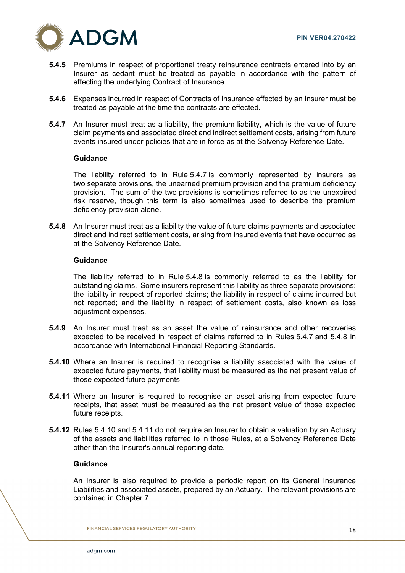

- **5.4.5** Premiums in respect of proportional treaty reinsurance contracts entered into by an Insurer as cedant must be treated as payable in accordance with the pattern of effecting the underlying Contract of Insurance.
- **5.4.6** Expenses incurred in respect of Contracts of Insurance effected by an Insurer must be treated as payable at the time the contracts are effected.
- <span id="page-22-0"></span>**5.4.7** An Insurer must treat as a liability, the premium liability, which is the value of future claim payments and associated direct and indirect settlement costs, arising from future events insured under policies that are in force as at the Solvency Reference Date.

The liability referred to in Rule [5.4.7](#page-22-0) is commonly represented by insurers as two separate provisions, the unearned premium provision and the premium deficiency provision. The sum of the two provisions is sometimes referred to as the unexpired risk reserve, though this term is also sometimes used to describe the premium deficiency provision alone.

<span id="page-22-1"></span>**5.4.8** An Insurer must treat as a liability the value of future claims payments and associated direct and indirect settlement costs, arising from insured events that have occurred as at the Solvency Reference Date.

#### **Guidance**

The liability referred to in Rule [5.4.8](#page-22-1) is commonly referred to as the liability for outstanding claims. Some insurers represent this liability as three separate provisions: the liability in respect of reported claims; the liability in respect of claims incurred but not reported; and the liability in respect of settlement costs, also known as loss adiustment expenses.

- **5.4.9** An Insurer must treat as an asset the value of reinsurance and other recoveries expected to be received in respect of claims referred to in Rules [5.4.7](#page-22-0) and [5.4.8](#page-22-1) in accordance with International Financial Reporting Standards.
- <span id="page-22-2"></span>**5.4.10** Where an Insurer is required to recognise a liability associated with the value of expected future payments, that liability must be measured as the net present value of those expected future payments.
- <span id="page-22-3"></span>**5.4.11** Where an Insurer is required to recognise an asset arising from expected future receipts, that asset must be measured as the net present value of those expected future receipts.
- **5.4.12** Rules [5.4.10](#page-22-2) and [5.4.11](#page-22-3) do not require an Insurer to obtain a valuation by an Actuary of the assets and liabilities referred to in those Rules, at a Solvency Reference Date other than the Insurer's annual reporting date.

### **Guidance**

An Insurer is also required to provide a periodic report on its General Insurance Liabilities and associated assets, prepared by an Actuary. The relevant provisions are contained in Chapter [7.](#page-33-0)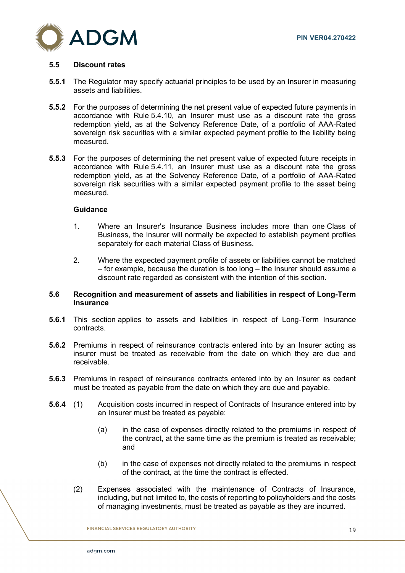### <span id="page-23-0"></span>**5.5 Discount rates**

- **5.5.1** The Regulator may specify actuarial principles to be used by an Insurer in measuring assets and liabilities.
- **5.5.2** For the purposes of determining the net present value of expected future payments in accordance with Rule [5.4.10,](#page-22-2) an Insurer must use as a discount rate the gross redemption yield, as at the Solvency Reference Date, of a portfolio of AAA-Rated sovereign risk securities with a similar expected payment profile to the liability being measured.
- **5.5.3** For the purposes of determining the net present value of expected future receipts in accordance with Rule [5.4.11,](#page-22-3) an Insurer must use as a discount rate the gross redemption yield, as at the Solvency Reference Date, of a portfolio of AAA-Rated sovereign risk securities with a similar expected payment profile to the asset being measured.

### **Guidance**

- 1. Where an Insurer's Insurance Business includes more than one Class of Business, the Insurer will normally be expected to establish payment profiles separately for each material Class of Business.
- 2. Where the expected payment profile of assets or liabilities cannot be matched – for example, because the duration is too long – the Insurer should assume a discount rate regarded as consistent with the intention of this section.

# <span id="page-23-1"></span>**5.6 Recognition and measurement of assets and liabilities in respect of Long-Term Insurance**

- **5.6.1** This section applies to assets and liabilities in respect of Long-Term Insurance contracts.
- **5.6.2** Premiums in respect of reinsurance contracts entered into by an Insurer acting as insurer must be treated as receivable from the date on which they are due and receivable.
- **5.6.3** Premiums in respect of reinsurance contracts entered into by an Insurer as cedant must be treated as payable from the date on which they are due and payable.
- **5.6.4** (1) Acquisition costs incurred in respect of Contracts of Insurance entered into by an Insurer must be treated as payable:
	- (a) in the case of expenses directly related to the premiums in respect of the contract, at the same time as the premium is treated as receivable; and
	- (b) in the case of expenses not directly related to the premiums in respect of the contract, at the time the contract is effected.
	- (2) Expenses associated with the maintenance of Contracts of Insurance, including, but not limited to, the costs of reporting to policyholders and the costs of managing investments, must be treated as payable as they are incurred.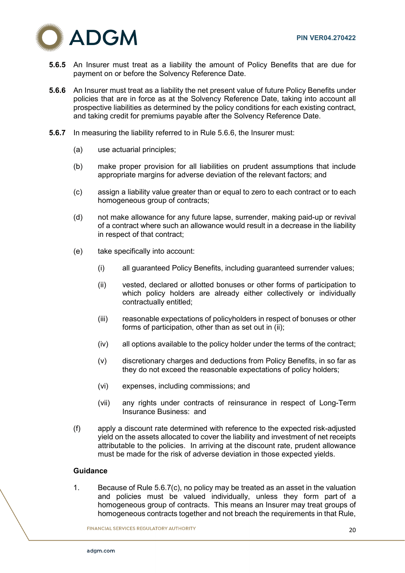

- **5.6.5** An Insurer must treat as a liability the amount of Policy Benefits that are due for payment on or before the Solvency Reference Date.
- <span id="page-24-0"></span>**5.6.6** An Insurer must treat as a liability the net present value of future Policy Benefits under policies that are in force as at the Solvency Reference Date, taking into account all prospective liabilities as determined by the policy conditions for each existing contract, and taking credit for premiums payable after the Solvency Reference Date.
- <span id="page-24-5"></span><span id="page-24-2"></span><span id="page-24-1"></span>**5.6.7** In measuring the liability referred to in Rule [5.6.6,](#page-24-0) the Insurer must:
	- (a) use actuarial principles;
	- (b) make proper provision for all liabilities on prudent assumptions that include appropriate margins for adverse deviation of the relevant factors; and
	- (c) assign a liability value greater than or equal to zero to each contract or to each homogeneous group of contracts;
	- (d) not make allowance for any future lapse, surrender, making paid-up or revival of a contract where such an allowance would result in a decrease in the liability in respect of that contract;
	- (e) take specifically into account:
		- (i) all guaranteed Policy Benefits, including guaranteed surrender values;
		- (ii) vested, declared or allotted bonuses or other forms of participation to which policy holders are already either collectively or individually contractually entitled;
		- (iii) reasonable expectations of policyholders in respect of bonuses or other forms of participation, other than as set out in (ii);
		- (iv) all options available to the policy holder under the terms of the contract;
		- (v) discretionary charges and deductions from Policy Benefits, in so far as they do not exceed the reasonable expectations of policy holders;
		- (vi) expenses, including commissions; and
		- (vii) any rights under contracts of reinsurance in respect of Long-Term Insurance Business: and
	- (f) apply a discount rate determined with reference to the expected risk-adjusted yield on the assets allocated to cover the liability and investment of net receipts attributable to the policies. In arriving at the discount rate, prudent allowance must be made for the risk of adverse deviation in those expected yields.

<span id="page-24-4"></span><span id="page-24-3"></span>1. Because of Rule [5.6.7\(c\),](#page-24-1) no policy may be treated as an asset in the valuation and policies must be valued individually, unless they form part of a homogeneous group of contracts. This means an Insurer may treat groups of homogeneous contracts together and not breach the requirements in that Rule,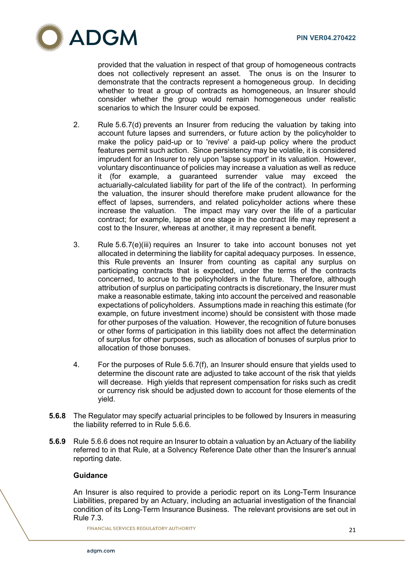

provided that the valuation in respect of that group of homogeneous contracts does not collectively represent an asset. The onus is on the Insurer to demonstrate that the contracts represent a homogeneous group. In deciding whether to treat a group of contracts as homogeneous, an Insurer should consider whether the group would remain homogeneous under realistic scenarios to which the Insurer could be exposed.

- 2. Rule [5.6.7\(d\)](#page-24-2) prevents an Insurer from reducing the valuation by taking into account future lapses and surrenders, or future action by the policyholder to make the policy paid-up or to 'revive' a paid-up policy where the product features permit such action. Since persistency may be volatile, it is considered imprudent for an Insurer to rely upon 'lapse support' in its valuation. However, voluntary discontinuance of policies may increase a valuation as well as reduce it (for example, a guaranteed surrender value may exceed the actuarially-calculated liability for part of the life of the contract). In performing the valuation, the insurer should therefore make prudent allowance for the effect of lapses, surrenders, and related policyholder actions where these increase the valuation. The impact may vary over the life of a particular contract; for example, lapse at one stage in the contract life may represent a cost to the Insurer, whereas at another, it may represent a benefit.
- 3. Rule [5.6.7\(e\)\(iii\)](#page-24-3) requires an Insurer to take into account bonuses not yet allocated in determining the liability for capital adequacy purposes. In essence, this Rule prevents an Insurer from counting as capital any surplus on participating contracts that is expected, under the terms of the contracts concerned, to accrue to the policyholders in the future. Therefore, although attribution of surplus on participating contracts is discretionary, the Insurer must make a reasonable estimate, taking into account the perceived and reasonable expectations of policyholders. Assumptions made in reaching this estimate (for example, on future investment income) should be consistent with those made for other purposes of the valuation. However, the recognition of future bonuses or other forms of participation in this liability does not affect the determination of surplus for other purposes, such as allocation of bonuses of surplus prior to allocation of those bonuses.
- 4. For the purposes of Rule [5.6.7\(f\),](#page-24-4) an Insurer should ensure that yields used to determine the discount rate are adjusted to take account of the risk that yields will decrease. High yields that represent compensation for risks such as credit or currency risk should be adjusted down to account for those elements of the yield.
- **5.6.8** The Regulator may specify actuarial principles to be followed by Insurers in measuring the liability referred to in Rule [5.6.6.](#page-24-0)
- **5.6.9** Rule [5.6.6](#page-24-0) does not require an Insurer to obtain a valuation by an Actuary of the liability referred to in that Rule, at a Solvency Reference Date other than the Insurer's annual reporting date.

# **Guidance**

An Insurer is also required to provide a periodic report on its Long-Term Insurance Liabilities, prepared by an Actuary, including an actuarial investigation of the financial condition of its Long-Term Insurance Business. The relevant provisions are set out in Rule [7.3.](#page-34-0)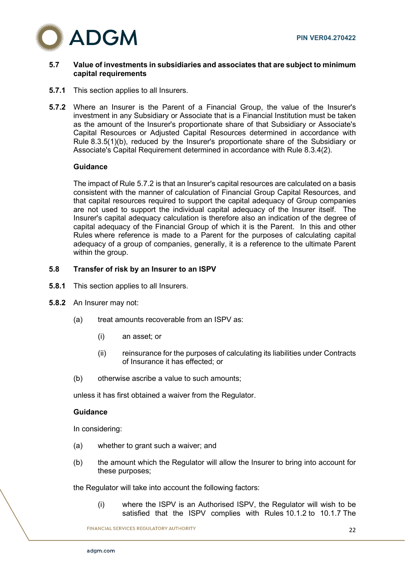

# <span id="page-26-0"></span>**5.7 Value of investments in subsidiaries and associates that are subject to minimum capital requirements**

- **5.7.1** This section applies to all Insurers.
- <span id="page-26-2"></span>**5.7.2** Where an Insurer is the Parent of a Financial Group, the value of the Insurer's investment in any Subsidiary or Associate that is a Financial Institution must be taken as the amount of the Insurer's proportionate share of that Subsidiary or Associate's Capital Resources or Adjusted Capital Resources determined in accordance with Rule [8.3.5\(](#page-42-0)1)(b), reduced by the Insurer's proportionate share of the Subsidiary or Associate's Capital Requirement determined in accordance with Rule [8.3.4\(](#page-41-0)2).

### **Guidance**

The impact of Rule [5.7.2](#page-26-2) is that an Insurer's capital resources are calculated on a basis consistent with the manner of calculation of Financial Group Capital Resources, and that capital resources required to support the capital adequacy of Group companies are not used to support the individual capital adequacy of the Insurer itself. The Insurer's capital adequacy calculation is therefore also an indication of the degree of capital adequacy of the Financial Group of which it is the Parent. In this and other Rules where reference is made to a Parent for the purposes of calculating capital adequacy of a group of companies, generally, it is a reference to the ultimate Parent within the group.

### <span id="page-26-1"></span>**5.8 Transfer of risk by an Insurer to an ISPV**

- **5.8.1** This section applies to all Insurers.
- **5.8.2** An Insurer may not:
	- (a) treat amounts recoverable from an ISPV as:
		- (i) an asset; or
		- (ii) reinsurance for the purposes of calculating its liabilities under Contracts of Insurance it has effected; or
	- (b) otherwise ascribe a value to such amounts;

unless it has first obtained a waiver from the Regulator.

### **Guidance**

In considering:

- (a) whether to grant such a waiver; and
- (b) the amount which the Regulator will allow the Insurer to bring into account for these purposes;

the Regulator will take into account the following factors:

(i) where the ISPV is an Authorised ISPV, the Regulator will wish to be satisfied that the ISPV complies with Rules [10.1.2](#page-53-2) to [10.1.7](#page-53-3) The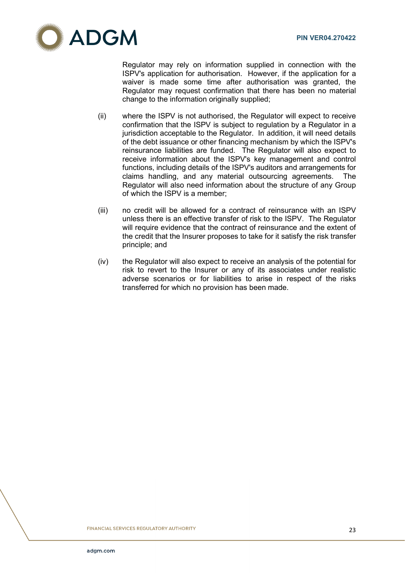

Regulator may rely on information supplied in connection with the ISPV's application for authorisation. However, if the application for a waiver is made some time after authorisation was granted, the Regulator may request confirmation that there has been no material change to the information originally supplied;

- (ii) where the ISPV is not authorised, the Regulator will expect to receive confirmation that the ISPV is subject to regulation by a Regulator in a jurisdiction acceptable to the Regulator. In addition, it will need details of the debt issuance or other financing mechanism by which the ISPV's reinsurance liabilities are funded. The Regulator will also expect to receive information about the ISPV's key management and control functions, including details of the ISPV's auditors and arrangements for claims handling, and any material outsourcing agreements. The Regulator will also need information about the structure of any Group of which the ISPV is a member;
- (iii) no credit will be allowed for a contract of reinsurance with an ISPV unless there is an effective transfer of risk to the ISPV. The Regulator will require evidence that the contract of reinsurance and the extent of the credit that the Insurer proposes to take for it satisfy the risk transfer principle; and
- (iv) the Regulator will also expect to receive an analysis of the potential for risk to revert to the Insurer or any of its associates under realistic adverse scenarios or for liabilities to arise in respect of the risks transferred for which no provision has been made.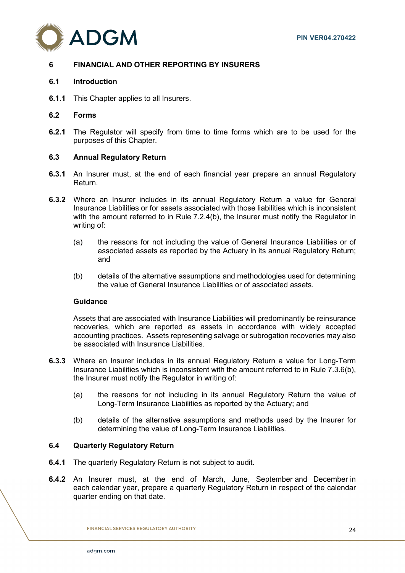

# <span id="page-28-0"></span>**6 FINANCIAL AND OTHER REPORTING BY INSURERS**

### <span id="page-28-1"></span>**6.1 Introduction**

**6.1.1** This Chapter applies to all Insurers.

# <span id="page-28-2"></span>**6.2 Forms**

**6.2.1** The Regulator will specify from time to time forms which are to be used for the purposes of this Chapter.

# <span id="page-28-3"></span>**6.3 Annual Regulatory Return**

- **6.3.1** An Insurer must, at the end of each financial year prepare an annual Regulatory Return.
- **6.3.2** Where an Insurer includes in its annual Regulatory Return a value for General Insurance Liabilities or for assets associated with those liabilities which is inconsistent with the amount referred to in Rule [7.2.4\(b\),](#page-33-3) the Insurer must notify the Regulator in writing of:
	- (a) the reasons for not including the value of General Insurance Liabilities or of associated assets as reported by the Actuary in its annual Regulatory Return; and
	- (b) details of the alternative assumptions and methodologies used for determining the value of General Insurance Liabilities or of associated assets.

# **Guidance**

Assets that are associated with Insurance Liabilities will predominantly be reinsurance recoveries, which are reported as assets in accordance with widely accepted accounting practices. Assets representing salvage or subrogation recoveries may also be associated with Insurance Liabilities.

- **6.3.3** Where an Insurer includes in its annual Regulatory Return a value for Long-Term Insurance Liabilities which is inconsistent with the amount referred to in Rule [7.3.6\(b\),](#page-34-2) the Insurer must notify the Regulator in writing of:
	- (a) the reasons for not including in its annual Regulatory Return the value of Long-Term Insurance Liabilities as reported by the Actuary; and
	- (b) details of the alternative assumptions and methods used by the Insurer for determining the value of Long-Term Insurance Liabilities.

### <span id="page-28-4"></span>**6.4 Quarterly Regulatory Return**

- **6.4.1** The quarterly Regulatory Return is not subject to audit.
- **6.4.2** An Insurer must, at the end of March, June, September and December in each calendar year, prepare a quarterly Regulatory Return in respect of the calendar quarter ending on that date.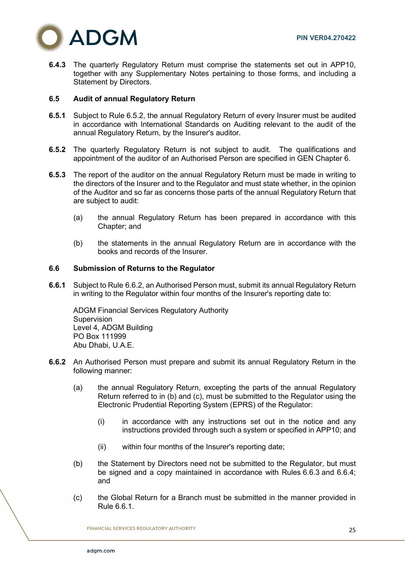

**6.4.3** The quarterly Regulatory Return must comprise the statements set out in [APP10,](#page-119-0) together with any Supplementary Notes pertaining to those forms, and including a Statement by Directors.

# <span id="page-29-0"></span>**6.5 Audit of annual Regulatory Return**

- **6.5.1** Subject to Rule [6.5.2,](#page-29-2) the annual Regulatory Return of every Insurer must be audited in accordance with International Standards on Auditing relevant to the audit of the annual Regulatory Return, by the Insurer's auditor.
- <span id="page-29-2"></span>**6.5.2** The quarterly Regulatory Return is not subject to audit. The qualifications and appointment of the auditor of an Authorised Person are specified in GEN Chapter 6.
- **6.5.3** The report of the auditor on the annual Regulatory Return must be made in writing to the directors of the Insurer and to the Regulator and must state whether, in the opinion of the Auditor and so far as concerns those parts of the annual Regulatory Return that are subject to audit:
	- (a) the annual Regulatory Return has been prepared in accordance with this Chapter; and
	- (b) the statements in the annual Regulatory Return are in accordance with the books and records of the Insurer.

### <span id="page-29-1"></span>**6.6 Submission of Returns to the Regulator**

<span id="page-29-4"></span>**6.6.1** Subject to Rule [6.6.2,](#page-29-3) an Authorised Person must, submit its annual Regulatory Return in writing to the Regulator within four months of the Insurer's reporting date to:

ADGM Financial Services Regulatory Authority **Supervision** Level 4, ADGM Building PO Box 111999 Abu Dhabi, U.A.E.

- <span id="page-29-5"></span><span id="page-29-3"></span>**6.6.2** An Authorised Person must prepare and submit its annual Regulatory Return in the following manner:
	- (a) the annual Regulatory Return, excepting the parts of the annual Regulatory Return referred to in (b) and (c), must be submitted to the Regulator using the Electronic Prudential Reporting System (EPRS) of the Regulator:
		- (i) in accordance with any instructions set out in the notice and any instructions provided through such a system or specified in [APP10;](#page-119-0) and
		- (ii) within four months of the Insurer's reporting date;
	- (b) the Statement by Directors need not be submitted to the Regulator, but must be signed and a copy maintained in accordance with Rules [6.6.3](#page-30-0) and [6.6.4;](#page-30-1) and
	- (c) the Global Return for a Branch must be submitted in the manner provided in Rule [6.6.1.](#page-29-4)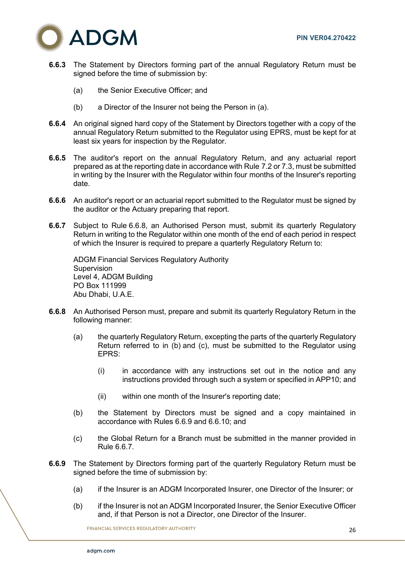

- <span id="page-30-0"></span>**6.6.3** The Statement by Directors forming part of the annual Regulatory Return must be signed before the time of submission by:
	- (a) the Senior Executive Officer; and
	- (b) a Director of the Insurer not being the Person in (a).
- <span id="page-30-1"></span>**6.6.4** An original signed hard copy of the Statement by Directors together with a copy of the annual Regulatory Return submitted to the Regulator using EPRS, must be kept for at least six years for inspection by the Regulator.
- **6.6.5** The auditor's report on the annual Regulatory Return, and any actuarial report prepared as at the reporting date in accordance with Rule [7.2](#page-33-2) or [7.3,](#page-34-0) must be submitted in writing by the Insurer with the Regulator within four months of the Insurer's reporting date.
- **6.6.6** An auditor's report or an actuarial report submitted to the Regulator must be signed by the auditor or the Actuary preparing that report.
- <span id="page-30-6"></span>**6.6.7** Subject to Rule [6.6.8,](#page-30-2) an Authorised Person must, submit its quarterly Regulatory Return in writing to the Regulator within one month of the end of each period in respect of which the Insurer is required to prepare a quarterly Regulatory Return to:

ADGM Financial Services Regulatory Authority Supervision Level 4, ADGM Building PO Box 111999 Abu Dhabi, U.A.E.

- <span id="page-30-7"></span><span id="page-30-2"></span>**6.6.8** An Authorised Person must, prepare and submit its quarterly Regulatory Return in the following manner:
	- (a) the quarterly Regulatory Return, excepting the parts of the quarterly Regulatory Return referred to in [\(b\)](#page-30-3) and [\(c\),](#page-30-4) must be submitted to the Regulator using EPRS:
		- (i) in accordance with any instructions set out in the notice and any instructions provided through such a system or specified in [APP10;](#page-119-0) and
		- (ii) within one month of the Insurer's reporting date;
	- (b) the Statement by Directors must be signed and a copy maintained in accordance with Rules [6.6.9](#page-30-5) and [6.6.10;](#page-31-1) and
	- (c) the Global Return for a Branch must be submitted in the manner provided in Rule [6.6.7.](#page-30-6)
- <span id="page-30-5"></span><span id="page-30-4"></span><span id="page-30-3"></span>**6.6.9** The Statement by Directors forming part of the quarterly Regulatory Return must be signed before the time of submission by:
	- (a) if the Insurer is an ADGM Incorporated Insurer, one Director of the Insurer; or
	- (b) if the Insurer is not an ADGM Incorporated Insurer, the Senior Executive Officer and, if that Person is not a Director, one Director of the Insurer.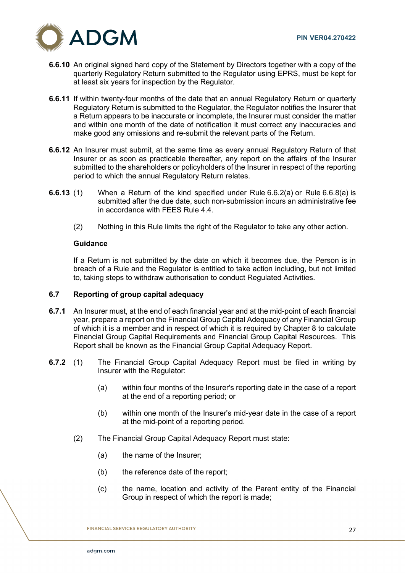

- <span id="page-31-1"></span>**6.6.10** An original signed hard copy of the Statement by Directors together with a copy of the quarterly Regulatory Return submitted to the Regulator using EPRS, must be kept for at least six years for inspection by the Regulator.
- **6.6.11** If within twenty-four months of the date that an annual Regulatory Return or quarterly Regulatory Return is submitted to the Regulator, the Regulator notifies the Insurer that a Return appears to be inaccurate or incomplete, the Insurer must consider the matter and within one month of the date of notification it must correct any inaccuracies and make good any omissions and re-submit the relevant parts of the Return.
- **6.6.12** An Insurer must submit, at the same time as every annual Regulatory Return of that Insurer or as soon as practicable thereafter, any report on the affairs of the Insurer submitted to the shareholders or policyholders of the Insurer in respect of the reporting period to which the annual Regulatory Return relates.
- **6.6.13** (1) When a Return of the kind specified under Rule [6.6.2\(a\)](#page-29-5) or Rule [6.6.8\(a\)](#page-30-7) is submitted after the due date, such non-submission incurs an administrative fee in accordance with FEES Rule 4.4.
	- (2) Nothing in this Rule limits the right of the Regulator to take any other action.

If a Return is not submitted by the date on which it becomes due, the Person is in breach of a Rule and the Regulator is entitled to take action including, but not limited to, taking steps to withdraw authorisation to conduct Regulated Activities.

# <span id="page-31-0"></span>**6.7 Reporting of group capital adequacy**

- **6.7.1** An Insurer must, at the end of each financial year and at the mid-point of each financial year, prepare a report on the Financial Group Capital Adequacy of any Financial Group of which it is a member and in respect of which it is required by Chapter [8](#page-39-0) to calculate Financial Group Capital Requirements and Financial Group Capital Resources. This Report shall be known as the Financial Group Capital Adequacy Report.
- **6.7.2** (1) The Financial Group Capital Adequacy Report must be filed in writing by Insurer with the Regulator:
	- (a) within four months of the Insurer's reporting date in the case of a report at the end of a reporting period; or
	- (b) within one month of the Insurer's mid-year date in the case of a report at the mid-point of a reporting period.
	- (2) The Financial Group Capital Adequacy Report must state:
		- (a) the name of the Insurer;
		- (b) the reference date of the report;
		- (c) the name, location and activity of the Parent entity of the Financial Group in respect of which the report is made;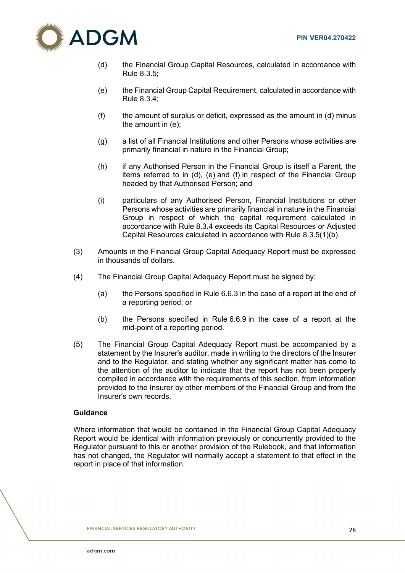

- (d) the Financial Group Capital Resources, calculated in accordance with Rule [8.3.5;](#page-42-0)
- (e) the Financial Group Capital Requirement, calculated in accordance with Rule [8.3.4;](#page-41-0)
- (f) the amount of surplus or deficit, expressed as the amount in  $(d)$  minus the amount in (e);
- (g) a list of all Financial Institutions and other Persons whose activities are primarily financial in nature in the Financial Group;
- (h) if any Authorised Person in the Financial Group is itself a Parent, the items referred to in (d), (e) and (f) in respect of the Financial Group headed by that Authorised Person; and
- (i) particulars of any Authorised Person, Financial Institutions or other Persons whose activities are primarily financial in nature in the Financial Group in respect of which the capital requirement calculated in accordance with Rule [8.3.4](#page-41-0) exceeds its Capital Resources or Adjusted Capital Resources calculated in accordance with Rule [8.3.5\(](#page-42-0)1)(b).
- (3) Amounts in the Financial Group Capital Adequacy Report must be expressed in thousands of dollars.
- (4) The Financial Group Capital Adequacy Report must be signed by:
	- (a) the Persons specified in Rule [6.6.3](#page-30-0) in the case of a report at the end of a reporting period; or
	- (b) the Persons specified in Rule [6.6.9](#page-30-5) in the case of a report at the mid-point of a reporting period.
- (5) The Financial Group Capital Adequacy Report must be accompanied by a statement by the Insurer's auditor, made in writing to the directors of the Insurer and to the Regulator, and stating whether any significant matter has come to the attention of the auditor to indicate that the report has not been properly compiled in accordance with the requirements of this section, from information provided to the Insurer by other members of the Financial Group and from the Insurer's own records.

Where information that would be contained in the Financial Group Capital Adequacy Report would be identical with information previously or concurrently provided to the Regulator pursuant to this or another provision of the Rulebook, and that information has not changed, the Regulator will normally accept a statement to that effect in the report in place of that information.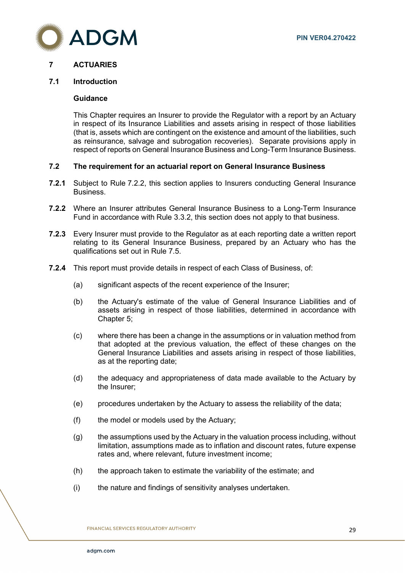

# <span id="page-33-0"></span>**7 ACTUARIES**

# <span id="page-33-1"></span>**7.1 Introduction**

### **Guidance**

This Chapter requires an Insurer to provide the Regulator with a report by an Actuary in respect of its Insurance Liabilities and assets arising in respect of those liabilities (that is, assets which are contingent on the existence and amount of the liabilities, such as reinsurance, salvage and subrogation recoveries). Separate provisions apply in respect of reports on General Insurance Business and Long-Term Insurance Business.

### <span id="page-33-2"></span>**7.2 The requirement for an actuarial report on General Insurance Business**

- **7.2.1** Subject to Rule [7.2.2,](#page-33-4) this section applies to Insurers conducting General Insurance **Business**
- <span id="page-33-4"></span>**7.2.2** Where an Insurer attributes General Insurance Business to a Long-Term Insurance Fund in accordance with Rule [3.3.2,](#page-11-3) this section does not apply to that business.
- **7.2.3** Every Insurer must provide to the Regulator as at each reporting date a written report relating to its General Insurance Business, prepared by an Actuary who has the qualifications set out in Rule [7.5.](#page-37-0)
- <span id="page-33-3"></span>**7.2.4** This report must provide details in respect of each Class of Business, of:
	- (a) significant aspects of the recent experience of the Insurer;
	- (b) the Actuary's estimate of the value of General Insurance Liabilities and of assets arising in respect of those liabilities, determined in accordance with Chapter [5;](#page-20-0)
	- (c) where there has been a change in the assumptions or in valuation method from that adopted at the previous valuation, the effect of these changes on the General Insurance Liabilities and assets arising in respect of those liabilities, as at the reporting date;
	- (d) the adequacy and appropriateness of data made available to the Actuary by the Insurer;
	- (e) procedures undertaken by the Actuary to assess the reliability of the data;
	- (f) the model or models used by the Actuary;
	- (g) the assumptions used by the Actuary in the valuation process including, without limitation, assumptions made as to inflation and discount rates, future expense rates and, where relevant, future investment income;
	- (h) the approach taken to estimate the variability of the estimate; and
	- (i) the nature and findings of sensitivity analyses undertaken.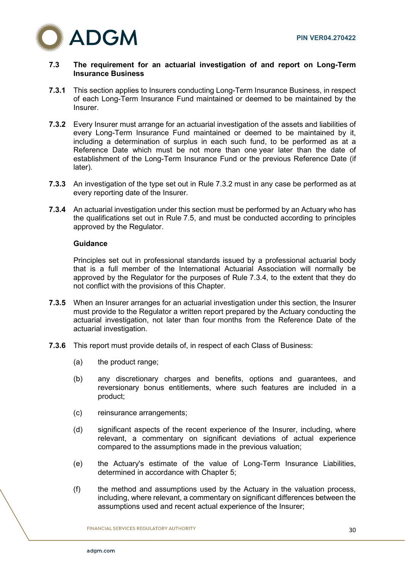

# <span id="page-34-0"></span>**7.3 The requirement for an actuarial investigation of and report on Long-Term Insurance Business**

- **7.3.1** This section applies to Insurers conducting Long-Term Insurance Business, in respect of each Long-Term Insurance Fund maintained or deemed to be maintained by the Insurer.
- <span id="page-34-3"></span>**7.3.2** Every Insurer must arrange for an actuarial investigation of the assets and liabilities of every Long-Term Insurance Fund maintained or deemed to be maintained by it, including a determination of surplus in each such fund, to be performed as at a Reference Date which must be not more than one year later than the date of establishment of the Long-Term Insurance Fund or the previous Reference Date (if later).
- **7.3.3** An investigation of the type set out in Rule [7.3.2](#page-34-3) must in any case be performed as at every reporting date of the Insurer.
- <span id="page-34-1"></span>**7.3.4** An actuarial investigation under this section must be performed by an Actuary who has the qualifications set out in Rule [7.5,](#page-37-0) and must be conducted according to principles approved by the Regulator.

# **Guidance**

Principles set out in professional standards issued by a professional actuarial body that is a full member of the International Actuarial Association will normally be approved by the Regulator for the purposes of Rule [7.3.4,](#page-34-1) to the extent that they do not conflict with the provisions of this Chapter.

- **7.3.5** When an Insurer arranges for an actuarial investigation under this section, the Insurer must provide to the Regulator a written report prepared by the Actuary conducting the actuarial investigation, not later than four months from the Reference Date of the actuarial investigation.
- <span id="page-34-5"></span><span id="page-34-4"></span><span id="page-34-2"></span>**7.3.6** This report must provide details of, in respect of each Class of Business:
	- (a) the product range;
	- (b) any discretionary charges and benefits, options and guarantees, and reversionary bonus entitlements, where such features are included in a product;
	- (c) reinsurance arrangements;
	- (d) significant aspects of the recent experience of the Insurer, including, where relevant, a commentary on significant deviations of actual experience compared to the assumptions made in the previous valuation;
	- (e) the Actuary's estimate of the value of Long-Term Insurance Liabilities, determined in accordance with Chapter [5;](#page-20-0)
	- (f) the method and assumptions used by the Actuary in the valuation process, including, where relevant, a commentary on significant differences between the assumptions used and recent actual experience of the Insurer;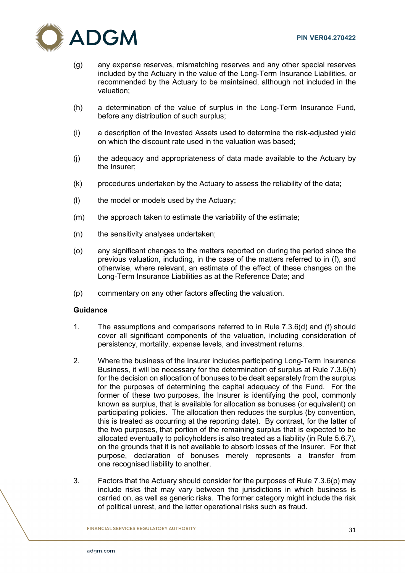

- (g) any expense reserves, mismatching reserves and any other special reserves included by the Actuary in the value of the Long-Term Insurance Liabilities, or recommended by the Actuary to be maintained, although not included in the valuation;
- <span id="page-35-0"></span>(h) a determination of the value of surplus in the Long-Term Insurance Fund, before any distribution of such surplus;
- (i) a description of the Invested Assets used to determine the risk-adjusted yield on which the discount rate used in the valuation was based;
- (j) the adequacy and appropriateness of data made available to the Actuary by the Insurer;
- (k) procedures undertaken by the Actuary to assess the reliability of the data;
- (l) the model or models used by the Actuary;
- (m) the approach taken to estimate the variability of the estimate;
- (n) the sensitivity analyses undertaken;
- (o) any significant changes to the matters reported on during the period since the previous valuation, including, in the case of the matters referred to in (f), and otherwise, where relevant, an estimate of the effect of these changes on the Long-Term Insurance Liabilities as at the Reference Date; and
- <span id="page-35-1"></span>(p) commentary on any other factors affecting the valuation.

- 1. The assumptions and comparisons referred to in Rule [7.3.6\(d\)](#page-34-4) and [\(f\)](#page-34-5) should cover all significant components of the valuation, including consideration of persistency, mortality, expense levels, and investment returns.
- 2. Where the business of the Insurer includes participating Long-Term Insurance Business, it will be necessary for the determination of surplus at Rule [7.3.6\(h\)](#page-35-0) for the decision on allocation of bonuses to be dealt separately from the surplus for the purposes of determining the capital adequacy of the Fund. For the former of these two purposes, the Insurer is identifying the pool, commonly known as surplus, that is available for allocation as bonuses (or equivalent) on participating policies. The allocation then reduces the surplus (by convention, this is treated as occurring at the reporting date). By contrast, for the latter of the two purposes, that portion of the remaining surplus that is expected to be allocated eventually to policyholders is also treated as a liability (in Rule [5.6.7\)](#page-24-5), on the grounds that it is not available to absorb losses of the Insurer. For that purpose, declaration of bonuses merely represents a transfer from one recognised liability to another.
- 3. Factors that the Actuary should consider for the purposes of Rule [7.3.6\(p\)](#page-35-1) may include risks that may vary between the jurisdictions in which business is carried on, as well as generic risks. The former category might include the risk of political unrest, and the latter operational risks such as fraud.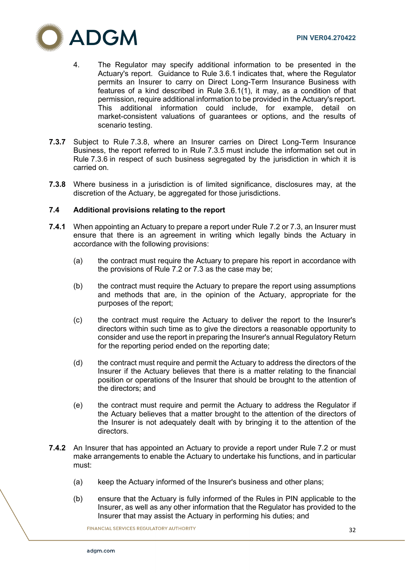

- 4. The Regulator may specify additional information to be presented in the Actuary's report. Guidance to Rule [3.6.1](#page-12-0) indicates that, where the Regulator permits an Insurer to carry on Direct Long-Term Insurance Business with features of a kind described in Rule [3.6.1\(](#page-12-0)1), it may, as a condition of that permission, require additional information to be provided in the Actuary's report. This additional information could include, for example, detail on market-consistent valuations of guarantees or options, and the results of scenario testing.
- **7.3.7** Subject to Rule [7.3.8,](#page-36-0) where an Insurer carries on Direct Long-Term Insurance Business, the report referred to in Rule [7.3.5](#page-34-0) must include the information set out in Rule [7.3.6](#page-34-1) in respect of such business segregated by the jurisdiction in which it is carried on.
- <span id="page-36-0"></span>**7.3.8** Where business in a jurisdiction is of limited significance, disclosures may, at the discretion of the Actuary, be aggregated for those jurisdictions.

# **7.4 Additional provisions relating to the report**

- **7.4.1** When appointing an Actuary to prepare a report under Rule [7.2](#page-33-0) or [7.3,](#page-34-2) an Insurer must ensure that there is an agreement in writing which legally binds the Actuary in accordance with the following provisions:
	- (a) the contract must require the Actuary to prepare his report in accordance with the provisions of Rule [7.2](#page-33-0) or [7.3](#page-34-2) as the case may be;
	- (b) the contract must require the Actuary to prepare the report using assumptions and methods that are, in the opinion of the Actuary, appropriate for the purposes of the report;
	- (c) the contract must require the Actuary to deliver the report to the Insurer's directors within such time as to give the directors a reasonable opportunity to consider and use the report in preparing the Insurer's annual Regulatory Return for the reporting period ended on the reporting date;
	- (d) the contract must require and permit the Actuary to address the directors of the Insurer if the Actuary believes that there is a matter relating to the financial position or operations of the Insurer that should be brought to the attention of the directors; and
	- (e) the contract must require and permit the Actuary to address the Regulator if the Actuary believes that a matter brought to the attention of the directors of the Insurer is not adequately dealt with by bringing it to the attention of the directors.
- **7.4.2** An Insurer that has appointed an Actuary to provide a report under Rule [7.2](#page-33-0) or must make arrangements to enable the Actuary to undertake his functions, and in particular must:
	- (a) keep the Actuary informed of the Insurer's business and other plans;
	- (b) ensure that the Actuary is fully informed of the Rules in PIN applicable to the Insurer, as well as any other information that the Regulator has provided to the Insurer that may assist the Actuary in performing his duties; and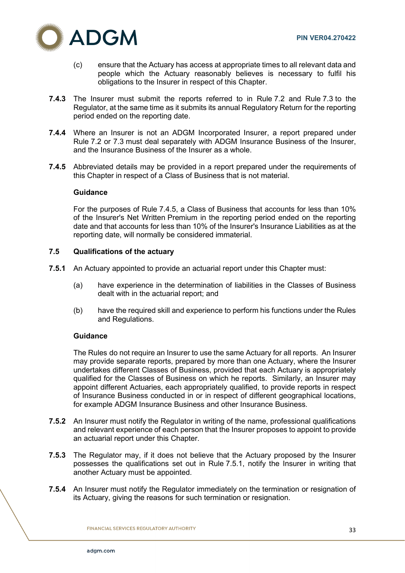

- (c) ensure that the Actuary has access at appropriate times to all relevant data and people which the Actuary reasonably believes is necessary to fulfil his obligations to the Insurer in respect of this Chapter.
- **7.4.3** The Insurer must submit the reports referred to in Rule [7.2](#page-33-0) and Rule [7.3](#page-34-2) to the Regulator, at the same time as it submits its annual Regulatory Return for the reporting period ended on the reporting date.
- **7.4.4** Where an Insurer is not an ADGM Incorporated Insurer, a report prepared under Rule [7.2](#page-33-0) or [7.3](#page-34-2) must deal separately with ADGM Insurance Business of the Insurer, and the Insurance Business of the Insurer as a whole.
- <span id="page-37-0"></span>**7.4.5** Abbreviated details may be provided in a report prepared under the requirements of this Chapter in respect of a Class of Business that is not material.

# **Guidance**

For the purposes of Rule [7.4.5,](#page-37-0) a Class of Business that accounts for less than 10% of the Insurer's Net Written Premium in the reporting period ended on the reporting date and that accounts for less than 10% of the Insurer's Insurance Liabilities as at the reporting date, will normally be considered immaterial.

# **7.5 Qualifications of the actuary**

- <span id="page-37-1"></span>**7.5.1** An Actuary appointed to provide an actuarial report under this Chapter must:
	- (a) have experience in the determination of liabilities in the Classes of Business dealt with in the actuarial report; and
	- (b) have the required skill and experience to perform his functions under the Rules and Regulations.

## **Guidance**

The Rules do not require an Insurer to use the same Actuary for all reports. An Insurer may provide separate reports, prepared by more than one Actuary, where the Insurer undertakes different Classes of Business, provided that each Actuary is appropriately qualified for the Classes of Business on which he reports. Similarly, an Insurer may appoint different Actuaries, each appropriately qualified, to provide reports in respect of Insurance Business conducted in or in respect of different geographical locations, for example ADGM Insurance Business and other Insurance Business.

- **7.5.2** An Insurer must notify the Regulator in writing of the name, professional qualifications and relevant experience of each person that the Insurer proposes to appoint to provide an actuarial report under this Chapter.
- **7.5.3** The Regulator may, if it does not believe that the Actuary proposed by the Insurer possesses the qualifications set out in Rule [7.5.1,](#page-37-1) notify the Insurer in writing that another Actuary must be appointed.
- **7.5.4** An Insurer must notify the Regulator immediately on the termination or resignation of its Actuary, giving the reasons for such termination or resignation.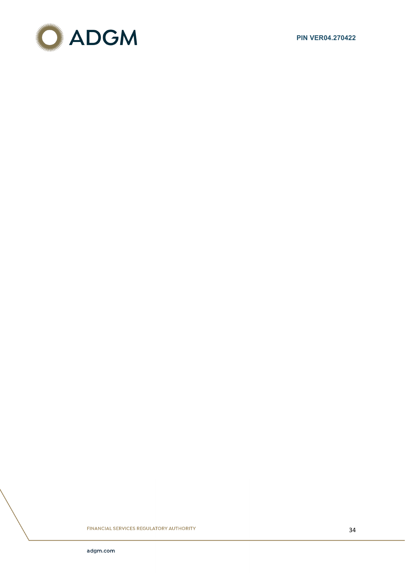

**PIN VER04.270422**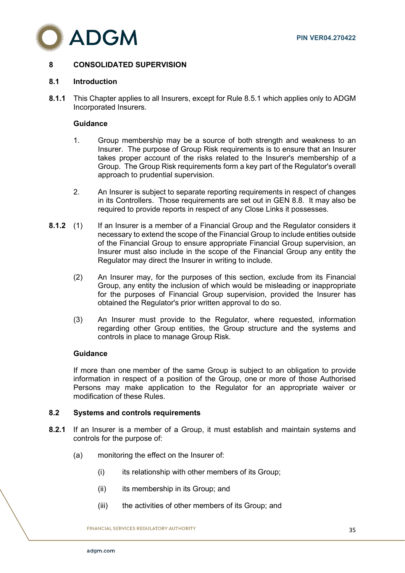

# **8 CONSOLIDATED SUPERVISION**

## **8.1 Introduction**

**8.1.1** This Chapter applies to all Insurers, except for Rule [8.5.1](#page-43-0) which applies only to ADGM Incorporated Insurers.

### **Guidance**

- 1. Group membership may be a source of both strength and weakness to an Insurer. The purpose of Group Risk requirements is to ensure that an Insurer takes proper account of the risks related to the Insurer's membership of a Group. The Group Risk requirements form a key part of the Regulator's overall approach to prudential supervision.
- 2. An Insurer is subject to separate reporting requirements in respect of changes in its Controllers. Those requirements are set out in GEN 8.8. It may also be required to provide reports in respect of any Close Links it possesses.
- <span id="page-39-0"></span>**8.1.2** (1) If an Insurer is a member of a Financial Group and the Regulator considers it necessary to extend the scope of the Financial Group to include entities outside of the Financial Group to ensure appropriate Financial Group supervision, an Insurer must also include in the scope of the Financial Group any entity the Regulator may direct the Insurer in writing to include.
	- (2) An Insurer may, for the purposes of this section, exclude from its Financial Group, any entity the inclusion of which would be misleading or inappropriate for the purposes of Financial Group supervision, provided the Insurer has obtained the Regulator's prior written approval to do so.
	- (3) An Insurer must provide to the Regulator, where requested, information regarding other Group entities, the Group structure and the systems and controls in place to manage Group Risk.

# **Guidance**

If more than one member of the same Group is subject to an obligation to provide information in respect of a position of the Group, one or more of those Authorised Persons may make application to the Regulator for an appropriate waiver or modification of these Rules.

## **8.2 Systems and controls requirements**

- **8.2.1** If an Insurer is a member of a Group, it must establish and maintain systems and controls for the purpose of:
	- (a) monitoring the effect on the Insurer of:
		- (i) its relationship with other members of its Group;
		- (ii) its membership in its Group; and
		- (iii) the activities of other members of its Group; and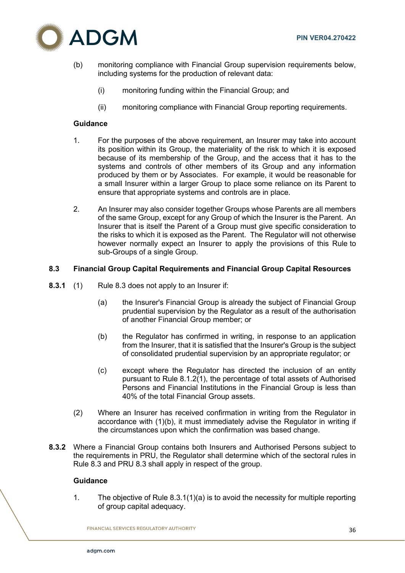- (b) monitoring compliance with Financial Group supervision requirements below, including systems for the production of relevant data:
	- (i) monitoring funding within the Financial Group; and
	- (ii) monitoring compliance with Financial Group reporting requirements.

## **Guidance**

- 1. For the purposes of the above requirement, an Insurer may take into account its position within its Group, the materiality of the risk to which it is exposed because of its membership of the Group, and the access that it has to the systems and controls of other members of its Group and any information produced by them or by Associates. For example, it would be reasonable for a small Insurer within a larger Group to place some reliance on its Parent to ensure that appropriate systems and controls are in place.
- 2. An Insurer may also consider together Groups whose Parents are all members of the same Group, except for any Group of which the Insurer is the Parent. An Insurer that is itself the Parent of a Group must give specific consideration to the risks to which it is exposed as the Parent. The Regulator will not otherwise however normally expect an Insurer to apply the provisions of this Rule to sub-Groups of a single Group.

### <span id="page-40-0"></span>**8.3 Financial Group Capital Requirements and Financial Group Capital Resources**

- <span id="page-40-2"></span><span id="page-40-1"></span>**8.3.1** (1) Rule [8.3](#page-40-0) does not apply to an Insurer if:
	- (a) the Insurer's Financial Group is already the subject of Financial Group prudential supervision by the Regulator as a result of the authorisation of another Financial Group member; or
	- (b) the Regulator has confirmed in writing, in response to an application from the Insurer, that it is satisfied that the Insurer's Group is the subject of consolidated prudential supervision by an appropriate regulator; or
	- (c) except where the Regulator has directed the inclusion of an entity pursuant to Rule [8.1.2\(](#page-39-0)1), the percentage of total assets of Authorised Persons and Financial Institutions in the Financial Group is less than 40% of the total Financial Group assets.
	- (2) Where an Insurer has received confirmation in writing from the Regulator in accordance with (1)(b), it must immediately advise the Regulator in writing if the circumstances upon which the confirmation was based change.
- <span id="page-40-3"></span>**8.3.2** Where a Financial Group contains both Insurers and Authorised Persons subject to the requirements in PRU, the Regulator shall determine which of the sectoral rules in Rule [8.3](#page-40-0) and PRU 8.3 shall apply in respect of the group.

## **Guidance**

1. The objective of Rule [8.3.1\(](#page-40-1)1[\)\(a\)](#page-40-2) is to avoid the necessity for multiple reporting of group capital adequacy.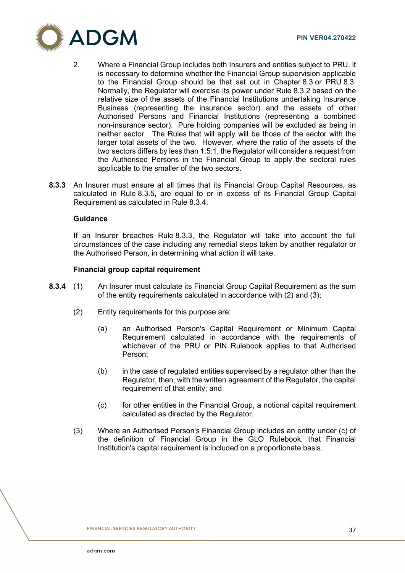

- 2. Where a Financial Group includes both Insurers and entities subject to PRU, it is necessary to determine whether the Financial Group supervision applicable to the Financial Group should be that set out in Chapter [8.3](#page-40-0) or PRU 8.3. Normally, the Regulator will exercise its power under Rule [8.3.2](#page-40-3) based on the relative size of the assets of the Financial Institutions undertaking Insurance Business (representing the insurance sector) and the assets of other Authorised Persons and Financial Institutions (representing a combined non-insurance sector). Pure holding companies will be excluded as being in neither sector. The Rules that will apply will be those of the sector with the larger total assets of the two. However, where the ratio of the assets of the two sectors differs by less than 1.5:1, the Regulator will consider a request from the Authorised Persons in the Financial Group to apply the sectoral rules applicable to the smaller of the two sectors.
- <span id="page-41-1"></span>**8.3.3** An Insurer must ensure at all times that its Financial Group Capital Resources, as calculated in Rule [8.3.5,](#page-42-0) are equal to or in excess of its Financial Group Capital Requirement as calculated in Rule [8.3.4.](#page-41-0)

### **Guidance**

If an Insurer breaches Rule [8.3.3,](#page-41-1) the Regulator will take into account the full circumstances of the case including any remedial steps taken by another regulator or the Authorised Person, in determining what action it will take.

#### **Financial group capital requirement**

- <span id="page-41-0"></span>**8.3.4** (1) An Insurer must calculate its Financial Group Capital Requirement as the sum of the entity requirements calculated in accordance with (2) and (3);
	- (2) Entity requirements for this purpose are:
		- (a) an Authorised Person's Capital Requirement or Minimum Capital Requirement calculated in accordance with the requirements of whichever of the PRU or PIN Rulebook applies to that Authorised Person;
		- (b) in the case of regulated entities supervised by a regulator other than the Regulator, then, with the written agreement of the Regulator, the capital requirement of that entity; and
		- (c) for other entities in the Financial Group, a notional capital requirement calculated as directed by the Regulator.
	- (3) Where an Authorised Person's Financial Group includes an entity under (c) of the definition of Financial Group in the GLO Rulebook, that Financial Institution's capital requirement is included on a proportionate basis.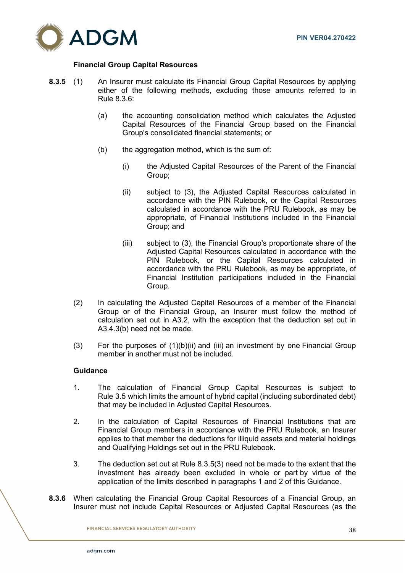

## **Financial Group Capital Resources**

- <span id="page-42-0"></span>**8.3.5** (1) An Insurer must calculate its Financial Group Capital Resources by applying either of the following methods, excluding those amounts referred to in Rule [8.3.6:](#page-42-1)
	- (a) the accounting consolidation method which calculates the Adjusted Capital Resources of the Financial Group based on the Financial Group's consolidated financial statements; or
	- (b) the aggregation method, which is the sum of:
		- (i) the Adjusted Capital Resources of the Parent of the Financial Group;
		- (ii) subject to (3), the Adjusted Capital Resources calculated in accordance with the PIN Rulebook, or the Capital Resources calculated in accordance with the PRU Rulebook, as may be appropriate, of Financial Institutions included in the Financial Group; and
		- (iii) subject to (3), the Financial Group's proportionate share of the Adjusted Capital Resources calculated in accordance with the PIN Rulebook, or the Capital Resources calculated in accordance with the PRU Rulebook, as may be appropriate, of Financial Institution participations included in the Financial Group.
	- (2) In calculating the Adjusted Capital Resources of a member of the Financial Group or of the Financial Group, an Insurer must follow the method of calculation set out in [A3.2,](#page-74-0) with the exception that the deduction set out in [A3.4.3\(b\)](#page-75-0) need not be made.
	- (3) For the purposes of (1)(b)(ii) and (iii) an investment by one Financial Group member in another must not be included.

## **Guidance**

- 1. The calculation of Financial Group Capital Resources is subject to Rule [3.5](#page-11-0) which limits the amount of hybrid capital (including subordinated debt) that may be included in Adjusted Capital Resources.
- 2. In the calculation of Capital Resources of Financial Institutions that are Financial Group members in accordance with the PRU Rulebook, an Insurer applies to that member the deductions for illiquid assets and material holdings and Qualifying Holdings set out in the PRU Rulebook.
- 3. The deduction set out at Rule [8.3.5\(](#page-42-0)3) need not be made to the extent that the investment has already been excluded in whole or part by virtue of the application of the limits described in paragraphs 1 and 2 of this Guidance.
- <span id="page-42-1"></span>**8.3.6** When calculating the Financial Group Capital Resources of a Financial Group, an Insurer must not include Capital Resources or Adjusted Capital Resources (as the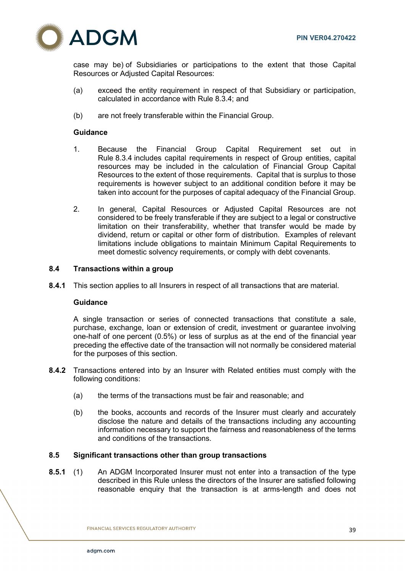

case may be) of Subsidiaries or participations to the extent that those Capital Resources or Adjusted Capital Resources:

- (a) exceed the entity requirement in respect of that Subsidiary or participation, calculated in accordance with Rule [8.3.4;](#page-41-0) and
- (b) are not freely transferable within the Financial Group.

### **Guidance**

- 1. Because the Financial Group Capital Requirement set out in Rule [8.3.4](#page-41-0) includes capital requirements in respect of Group entities, capital resources may be included in the calculation of Financial Group Capital Resources to the extent of those requirements. Capital that is surplus to those requirements is however subject to an additional condition before it may be taken into account for the purposes of capital adequacy of the Financial Group.
- 2. In general, Capital Resources or Adjusted Capital Resources are not considered to be freely transferable if they are subject to a legal or constructive limitation on their transferability, whether that transfer would be made by dividend, return or capital or other form of distribution. Examples of relevant limitations include obligations to maintain Minimum Capital Requirements to meet domestic solvency requirements, or comply with debt covenants.

### **8.4 Transactions within a group**

**8.4.1** This section applies to all Insurers in respect of all transactions that are material.

## **Guidance**

A single transaction or series of connected transactions that constitute a sale, purchase, exchange, loan or extension of credit, investment or guarantee involving one-half of one percent (0.5%) or less of surplus as at the end of the financial year preceding the effective date of the transaction will not normally be considered material for the purposes of this section.

- **8.4.2** Transactions entered into by an Insurer with Related entities must comply with the following conditions:
	- (a) the terms of the transactions must be fair and reasonable; and
	- (b) the books, accounts and records of the Insurer must clearly and accurately disclose the nature and details of the transactions including any accounting information necessary to support the fairness and reasonableness of the terms and conditions of the transactions.

## **8.5 Significant transactions other than group transactions**

<span id="page-43-0"></span>**8.5.1** (1) An ADGM Incorporated Insurer must not enter into a transaction of the type described in this Rule unless the directors of the Insurer are satisfied following reasonable enquiry that the transaction is at arms-length and does not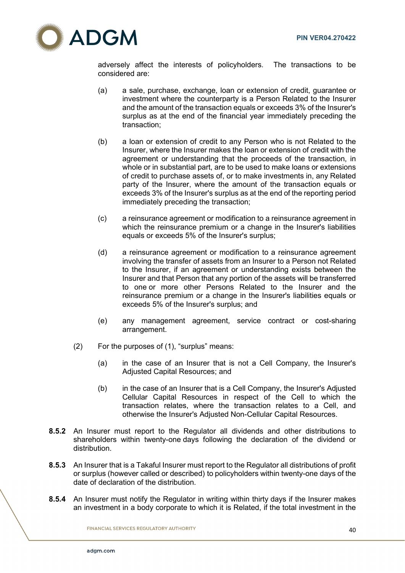

adversely affect the interests of policyholders. The transactions to be considered are:

- (a) a sale, purchase, exchange, loan or extension of credit, guarantee or investment where the counterparty is a Person Related to the Insurer and the amount of the transaction equals or exceeds 3% of the Insurer's surplus as at the end of the financial year immediately preceding the transaction;
- (b) a loan or extension of credit to any Person who is not Related to the Insurer, where the Insurer makes the loan or extension of credit with the agreement or understanding that the proceeds of the transaction, in whole or in substantial part, are to be used to make loans or extensions of credit to purchase assets of, or to make investments in, any Related party of the Insurer, where the amount of the transaction equals or exceeds 3% of the Insurer's surplus as at the end of the reporting period immediately preceding the transaction;
- (c) a reinsurance agreement or modification to a reinsurance agreement in which the reinsurance premium or a change in the Insurer's liabilities equals or exceeds 5% of the Insurer's surplus;
- (d) a reinsurance agreement or modification to a reinsurance agreement involving the transfer of assets from an Insurer to a Person not Related to the Insurer, if an agreement or understanding exists between the Insurer and that Person that any portion of the assets will be transferred to one or more other Persons Related to the Insurer and the reinsurance premium or a change in the Insurer's liabilities equals or exceeds 5% of the Insurer's surplus; and
- (e) any management agreement, service contract or cost-sharing arrangement.
- (2) For the purposes of (1), "surplus" means:
	- (a) in the case of an Insurer that is not a Cell Company, the Insurer's Adjusted Capital Resources; and
	- (b) in the case of an Insurer that is a Cell Company, the Insurer's Adjusted Cellular Capital Resources in respect of the Cell to which the transaction relates, where the transaction relates to a Cell, and otherwise the Insurer's Adjusted Non-Cellular Capital Resources.
- **8.5.2** An Insurer must report to the Regulator all dividends and other distributions to shareholders within twenty-one days following the declaration of the dividend or distribution.
- **8.5.3** An Insurer that is a Takaful Insurer must report to the Regulator all distributions of profit or surplus (however called or described) to policyholders within twenty-one days of the date of declaration of the distribution.
- **8.5.4** An Insurer must notify the Regulator in writing within thirty days if the Insurer makes an investment in a body corporate to which it is Related, if the total investment in the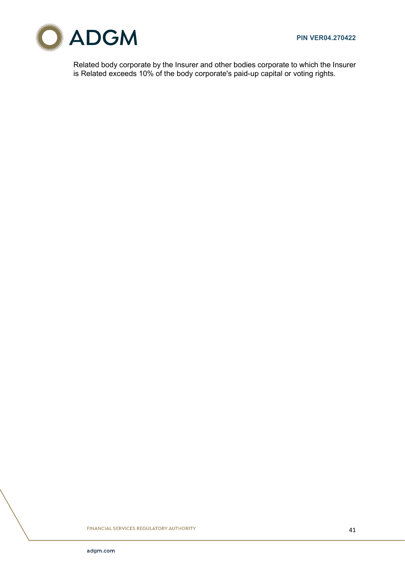

Related body corporate by the Insurer and other bodies corporate to which the Insurer is Related exceeds 10% of the body corporate's paid-up capital or voting rights.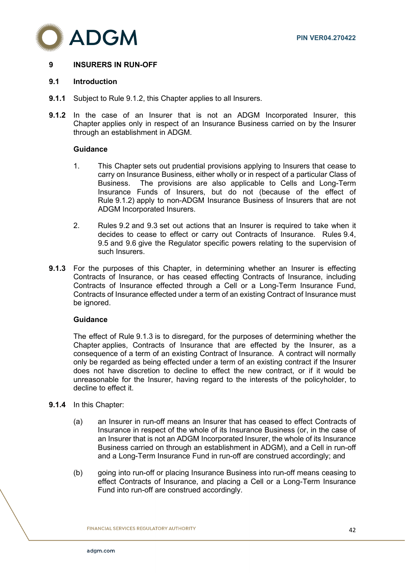

## **9 INSURERS IN RUN-OFF**

### **9.1 Introduction**

- **9.1.1** Subject to Rule [9.1.2,](#page-46-0) this Chapter applies to all Insurers.
- <span id="page-46-0"></span>**9.1.2** In the case of an Insurer that is not an ADGM Incorporated Insurer, this Chapter applies only in respect of an Insurance Business carried on by the Insurer through an establishment in ADGM.

### **Guidance**

- 1. This Chapter sets out prudential provisions applying to Insurers that cease to carry on Insurance Business, either wholly or in respect of a particular Class of Business. The provisions are also applicable to Cells and Long-Term Insurance Funds of Insurers, but do not (because of the effect of Rule [9.1.2\)](#page-46-0) apply to non-ADGM Insurance Business of Insurers that are not ADGM Incorporated Insurers.
- 2. Rules [9.2](#page-47-0) and [9.3](#page-47-1) set out actions that an Insurer is required to take when it decides to cease to effect or carry out Contracts of Insurance. Rules [9.4,](#page-49-0) [9.5](#page-52-0) and [9.6](#page-52-1) give the Regulator specific powers relating to the supervision of such Insurers.
- <span id="page-46-1"></span>**9.1.3** For the purposes of this Chapter, in determining whether an Insurer is effecting Contracts of Insurance, or has ceased effecting Contracts of Insurance, including Contracts of Insurance effected through a Cell or a Long-Term Insurance Fund, Contracts of Insurance effected under a term of an existing Contract of Insurance must be ignored.

# **Guidance**

The effect of Rule [9.1.3](#page-46-1) is to disregard, for the purposes of determining whether the Chapter applies, Contracts of Insurance that are effected by the Insurer, as a consequence of a term of an existing Contract of Insurance. A contract will normally only be regarded as being effected under a term of an existing contract if the Insurer does not have discretion to decline to effect the new contract, or if it would be unreasonable for the Insurer, having regard to the interests of the policyholder, to decline to effect it.

#### **9.1.4** In this Chapter:

- (a) an Insurer in run-off means an Insurer that has ceased to effect Contracts of Insurance in respect of the whole of its Insurance Business (or, in the case of an Insurer that is not an ADGM Incorporated Insurer, the whole of its Insurance Business carried on through an establishment in ADGM), and a Cell in run-off and a Long-Term Insurance Fund in run-off are construed accordingly; and
- (b) going into run-off or placing Insurance Business into run-off means ceasing to effect Contracts of Insurance, and placing a Cell or a Long-Term Insurance Fund into run-off are construed accordingly.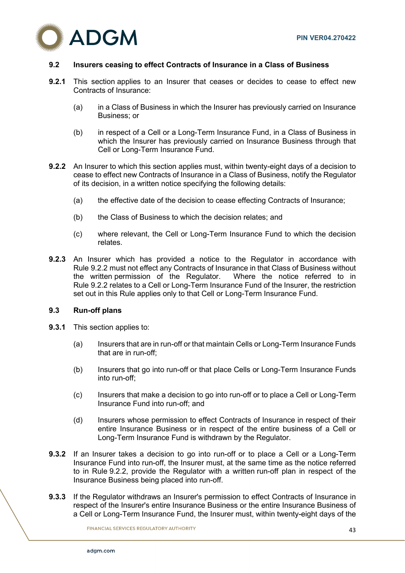

# <span id="page-47-0"></span>**9.2 Insurers ceasing to effect Contracts of Insurance in a Class of Business**

- **9.2.1** This section applies to an Insurer that ceases or decides to cease to effect new Contracts of Insurance:
	- (a) in a Class of Business in which the Insurer has previously carried on Insurance Business; or
	- (b) in respect of a Cell or a Long-Term Insurance Fund, in a Class of Business in which the Insurer has previously carried on Insurance Business through that Cell or Long-Term Insurance Fund.
- <span id="page-47-2"></span>**9.2.2** An Insurer to which this section applies must, within twenty-eight days of a decision to cease to effect new Contracts of Insurance in a Class of Business, notify the Regulator of its decision, in a written notice specifying the following details:
	- (a) the effective date of the decision to cease effecting Contracts of Insurance;
	- (b) the Class of Business to which the decision relates; and
	- (c) where relevant, the Cell or Long-Term Insurance Fund to which the decision relates.
- **9.2.3** An Insurer which has provided a notice to the Regulator in accordance with Rule [9.2.2](#page-47-2) must not effect any Contracts of Insurance in that Class of Business without the written permission of the Regulator. Where the notice referred to in Rule [9.2.2](#page-47-2) relates to a Cell or Long-Term Insurance Fund of the Insurer, the restriction set out in this Rule applies only to that Cell or Long-Term Insurance Fund.

# <span id="page-47-1"></span>**9.3 Run-off plans**

- **9.3.1** This section applies to:
	- (a) Insurers that are in run-off or that maintain Cells or Long-Term Insurance Funds that are in run-off;
	- (b) Insurers that go into run-off or that place Cells or Long-Term Insurance Funds into run-off;
	- (c) Insurers that make a decision to go into run-off or to place a Cell or Long-Term Insurance Fund into run-off; and
	- (d) Insurers whose permission to effect Contracts of Insurance in respect of their entire Insurance Business or in respect of the entire business of a Cell or Long-Term Insurance Fund is withdrawn by the Regulator.
- **9.3.2** If an Insurer takes a decision to go into run-off or to place a Cell or a Long-Term Insurance Fund into run-off, the Insurer must, at the same time as the notice referred to in Rule [9.2.2,](#page-47-2) provide the Regulator with a written run-off plan in respect of the Insurance Business being placed into run-off.
- **9.3.3** If the Regulator withdraws an Insurer's permission to effect Contracts of Insurance in respect of the Insurer's entire Insurance Business or the entire Insurance Business of a Cell or Long-Term Insurance Fund, the Insurer must, within twenty-eight days of the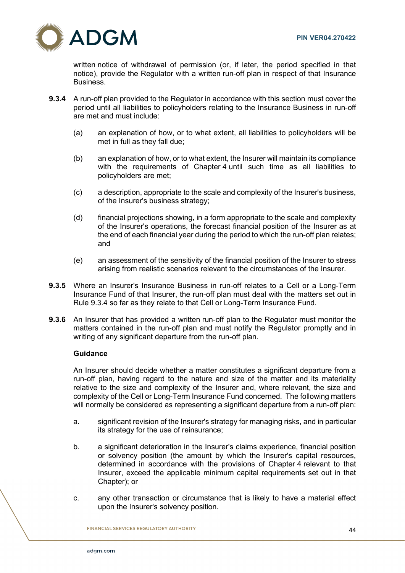

written notice of withdrawal of permission (or, if later, the period specified in that notice), provide the Regulator with a written run-off plan in respect of that Insurance Business.

- <span id="page-48-0"></span>**9.3.4** A run-off plan provided to the Regulator in accordance with this section must cover the period until all liabilities to policyholders relating to the Insurance Business in run-off are met and must include:
	- (a) an explanation of how, or to what extent, all liabilities to policyholders will be met in full as they fall due;
	- (b) an explanation of how, or to what extent, the Insurer will maintain its compliance with the requirements of Chapter [4](#page-14-0) until such time as all liabilities to policyholders are met;
	- (c) a description, appropriate to the scale and complexity of the Insurer's business, of the Insurer's business strategy;
	- (d) financial projections showing, in a form appropriate to the scale and complexity of the Insurer's operations, the forecast financial position of the Insurer as at the end of each financial year during the period to which the run-off plan relates; and
	- (e) an assessment of the sensitivity of the financial position of the Insurer to stress arising from realistic scenarios relevant to the circumstances of the Insurer.
- **9.3.5** Where an Insurer's Insurance Business in run-off relates to a Cell or a Long-Term Insurance Fund of that Insurer, the run-off plan must deal with the matters set out in Rule [9.3.4](#page-48-0) so far as they relate to that Cell or Long-Term Insurance Fund.
- <span id="page-48-1"></span>**9.3.6** An Insurer that has provided a written run-off plan to the Regulator must monitor the matters contained in the run-off plan and must notify the Regulator promptly and in writing of any significant departure from the run-off plan.

# **Guidance**

An Insurer should decide whether a matter constitutes a significant departure from a run-off plan, having regard to the nature and size of the matter and its materiality relative to the size and complexity of the Insurer and, where relevant, the size and complexity of the Cell or Long-Term Insurance Fund concerned. The following matters will normally be considered as representing a significant departure from a run-off plan:

- a. significant revision of the Insurer's strategy for managing risks, and in particular its strategy for the use of reinsurance;
- b. a significant deterioration in the Insurer's claims experience, financial position or solvency position (the amount by which the Insurer's capital resources, determined in accordance with the provisions of Chapter [4](#page-14-0) relevant to that Insurer, exceed the applicable minimum capital requirements set out in that Chapter); or
- c. any other transaction or circumstance that is likely to have a material effect upon the Insurer's solvency position.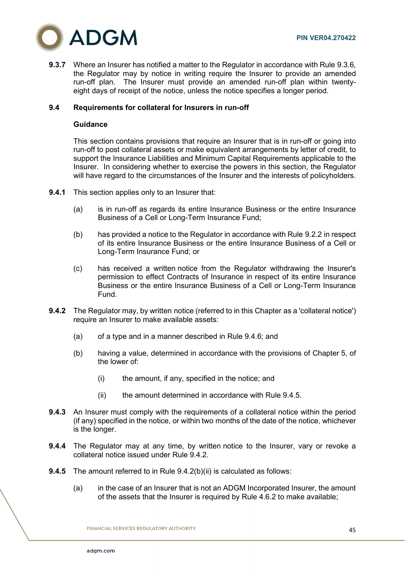

**9.3.7** Where an Insurer has notified a matter to the Regulator in accordance with Rule [9.3.6,](#page-48-1) the Regulator may by notice in writing require the Insurer to provide an amended run-off plan. The Insurer must provide an amended run-off plan within twentyeight days of receipt of the notice, unless the notice specifies a longer period.

### <span id="page-49-0"></span>**9.4 Requirements for collateral for Insurers in run-off**

#### **Guidance**

This section contains provisions that require an Insurer that is in run-off or going into run-off to post collateral assets or make equivalent arrangements by letter of credit, to support the Insurance Liabilities and Minimum Capital Requirements applicable to the Insurer. In considering whether to exercise the powers in this section, the Regulator will have regard to the circumstances of the Insurer and the interests of policyholders.

- <span id="page-49-5"></span>**9.4.1** This section applies only to an Insurer that:
	- (a) is in run-off as regards its entire Insurance Business or the entire Insurance Business of a Cell or Long-Term Insurance Fund;
	- (b) has provided a notice to the Regulator in accordance with Rule [9.2.2](#page-47-2) in respect of its entire Insurance Business or the entire Insurance Business of a Cell or Long-Term Insurance Fund; or
	- (c) has received a written notice from the Regulator withdrawing the Insurer's permission to effect Contracts of Insurance in respect of its entire Insurance Business or the entire Insurance Business of a Cell or Long-Term Insurance Fund.
- <span id="page-49-2"></span>**9.4.2** The Regulator may, by written notice (referred to in this Chapter as a 'collateral notice') require an Insurer to make available assets:
	- (a) of a type and in a manner described in Rule [9.4.6;](#page-50-0) and
	- (b) having a value, determined in accordance with the provisions of Chapter [5,](#page-20-0) of the lower of:
		- (i) the amount, if any, specified in the notice; and
		- (ii) the amount determined in accordance with Rule [9.4.5.](#page-49-1)
- <span id="page-49-3"></span>**9.4.3** An Insurer must comply with the requirements of a collateral notice within the period (if any) specified in the notice, or within two months of the date of the notice, whichever is the longer.
- **9.4.4** The Regulator may at any time, by written notice to the Insurer, vary or revoke a collateral notice issued under Rule 9.4.2
- <span id="page-49-4"></span><span id="page-49-1"></span>**9.4.5** The amount referred to in Rule [9.4.2\(b\)\(ii\)](#page-49-3) is calculated as follows:
	- (a) in the case of an Insurer that is not an ADGM Incorporated Insurer, the amount of the assets that the Insurer is required by Rule [4.6.2](#page-17-0) to make available;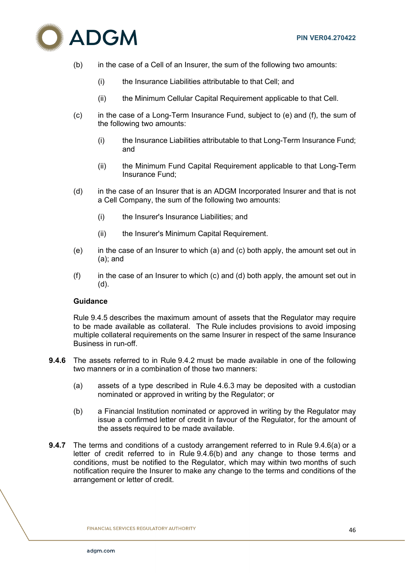

- (b) in the case of a Cell of an Insurer, the sum of the following two amounts:
	- (i) the Insurance Liabilities attributable to that Cell; and
	- (ii) the Minimum Cellular Capital Requirement applicable to that Cell.
- <span id="page-50-3"></span>(c) in the case of a Long-Term Insurance Fund, subject to [\(e\)](#page-50-1) and [\(f\),](#page-50-2) the sum of the following two amounts:
	- (i) the Insurance Liabilities attributable to that Long-Term Insurance Fund; and
	- (ii) the Minimum Fund Capital Requirement applicable to that Long-Term Insurance Fund;
- <span id="page-50-4"></span>(d) in the case of an Insurer that is an ADGM Incorporated Insurer and that is not a Cell Company, the sum of the following two amounts:
	- (i) the Insurer's Insurance Liabilities; and
	- (ii) the Insurer's Minimum Capital Requirement.
- <span id="page-50-1"></span>(e) in the case of an Insurer to which [\(a\)](#page-49-4) and [\(c\)](#page-50-3) both apply, the amount set out in [\(a\);](#page-49-4) and
- <span id="page-50-2"></span> $(f)$  in the case of an Insurer to which  $(c)$  and  $(d)$  both apply, the amount set out in [\(d\).](#page-50-4)

## **Guidance**

Rule [9.4.5](#page-49-1) describes the maximum amount of assets that the Regulator may require to be made available as collateral. The Rule includes provisions to avoid imposing multiple collateral requirements on the same Insurer in respect of the same Insurance Business in run-off.

- <span id="page-50-5"></span><span id="page-50-0"></span>**9.4.6** The assets referred to in Rule [9.4.2](#page-49-2) must be made available in one of the following two manners or in a combination of those two manners:
	- (a) assets of a type described in Rule [4.6.3](#page-18-0) may be deposited with a custodian nominated or approved in writing by the Regulator; or
	- (b) a Financial Institution nominated or approved in writing by the Regulator may issue a confirmed letter of credit in favour of the Regulator, for the amount of the assets required to be made available.
- <span id="page-50-6"></span>**9.4.7** The terms and conditions of a custody arrangement referred to in Rule [9.4.6\(a\)](#page-50-5) or a letter of credit referred to in Rule [9.4.6\(b\)](#page-50-6) and any change to those terms and conditions, must be notified to the Regulator, which may within two months of such notification require the Insurer to make any change to the terms and conditions of the arrangement or letter of credit.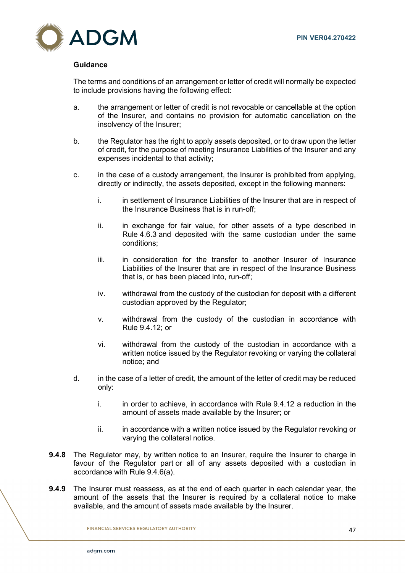

### **Guidance**

The terms and conditions of an arrangement or letter of credit will normally be expected to include provisions having the following effect:

- a. the arrangement or letter of credit is not revocable or cancellable at the option of the Insurer, and contains no provision for automatic cancellation on the insolvency of the Insurer;
- b. the Regulator has the right to apply assets deposited, or to draw upon the letter of credit, for the purpose of meeting Insurance Liabilities of the Insurer and any expenses incidental to that activity;
- c. in the case of a custody arrangement, the Insurer is prohibited from applying, directly or indirectly, the assets deposited, except in the following manners:
	- i. in settlement of Insurance Liabilities of the Insurer that are in respect of the Insurance Business that is in run-off;
	- ii. in exchange for fair value, for other assets of a type described in Rule [4.6.3](#page-18-0) and deposited with the same custodian under the same conditions;
	- iii. in consideration for the transfer to another Insurer of Insurance Liabilities of the Insurer that are in respect of the Insurance Business that is, or has been placed into, run-off;
	- iv. withdrawal from the custody of the custodian for deposit with a different custodian approved by the Regulator;
	- v. withdrawal from the custody of the custodian in accordance with Rule [9.4.12;](#page-52-2) or
	- vi. withdrawal from the custody of the custodian in accordance with a written notice issued by the Regulator revoking or varying the collateral notice; and
- d. in the case of a letter of credit, the amount of the letter of credit may be reduced only:
	- i. in order to achieve, in accordance with Rule [9.4.12](#page-52-2) a reduction in the amount of assets made available by the Insurer; or
	- ii. in accordance with a written notice issued by the Regulator revoking or varying the collateral notice.
- **9.4.8** The Regulator may, by written notice to an Insurer, require the Insurer to charge in favour of the Regulator part or all of any assets deposited with a custodian in accordance with Rule [9.4.6\(a\).](#page-50-5)
- <span id="page-51-0"></span>**9.4.9** The Insurer must reassess, as at the end of each quarter in each calendar year, the amount of the assets that the Insurer is required by a collateral notice to make available, and the amount of assets made available by the Insurer.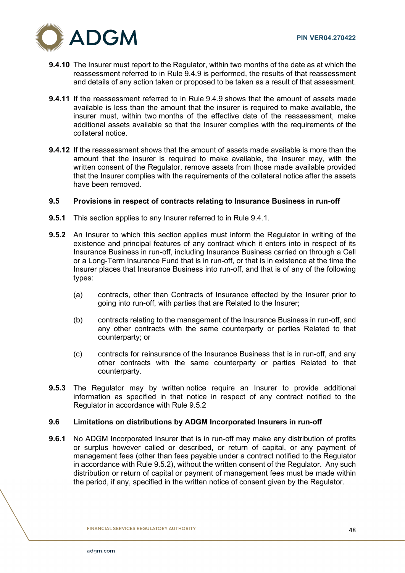

- **9.4.10** The Insurer must report to the Regulator, within two months of the date as at which the reassessment referred to in Rule [9.4.9](#page-51-0) is performed, the results of that reassessment and details of any action taken or proposed to be taken as a result of that assessment.
- **9.4.11** If the reassessment referred to in Rule [9.4.9](#page-51-0) shows that the amount of assets made available is less than the amount that the insurer is required to make available, the insurer must, within two months of the effective date of the reassessment, make additional assets available so that the Insurer complies with the requirements of the collateral notice.
- <span id="page-52-2"></span>**9.4.12** If the reassessment shows that the amount of assets made available is more than the amount that the insurer is required to make available, the Insurer may, with the written consent of the Regulator, remove assets from those made available provided that the Insurer complies with the requirements of the collateral notice after the assets have been removed.

# <span id="page-52-0"></span>**9.5 Provisions in respect of contracts relating to Insurance Business in run-off**

- **9.5.1** This section applies to any Insurer referred to in Rule [9.4.1.](#page-49-5)
- <span id="page-52-3"></span>**9.5.2** An Insurer to which this section applies must inform the Regulator in writing of the existence and principal features of any contract which it enters into in respect of its Insurance Business in run-off, including Insurance Business carried on through a Cell or a Long-Term Insurance Fund that is in run-off, or that is in existence at the time the Insurer places that Insurance Business into run-off, and that is of any of the following types:
	- (a) contracts, other than Contracts of Insurance effected by the Insurer prior to going into run-off, with parties that are Related to the Insurer;
	- (b) contracts relating to the management of the Insurance Business in run-off, and any other contracts with the same counterparty or parties Related to that counterparty; or
	- (c) contracts for reinsurance of the Insurance Business that is in run-off, and any other contracts with the same counterparty or parties Related to that counterparty.
- **9.5.3** The Regulator may by written notice require an Insurer to provide additional information as specified in that notice in respect of any contract notified to the Regulator in accordance with Rule [9.5.2](#page-52-3)

## <span id="page-52-1"></span>**9.6 Limitations on distributions by ADGM Incorporated Insurers in run-off**

**9.6.1** No ADGM Incorporated Insurer that is in run-off may make any distribution of profits or surplus however called or described, or return of capital, or any payment of management fees (other than fees payable under a contract notified to the Regulator in accordance with Rule [9.5.2\)](#page-52-3), without the written consent of the Regulator. Any such distribution or return of capital or payment of management fees must be made within the period, if any, specified in the written notice of consent given by the Regulator.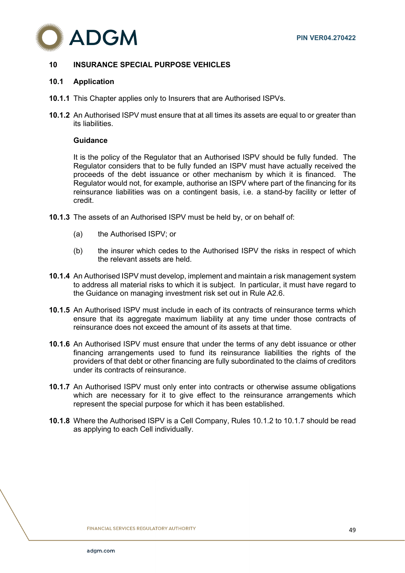

# **10 INSURANCE SPECIAL PURPOSE VEHICLES**

# **10.1 Application**

- **10.1.1** This Chapter applies only to Insurers that are Authorised ISPVs.
- <span id="page-53-0"></span>**10.1.2** An Authorised ISPV must ensure that at all times its assets are equal to or greater than its liabilities.

## **Guidance**

It is the policy of the Regulator that an Authorised ISPV should be fully funded. The Regulator considers that to be fully funded an ISPV must have actually received the proceeds of the debt issuance or other mechanism by which it is financed. The Regulator would not, for example, authorise an ISPV where part of the financing for its reinsurance liabilities was on a contingent basis, i.e. a stand-by facility or letter of credit.

**10.1.3** The assets of an Authorised ISPV must be held by, or on behalf of:

- (a) the Authorised ISPV; or
- (b) the insurer which cedes to the Authorised ISPV the risks in respect of which the relevant assets are held.
- **10.1.4** An Authorised ISPV must develop, implement and maintain a risk management system to address all material risks to which it is subject. In particular, it must have regard to the Guidance on managing investment risk set out in Rule [A2.6.](#page-60-0)
- **10.1.5** An Authorised ISPV must include in each of its contracts of reinsurance terms which ensure that its aggregate maximum liability at any time under those contracts of reinsurance does not exceed the amount of its assets at that time.
- **10.1.6** An Authorised ISPV must ensure that under the terms of any debt issuance or other financing arrangements used to fund its reinsurance liabilities the rights of the providers of that debt or other financing are fully subordinated to the claims of creditors under its contracts of reinsurance.
- <span id="page-53-1"></span>**10.1.7** An Authorised ISPV must only enter into contracts or otherwise assume obligations which are necessary for it to give effect to the reinsurance arrangements which represent the special purpose for which it has been established.
- **10.1.8** Where the Authorised ISPV is a Cell Company, Rules [10.1.2](#page-53-0) to [10.1.7](#page-53-1) should be read as applying to each Cell individually.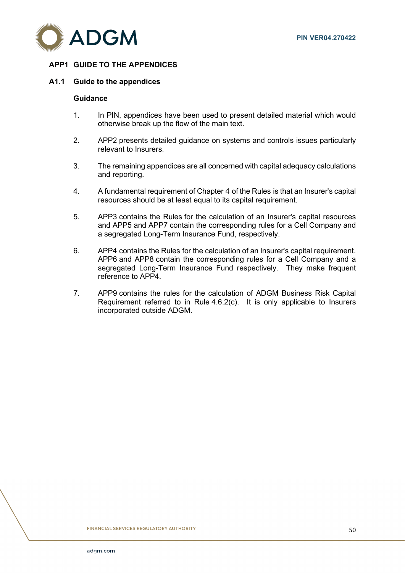

# **APP1 GUIDE TO THE APPENDICES**

### **A1.1 Guide to the appendices**

#### **Guidance**

- 1. In PIN, appendices have been used to present detailed material which would otherwise break up the flow of the main text.
- 2. [APP2](#page-55-0) presents detailed guidance on systems and controls issues particularly relevant to Insurers.
- 3. The remaining appendices are all concerned with capital adequacy calculations and reporting.
- 4. A fundamental requirement of Chapter [4](#page-14-0) of the Rules is that an Insurer's capital resources should be at least equal to its capital requirement.
- 5. [APP3](#page-74-1) contains the Rules for the calculation of an Insurer's capital resources and [APP5](#page-93-0) and [APP7](#page-108-0) contain the corresponding rules for a Cell Company and a segregated Long-Term Insurance Fund, respectively.
- 6. [APP4](#page-78-0) contains the Rules for the calculation of an Insurer's capital requirement. [APP6](#page-99-0) and [APP8](#page-111-0) contain the corresponding rules for a Cell Company and a segregated Long-Term Insurance Fund respectively. They make frequent reference to [APP4.](#page-78-0)
- 7. [APP9](#page-117-0) contains the rules for the calculation of ADGM Business Risk Capital Requirement referred to in Rule [4.6.2\(c\).](#page-18-1) It is only applicable to Insurers incorporated outside ADGM.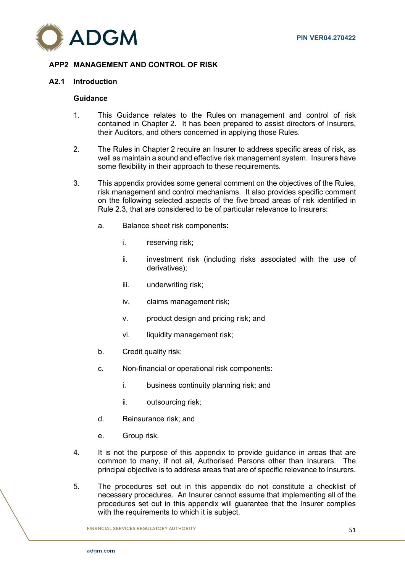

# <span id="page-55-0"></span>**APP2 MANAGEMENT AND CONTROL OF RISK**

## **A2.1 Introduction**

#### **Guidance**

- 1. This Guidance relates to the Rules on management and control of risk contained in Chapter [2.](#page-6-0) It has been prepared to assist directors of Insurers, their Auditors, and others concerned in applying those Rules.
- 2. The Rules in Chapter [2](#page-6-0) require an Insurer to address specific areas of risk, as well as maintain a sound and effective risk management system. Insurers have some flexibility in their approach to these requirements.
- 3. This appendix provides some general comment on the objectives of the Rules, risk management and control mechanisms. It also provides specific comment on the following selected aspects of the five broad areas of risk identified in Rule [2.3,](#page-7-0) that are considered to be of particular relevance to Insurers:
	- a. Balance sheet risk components:
		- i. reserving risk;
		- ii. investment risk (including risks associated with the use of derivatives);
		- iii. underwriting risk;
		- iv. claims management risk;
		- v. product design and pricing risk; and
		- vi. liquidity management risk;
	- b. Credit quality risk;
	- c. Non-financial or operational risk components:
		- i. business continuity planning risk; and
		- ii. outsourcing risk;
	- d. Reinsurance risk; and
	- e. Group risk.
- 4. It is not the purpose of this appendix to provide guidance in areas that are common to many, if not all, Authorised Persons other than Insurers. The principal objective is to address areas that are of specific relevance to Insurers.
- 5. The procedures set out in this appendix do not constitute a checklist of necessary procedures. An Insurer cannot assume that implementing all of the procedures set out in this appendix will guarantee that the Insurer complies with the requirements to which it is subject.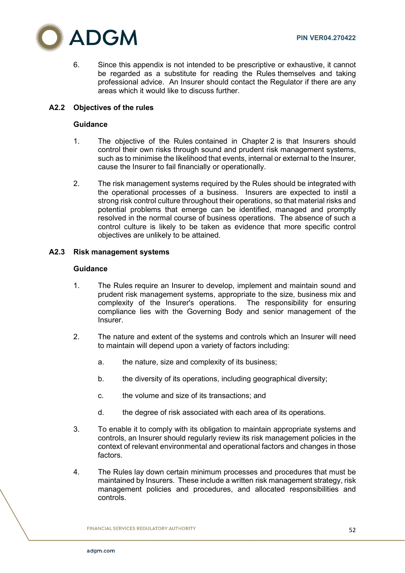6. Since this appendix is not intended to be prescriptive or exhaustive, it cannot be regarded as a substitute for reading the Rules themselves and taking professional advice. An Insurer should contact the Regulator if there are any areas which it would like to discuss further.

# **A2.2 Objectives of the rules**

### **Guidance**

- 1. The objective of the Rules contained in Chapter [2](#page-6-0) is that Insurers should control their own risks through sound and prudent risk management systems, such as to minimise the likelihood that events, internal or external to the Insurer, cause the Insurer to fail financially or operationally.
- 2. The risk management systems required by the Rules should be integrated with the operational processes of a business. Insurers are expected to instil a strong risk control culture throughout their operations, so that material risks and potential problems that emerge can be identified, managed and promptly resolved in the normal course of business operations. The absence of such a control culture is likely to be taken as evidence that more specific control objectives are unlikely to be attained.

### **A2.3 Risk management systems**

#### **Guidance**

- 1. The Rules require an Insurer to develop, implement and maintain sound and prudent risk management systems, appropriate to the size, business mix and complexity of the Insurer's operations. The responsibility for ensuring compliance lies with the Governing Body and senior management of the Insurer.
- 2. The nature and extent of the systems and controls which an Insurer will need to maintain will depend upon a variety of factors including:
	- a. the nature, size and complexity of its business;
	- b. the diversity of its operations, including geographical diversity;
	- c. the volume and size of its transactions; and
	- d. the degree of risk associated with each area of its operations.
- 3. To enable it to comply with its obligation to maintain appropriate systems and controls, an Insurer should regularly review its risk management policies in the context of relevant environmental and operational factors and changes in those factors.
- 4. The Rules lay down certain minimum processes and procedures that must be maintained by Insurers. These include a written risk management strategy, risk management policies and procedures, and allocated responsibilities and controls.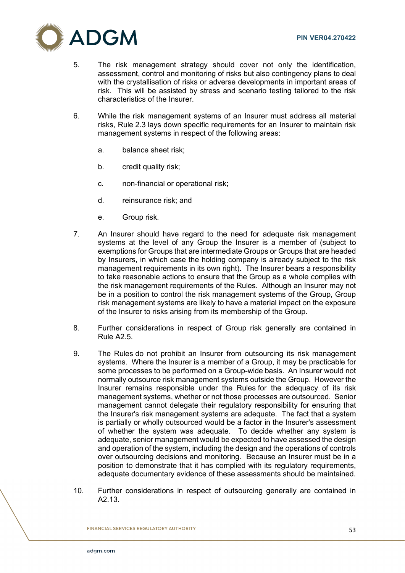

- 5. The risk management strategy should cover not only the identification, assessment, control and monitoring of risks but also contingency plans to deal with the crystallisation of risks or adverse developments in important areas of risk. This will be assisted by stress and scenario testing tailored to the risk characteristics of the Insurer.
- 6. While the risk management systems of an Insurer must address all material risks, Rule [2.3](#page-7-0) lays down specific requirements for an Insurer to maintain risk management systems in respect of the following areas:
	- a. balance sheet risk;
	- b. credit quality risk;
	- c. non-financial or operational risk;
	- d. reinsurance risk; and
	- e. Group risk.
- 7. An Insurer should have regard to the need for adequate risk management systems at the level of any Group the Insurer is a member of (subject to exemptions for Groups that are intermediate Groups or Groups that are headed by Insurers, in which case the holding company is already subject to the risk management requirements in its own right). The Insurer bears a responsibility to take reasonable actions to ensure that the Group as a whole complies with the risk management requirements of the Rules. Although an Insurer may not be in a position to control the risk management systems of the Group, Group risk management systems are likely to have a material impact on the exposure of the Insurer to risks arising from its membership of the Group.
- 8. Further considerations in respect of Group risk generally are contained in Rule [A2.5.](#page-58-0)
- 9. The Rules do not prohibit an Insurer from outsourcing its risk management systems. Where the Insurer is a member of a Group, it may be practicable for some processes to be performed on a Group-wide basis. An Insurer would not normally outsource risk management systems outside the Group. However the Insurer remains responsible under the Rules for the adequacy of its risk management systems, whether or not those processes are outsourced. Senior management cannot delegate their regulatory responsibility for ensuring that the Insurer's risk management systems are adequate. The fact that a system is partially or wholly outsourced would be a factor in the Insurer's assessment of whether the system was adequate. To decide whether any system is adequate, senior management would be expected to have assessed the design and operation of the system, including the design and the operations of controls over outsourcing decisions and monitoring. Because an Insurer must be in a position to demonstrate that it has complied with its regulatory requirements, adequate documentary evidence of these assessments should be maintained.
- 10. Further considerations in respect of outsourcing generally are contained in [A2.13.](#page-68-0)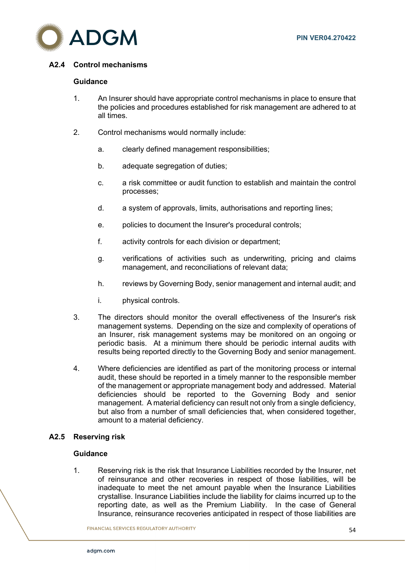

# **A2.4 Control mechanisms**

## **Guidance**

- 1. An Insurer should have appropriate control mechanisms in place to ensure that the policies and procedures established for risk management are adhered to at all times.
- 2. Control mechanisms would normally include:
	- a. clearly defined management responsibilities;
	- b. adequate segregation of duties;
	- c. a risk committee or audit function to establish and maintain the control processes;
	- d. a system of approvals, limits, authorisations and reporting lines;
	- e. policies to document the Insurer's procedural controls;
	- f. activity controls for each division or department;
	- g. verifications of activities such as underwriting, pricing and claims management, and reconciliations of relevant data;
	- h. reviews by Governing Body, senior management and internal audit; and
	- i. physical controls.
- 3. The directors should monitor the overall effectiveness of the Insurer's risk management systems. Depending on the size and complexity of operations of an Insurer, risk management systems may be monitored on an ongoing or periodic basis. At a minimum there should be periodic internal audits with results being reported directly to the Governing Body and senior management.
- 4. Where deficiencies are identified as part of the monitoring process or internal audit, these should be reported in a timely manner to the responsible member of the management or appropriate management body and addressed. Material deficiencies should be reported to the Governing Body and senior management. A material deficiency can result not only from a single deficiency, but also from a number of small deficiencies that, when considered together, amount to a material deficiency.

## <span id="page-58-0"></span>**A2.5 Reserving risk**

## **Guidance**

1. Reserving risk is the risk that Insurance Liabilities recorded by the Insurer, net of reinsurance and other recoveries in respect of those liabilities, will be inadequate to meet the net amount payable when the Insurance Liabilities crystallise. Insurance Liabilities include the liability for claims incurred up to the reporting date, as well as the Premium Liability. In the case of General Insurance, reinsurance recoveries anticipated in respect of those liabilities are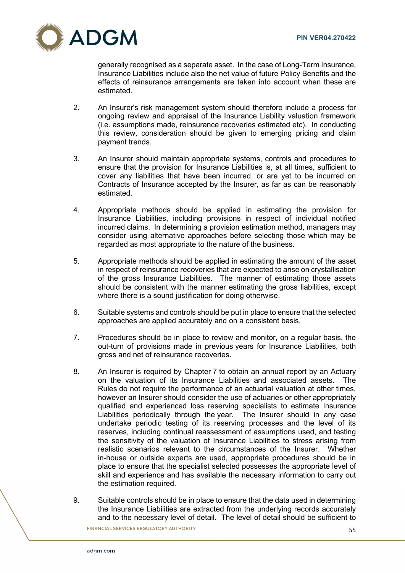

generally recognised as a separate asset. In the case of Long-Term Insurance, Insurance Liabilities include also the net value of future Policy Benefits and the effects of reinsurance arrangements are taken into account when these are estimated.

- 2. An Insurer's risk management system should therefore include a process for ongoing review and appraisal of the Insurance Liability valuation framework (i.e. assumptions made, reinsurance recoveries estimated etc). In conducting this review, consideration should be given to emerging pricing and claim payment trends.
- 3. An Insurer should maintain appropriate systems, controls and procedures to ensure that the provision for Insurance Liabilities is, at all times, sufficient to cover any liabilities that have been incurred, or are yet to be incurred on Contracts of Insurance accepted by the Insurer, as far as can be reasonably estimated.
- 4. Appropriate methods should be applied in estimating the provision for Insurance Liabilities, including provisions in respect of individual notified incurred claims. In determining a provision estimation method, managers may consider using alternative approaches before selecting those which may be regarded as most appropriate to the nature of the business.
- 5. Appropriate methods should be applied in estimating the amount of the asset in respect of reinsurance recoveries that are expected to arise on crystallisation of the gross Insurance Liabilities. The manner of estimating those assets should be consistent with the manner estimating the gross liabilities, except where there is a sound justification for doing otherwise.
- 6. Suitable systems and controls should be put in place to ensure that the selected approaches are applied accurately and on a consistent basis.
- 7. Procedures should be in place to review and monitor, on a regular basis, the out-turn of provisions made in previous years for Insurance Liabilities, both gross and net of reinsurance recoveries.
- 8. An Insurer is required by Chapter [7](#page-33-1) to obtain an annual report by an Actuary on the valuation of its Insurance Liabilities and associated assets. The Rules do not require the performance of an actuarial valuation at other times, however an Insurer should consider the use of actuaries or other appropriately qualified and experienced loss reserving specialists to estimate Insurance Liabilities periodically through the year. The Insurer should in any case undertake periodic testing of its reserving processes and the level of its reserves, including continual reassessment of assumptions used, and testing the sensitivity of the valuation of Insurance Liabilities to stress arising from realistic scenarios relevant to the circumstances of the Insurer. Whether in-house or outside experts are used, appropriate procedures should be in place to ensure that the specialist selected possesses the appropriate level of skill and experience and has available the necessary information to carry out the estimation required.
- 9. Suitable controls should be in place to ensure that the data used in determining the Insurance Liabilities are extracted from the underlying records accurately and to the necessary level of detail. The level of detail should be sufficient to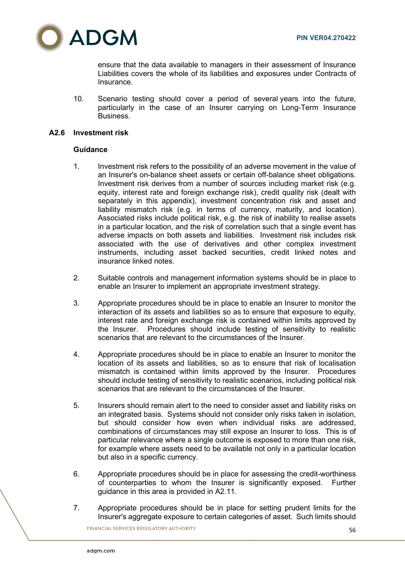

ensure that the data available to managers in their assessment of Insurance Liabilities covers the whole of its liabilities and exposures under Contracts of **Insurance** 

10. Scenario testing should cover a period of several years into the future, particularly in the case of an Insurer carrying on Long-Term Insurance Business.

## <span id="page-60-0"></span>**A2.6 Investment risk**

## **Guidance**

- 1. Investment risk refers to the possibility of an adverse movement in the value of an Insurer's on-balance sheet assets or certain off-balance sheet obligations. Investment risk derives from a number of sources including market risk (e.g. equity, interest rate and foreign exchange risk), credit quality risk (dealt with separately in this appendix), investment concentration risk and asset and liability mismatch risk (e.g. in terms of currency, maturity, and location). Associated risks include political risk, e.g. the risk of inability to realise assets in a particular location, and the risk of correlation such that a single event has adverse impacts on both assets and liabilities. Investment risk includes risk associated with the use of derivatives and other complex investment instruments, including asset backed securities, credit linked notes and insurance linked notes.
- 2. Suitable controls and management information systems should be in place to enable an Insurer to implement an appropriate investment strategy.
- 3. Appropriate procedures should be in place to enable an Insurer to monitor the interaction of its assets and liabilities so as to ensure that exposure to equity, interest rate and foreign exchange risk is contained within limits approved by the Insurer. Procedures should include testing of sensitivity to realistic scenarios that are relevant to the circumstances of the Insurer.
- 4. Appropriate procedures should be in place to enable an Insurer to monitor the location of its assets and liabilities, so as to ensure that risk of localisation mismatch is contained within limits approved by the Insurer. Procedures should include testing of sensitivity to realistic scenarios, including political risk scenarios that are relevant to the circumstances of the Insurer.
- 5. Insurers should remain alert to the need to consider asset and liability risks on an integrated basis. Systems should not consider only risks taken in isolation, but should consider how even when individual risks are addressed, combinations of circumstances may still expose an Insurer to loss. This is of particular relevance where a single outcome is exposed to more than one risk, for example where assets need to be available not only in a particular location but also in a specific currency.
- 6. Appropriate procedures should be in place for assessing the credit-worthiness of counterparties to whom the Insurer is significantly exposed. Further guidance in this area is provided in [A2.11.](#page-67-0)
- 7. Appropriate procedures should be in place for setting prudent limits for the Insurer's aggregate exposure to certain categories of asset. Such limits should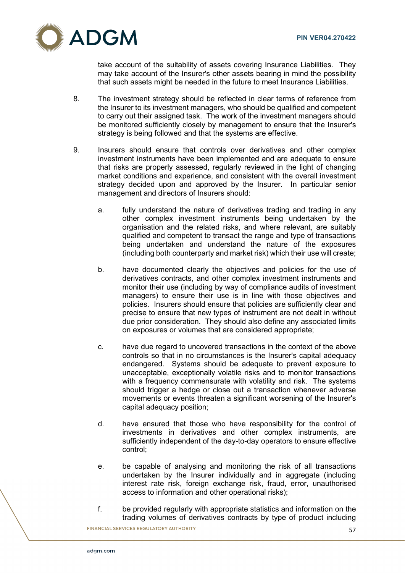

take account of the suitability of assets covering Insurance Liabilities. They may take account of the Insurer's other assets bearing in mind the possibility that such assets might be needed in the future to meet Insurance Liabilities.

- 8. The investment strategy should be reflected in clear terms of reference from the Insurer to its investment managers, who should be qualified and competent to carry out their assigned task. The work of the investment managers should be monitored sufficiently closely by management to ensure that the Insurer's strategy is being followed and that the systems are effective.
- 9. Insurers should ensure that controls over derivatives and other complex investment instruments have been implemented and are adequate to ensure that risks are properly assessed, regularly reviewed in the light of changing market conditions and experience, and consistent with the overall investment strategy decided upon and approved by the Insurer. In particular senior management and directors of Insurers should:
	- a. fully understand the nature of derivatives trading and trading in any other complex investment instruments being undertaken by the organisation and the related risks, and where relevant, are suitably qualified and competent to transact the range and type of transactions being undertaken and understand the nature of the exposures (including both counterparty and market risk) which their use will create;
	- b. have documented clearly the objectives and policies for the use of derivatives contracts, and other complex investment instruments and monitor their use (including by way of compliance audits of investment managers) to ensure their use is in line with those objectives and policies. Insurers should ensure that policies are sufficiently clear and precise to ensure that new types of instrument are not dealt in without due prior consideration. They should also define any associated limits on exposures or volumes that are considered appropriate;
	- c. have due regard to uncovered transactions in the context of the above controls so that in no circumstances is the Insurer's capital adequacy endangered. Systems should be adequate to prevent exposure to unacceptable, exceptionally volatile risks and to monitor transactions with a frequency commensurate with volatility and risk. The systems should trigger a hedge or close out a transaction whenever adverse movements or events threaten a significant worsening of the Insurer's capital adequacy position;
	- d. have ensured that those who have responsibility for the control of investments in derivatives and other complex instruments, are sufficiently independent of the day-to-day operators to ensure effective control;
	- e. be capable of analysing and monitoring the risk of all transactions undertaken by the Insurer individually and in aggregate (including interest rate risk, foreign exchange risk, fraud, error, unauthorised access to information and other operational risks);
	- f. be provided regularly with appropriate statistics and information on the trading volumes of derivatives contracts by type of product including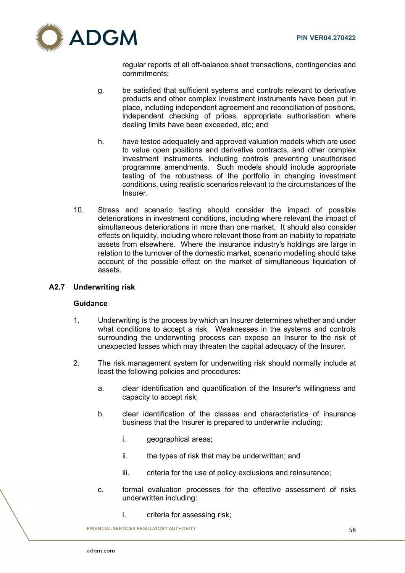

regular reports of all off-balance sheet transactions, contingencies and commitments;

- g. be satisfied that sufficient systems and controls relevant to derivative products and other complex investment instruments have been put in place, including independent agreement and reconciliation of positions, independent checking of prices, appropriate authorisation where dealing limits have been exceeded, etc; and
- h. have tested adequately and approved valuation models which are used to value open positions and derivative contracts, and other complex investment instruments, including controls preventing unauthorised programme amendments. Such models should include appropriate testing of the robustness of the portfolio in changing investment conditions, using realistic scenarios relevant to the circumstances of the Insurer.
- 10. Stress and scenario testing should consider the impact of possible deteriorations in investment conditions, including where relevant the impact of simultaneous deteriorations in more than one market. It should also consider effects on liquidity, including where relevant those from an inability to repatriate assets from elsewhere. Where the insurance industry's holdings are large in relation to the turnover of the domestic market, scenario modelling should take account of the possible effect on the market of simultaneous liquidation of assets.

# **A2.7 Underwriting risk**

## **Guidance**

- 1. Underwriting is the process by which an Insurer determines whether and under what conditions to accept a risk. Weaknesses in the systems and controls surrounding the underwriting process can expose an Insurer to the risk of unexpected losses which may threaten the capital adequacy of the Insurer.
- 2. The risk management system for underwriting risk should normally include at least the following policies and procedures:
	- a. clear identification and quantification of the Insurer's willingness and capacity to accept risk;
	- b. clear identification of the classes and characteristics of insurance business that the Insurer is prepared to underwrite including:
		- i. geographical areas;
		- ii. the types of risk that may be underwritten; and
		- iii. criteria for the use of policy exclusions and reinsurance;
	- c. formal evaluation processes for the effective assessment of risks underwritten including:
		- i. criteria for assessing risk;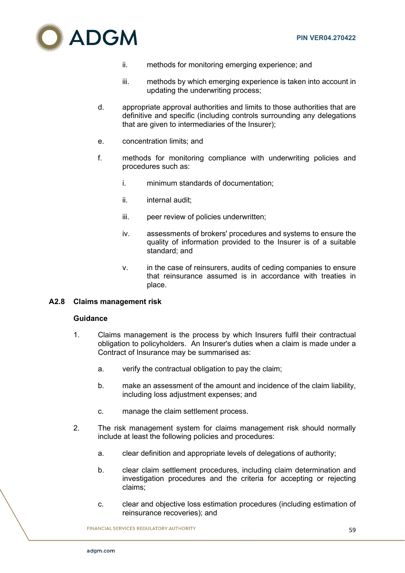

- ii. methods for monitoring emerging experience; and
- iii. methods by which emerging experience is taken into account in updating the underwriting process;
- d. appropriate approval authorities and limits to those authorities that are definitive and specific (including controls surrounding any delegations that are given to intermediaries of the Insurer);
- e. concentration limits; and
- f. methods for monitoring compliance with underwriting policies and procedures such as:
	- i. minimum standards of documentation;
	- ii. internal audit:
	- iii. peer review of policies underwritten;
	- iv. assessments of brokers' procedures and systems to ensure the quality of information provided to the Insurer is of a suitable standard; and
	- v. in the case of reinsurers, audits of ceding companies to ensure that reinsurance assumed is in accordance with treaties in place.

## **A2.8 Claims management risk**

#### **Guidance**

- 1. Claims management is the process by which Insurers fulfil their contractual obligation to policyholders. An Insurer's duties when a claim is made under a Contract of Insurance may be summarised as:
	- a. verify the contractual obligation to pay the claim;
	- b. make an assessment of the amount and incidence of the claim liability, including loss adjustment expenses; and
	- c. manage the claim settlement process.
- 2. The risk management system for claims management risk should normally include at least the following policies and procedures:
	- a. clear definition and appropriate levels of delegations of authority;
	- b. clear claim settlement procedures, including claim determination and investigation procedures and the criteria for accepting or rejecting claims;
	- c. clear and objective loss estimation procedures (including estimation of reinsurance recoveries); and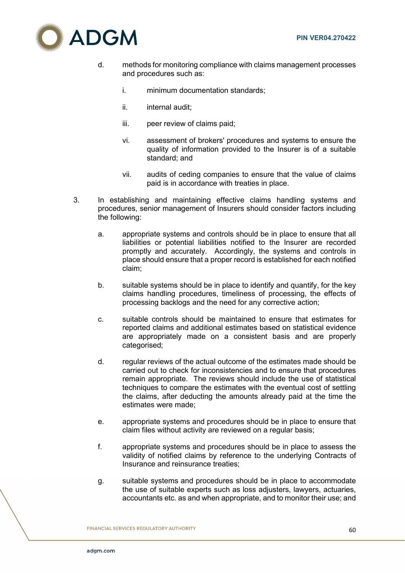

- d. methods for monitoring compliance with claims management processes and procedures such as:
	- i. minimum documentation standards;
	- ii. internal audit:
	- iii. peer review of claims paid;
	- vi. assessment of brokers' procedures and systems to ensure the quality of information provided to the Insurer is of a suitable standard; and
	- vii. audits of ceding companies to ensure that the value of claims paid is in accordance with treaties in place.
- 3. In establishing and maintaining effective claims handling systems and procedures, senior management of Insurers should consider factors including the following:
	- a. appropriate systems and controls should be in place to ensure that all liabilities or potential liabilities notified to the Insurer are recorded promptly and accurately. Accordingly, the systems and controls in place should ensure that a proper record is established for each notified claim;
	- b. suitable systems should be in place to identify and quantify, for the key claims handling procedures, timeliness of processing, the effects of processing backlogs and the need for any corrective action;
	- c. suitable controls should be maintained to ensure that estimates for reported claims and additional estimates based on statistical evidence are appropriately made on a consistent basis and are properly categorised;
	- d. regular reviews of the actual outcome of the estimates made should be carried out to check for inconsistencies and to ensure that procedures remain appropriate. The reviews should include the use of statistical techniques to compare the estimates with the eventual cost of settling the claims, after deducting the amounts already paid at the time the estimates were made;
	- e. appropriate systems and procedures should be in place to ensure that claim files without activity are reviewed on a regular basis;
	- f. appropriate systems and procedures should be in place to assess the validity of notified claims by reference to the underlying Contracts of Insurance and reinsurance treaties;
	- g. suitable systems and procedures should be in place to accommodate the use of suitable experts such as loss adjusters, lawyers, actuaries, accountants etc. as and when appropriate, and to monitor their use; and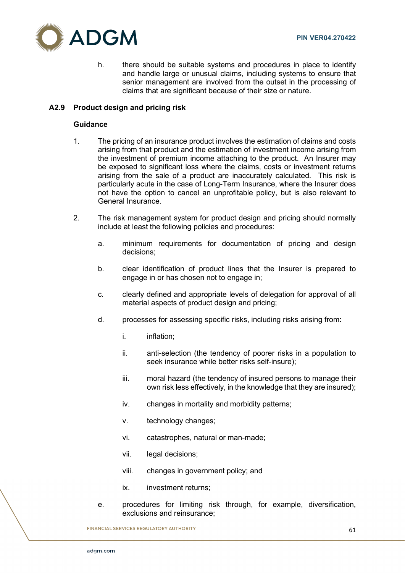

h. there should be suitable systems and procedures in place to identify and handle large or unusual claims, including systems to ensure that senior management are involved from the outset in the processing of claims that are significant because of their size or nature.

# **A2.9 Product design and pricing risk**

### **Guidance**

- 1. The pricing of an insurance product involves the estimation of claims and costs arising from that product and the estimation of investment income arising from the investment of premium income attaching to the product. An Insurer may be exposed to significant loss where the claims, costs or investment returns arising from the sale of a product are inaccurately calculated. This risk is particularly acute in the case of Long-Term Insurance, where the Insurer does not have the option to cancel an unprofitable policy, but is also relevant to General Insurance.
- 2. The risk management system for product design and pricing should normally include at least the following policies and procedures:
	- a. minimum requirements for documentation of pricing and design decisions;
	- b. clear identification of product lines that the Insurer is prepared to engage in or has chosen not to engage in;
	- c. clearly defined and appropriate levels of delegation for approval of all material aspects of product design and pricing;
	- d. processes for assessing specific risks, including risks arising from:
		- i. inflation;
		- ii. anti-selection (the tendency of poorer risks in a population to seek insurance while better risks self-insure);
		- iii. moral hazard (the tendency of insured persons to manage their own risk less effectively, in the knowledge that they are insured);
		- iv. changes in mortality and morbidity patterns;
		- v. technology changes;
		- vi. catastrophes, natural or man-made;
		- vii. legal decisions;
		- viii. changes in government policy; and
		- ix. investment returns;
	- e. procedures for limiting risk through, for example, diversification, exclusions and reinsurance;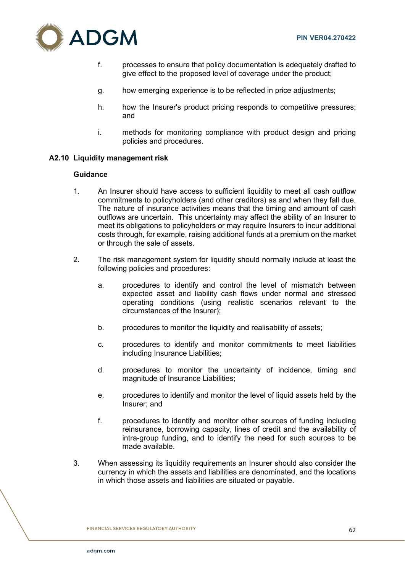

- f. processes to ensure that policy documentation is adequately drafted to give effect to the proposed level of coverage under the product;
- g. how emerging experience is to be reflected in price adjustments;
- h. how the Insurer's product pricing responds to competitive pressures; and
- i. methods for monitoring compliance with product design and pricing policies and procedures.

# **A2.10 Liquidity management risk**

### **Guidance**

- 1. An Insurer should have access to sufficient liquidity to meet all cash outflow commitments to policyholders (and other creditors) as and when they fall due. The nature of insurance activities means that the timing and amount of cash outflows are uncertain. This uncertainty may affect the ability of an Insurer to meet its obligations to policyholders or may require Insurers to incur additional costs through, for example, raising additional funds at a premium on the market or through the sale of assets.
- 2. The risk management system for liquidity should normally include at least the following policies and procedures:
	- a. procedures to identify and control the level of mismatch between expected asset and liability cash flows under normal and stressed operating conditions (using realistic scenarios relevant to the circumstances of the Insurer);
	- b. procedures to monitor the liquidity and realisability of assets;
	- c. procedures to identify and monitor commitments to meet liabilities including Insurance Liabilities;
	- d. procedures to monitor the uncertainty of incidence, timing and magnitude of Insurance Liabilities;
	- e. procedures to identify and monitor the level of liquid assets held by the Insurer; and
	- f. procedures to identify and monitor other sources of funding including reinsurance, borrowing capacity, lines of credit and the availability of intra-group funding, and to identify the need for such sources to be made available.
- 3. When assessing its liquidity requirements an Insurer should also consider the currency in which the assets and liabilities are denominated, and the locations in which those assets and liabilities are situated or payable.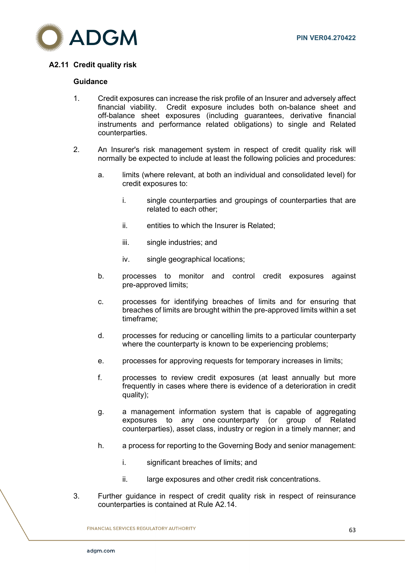

# <span id="page-67-0"></span>**A2.11 Credit quality risk**

## **Guidance**

- 1. Credit exposures can increase the risk profile of an Insurer and adversely affect financial viability. Credit exposure includes both on-balance sheet and off-balance sheet exposures (including guarantees, derivative financial instruments and performance related obligations) to single and Related counterparties.
- 2. An Insurer's risk management system in respect of credit quality risk will normally be expected to include at least the following policies and procedures:
	- a. limits (where relevant, at both an individual and consolidated level) for credit exposures to:
		- i. single counterparties and groupings of counterparties that are related to each other;
		- ii. entities to which the Insurer is Related;
		- iii. single industries; and
		- iv. single geographical locations;
	- b. processes to monitor and control credit exposures against pre-approved limits;
	- c. processes for identifying breaches of limits and for ensuring that breaches of limits are brought within the pre-approved limits within a set timeframe;
	- d. processes for reducing or cancelling limits to a particular counterparty where the counterparty is known to be experiencing problems;
	- e. processes for approving requests for temporary increases in limits;
	- f. processes to review credit exposures (at least annually but more frequently in cases where there is evidence of a deterioration in credit quality);
	- g. a management information system that is capable of aggregating exposures to any one counterparty (or group of Related counterparties), asset class, industry or region in a timely manner; and
	- h. a process for reporting to the Governing Body and senior management:
		- i. significant breaches of limits; and
		- ii. large exposures and other credit risk concentrations.
- 3. Further guidance in respect of credit quality risk in respect of reinsurance counterparties is contained at Rule [A2.14.](#page-70-0)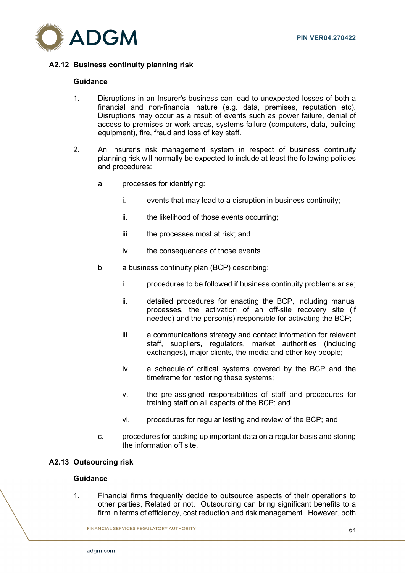

## **A2.12 Business continuity planning risk**

# **Guidance**

- 1. Disruptions in an Insurer's business can lead to unexpected losses of both a financial and non-financial nature (e.g. data, premises, reputation etc). Disruptions may occur as a result of events such as power failure, denial of access to premises or work areas, systems failure (computers, data, building equipment), fire, fraud and loss of key staff.
- 2. An Insurer's risk management system in respect of business continuity planning risk will normally be expected to include at least the following policies and procedures:
	- a. processes for identifying:
		- i. events that may lead to a disruption in business continuity;
		- ii. the likelihood of those events occurring;
		- iii. the processes most at risk; and
		- iv. the consequences of those events.
	- b. a business continuity plan (BCP) describing:
		- i. procedures to be followed if business continuity problems arise;
		- ii. detailed procedures for enacting the BCP, including manual processes, the activation of an off-site recovery site (if needed) and the person(s) responsible for activating the BCP;
		- iii. a communications strategy and contact information for relevant staff, suppliers, regulators, market authorities (including exchanges), major clients, the media and other key people;
		- iv. a schedule of critical systems covered by the BCP and the timeframe for restoring these systems:
		- v. the pre-assigned responsibilities of staff and procedures for training staff on all aspects of the BCP; and
		- vi. procedures for regular testing and review of the BCP; and
	- c. procedures for backing up important data on a regular basis and storing the information off site.

# <span id="page-68-0"></span>**A2.13 Outsourcing risk**

## **Guidance**

1. Financial firms frequently decide to outsource aspects of their operations to other parties, Related or not. Outsourcing can bring significant benefits to a firm in terms of efficiency, cost reduction and risk management. However, both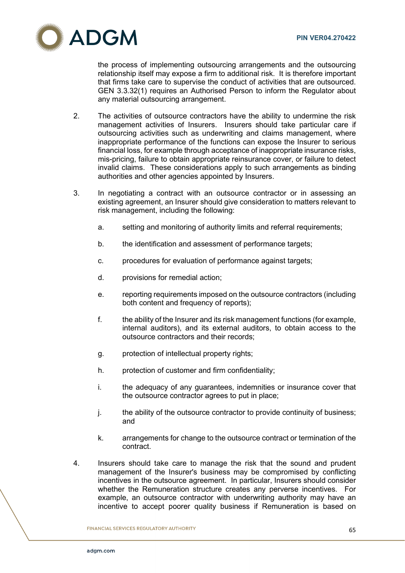

the process of implementing outsourcing arrangements and the outsourcing relationship itself may expose a firm to additional risk. It is therefore important that firms take care to supervise the conduct of activities that are outsourced. GEN 3.3.32(1) requires an Authorised Person to inform the Regulator about any material outsourcing arrangement.

- 2. The activities of outsource contractors have the ability to undermine the risk management activities of Insurers. Insurers should take particular care if outsourcing activities such as underwriting and claims management, where inappropriate performance of the functions can expose the Insurer to serious financial loss, for example through acceptance of inappropriate insurance risks, mis-pricing, failure to obtain appropriate reinsurance cover, or failure to detect invalid claims. These considerations apply to such arrangements as binding authorities and other agencies appointed by Insurers.
- 3. In negotiating a contract with an outsource contractor or in assessing an existing agreement, an Insurer should give consideration to matters relevant to risk management, including the following:
	- a. setting and monitoring of authority limits and referral requirements;
	- b. the identification and assessment of performance targets;
	- c. procedures for evaluation of performance against targets;
	- d. provisions for remedial action;
	- e. reporting requirements imposed on the outsource contractors (including both content and frequency of reports);
	- f. the ability of the Insurer and its risk management functions (for example, internal auditors), and its external auditors, to obtain access to the outsource contractors and their records;
	- g. protection of intellectual property rights;
	- h. protection of customer and firm confidentiality;
	- i. the adequacy of any guarantees, indemnities or insurance cover that the outsource contractor agrees to put in place;
	- j. the ability of the outsource contractor to provide continuity of business; and
	- k. arrangements for change to the outsource contract or termination of the contract.
- 4. Insurers should take care to manage the risk that the sound and prudent management of the Insurer's business may be compromised by conflicting incentives in the outsource agreement. In particular, Insurers should consider whether the Remuneration structure creates any perverse incentives. For example, an outsource contractor with underwriting authority may have an incentive to accept poorer quality business if Remuneration is based on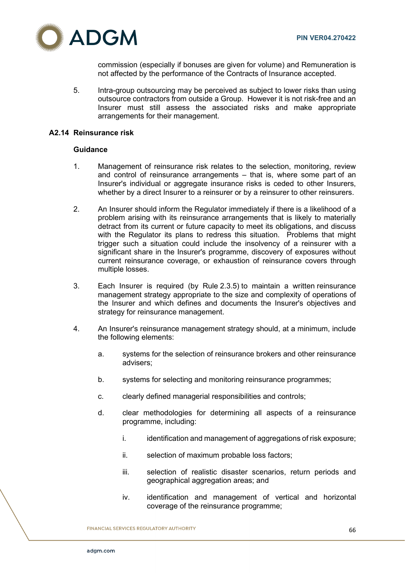

commission (especially if bonuses are given for volume) and Remuneration is not affected by the performance of the Contracts of Insurance accepted.

5. Intra-group outsourcing may be perceived as subject to lower risks than using outsource contractors from outside a Group. However it is not risk-free and an Insurer must still assess the associated risks and make appropriate arrangements for their management.

## <span id="page-70-0"></span>**A2.14 Reinsurance risk**

### **Guidance**

- 1. Management of reinsurance risk relates to the selection, monitoring, review and control of reinsurance arrangements – that is, where some part of an Insurer's individual or aggregate insurance risks is ceded to other Insurers, whether by a direct Insurer to a reinsurer or by a reinsurer to other reinsurers.
- 2. An Insurer should inform the Regulator immediately if there is a likelihood of a problem arising with its reinsurance arrangements that is likely to materially detract from its current or future capacity to meet its obligations, and discuss with the Regulator its plans to redress this situation. Problems that might trigger such a situation could include the insolvency of a reinsurer with a significant share in the Insurer's programme, discovery of exposures without current reinsurance coverage, or exhaustion of reinsurance covers through multiple losses.
- 3. Each Insurer is required (by Rule [2.3.5\)](#page-8-0) to maintain a written reinsurance management strategy appropriate to the size and complexity of operations of the Insurer and which defines and documents the Insurer's objectives and strategy for reinsurance management.
- 4. An Insurer's reinsurance management strategy should, at a minimum, include the following elements:
	- a. systems for the selection of reinsurance brokers and other reinsurance advisers;
	- b. systems for selecting and monitoring reinsurance programmes;
	- c. clearly defined managerial responsibilities and controls;
	- d. clear methodologies for determining all aspects of a reinsurance programme, including:
		- i. identification and management of aggregations of risk exposure;
		- ii. selection of maximum probable loss factors;
		- iii. selection of realistic disaster scenarios, return periods and geographical aggregation areas; and
		- iv. identification and management of vertical and horizontal coverage of the reinsurance programme;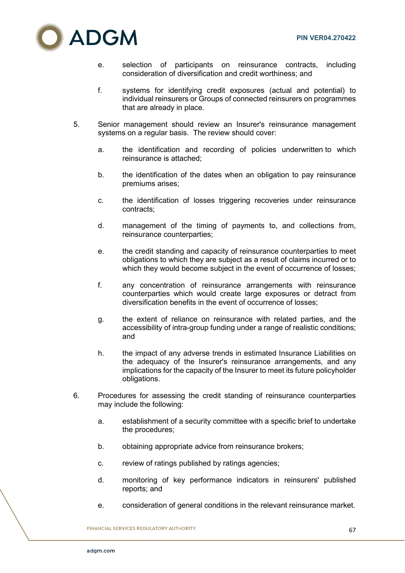

- e. selection of participants on reinsurance contracts, including consideration of diversification and credit worthiness; and
- f. systems for identifying credit exposures (actual and potential) to individual reinsurers or Groups of connected reinsurers on programmes that are already in place.
- 5. Senior management should review an Insurer's reinsurance management systems on a regular basis. The review should cover:
	- a. the identification and recording of policies underwritten to which reinsurance is attached;
	- b. the identification of the dates when an obligation to pay reinsurance premiums arises;
	- c. the identification of losses triggering recoveries under reinsurance contracts;
	- d. management of the timing of payments to, and collections from, reinsurance counterparties;
	- e. the credit standing and capacity of reinsurance counterparties to meet obligations to which they are subject as a result of claims incurred or to which they would become subject in the event of occurrence of losses;
	- f. any concentration of reinsurance arrangements with reinsurance counterparties which would create large exposures or detract from diversification benefits in the event of occurrence of losses;
	- g. the extent of reliance on reinsurance with related parties, and the accessibility of intra-group funding under a range of realistic conditions; and
	- h. the impact of any adverse trends in estimated Insurance Liabilities on the adequacy of the Insurer's reinsurance arrangements, and any implications for the capacity of the Insurer to meet its future policyholder obligations.
- 6. Procedures for assessing the credit standing of reinsurance counterparties may include the following:
	- a. establishment of a security committee with a specific brief to undertake the procedures;
	- b. obtaining appropriate advice from reinsurance brokers;
	- c. review of ratings published by ratings agencies;
	- d. monitoring of key performance indicators in reinsurers' published reports; and
	- e. consideration of general conditions in the relevant reinsurance market.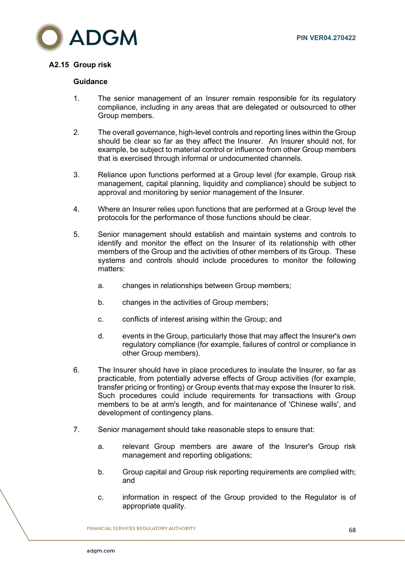

# **A2.15 Group risk**

## **Guidance**

- 1. The senior management of an Insurer remain responsible for its regulatory compliance, including in any areas that are delegated or outsourced to other Group members.
- 2. The overall governance, high-level controls and reporting lines within the Group should be clear so far as they affect the Insurer. An Insurer should not, for example, be subject to material control or influence from other Group members that is exercised through informal or undocumented channels.
- 3. Reliance upon functions performed at a Group level (for example, Group risk management, capital planning, liquidity and compliance) should be subject to approval and monitoring by senior management of the Insurer.
- 4. Where an Insurer relies upon functions that are performed at a Group level the protocols for the performance of those functions should be clear.
- 5. Senior management should establish and maintain systems and controls to identify and monitor the effect on the Insurer of its relationship with other members of the Group and the activities of other members of its Group. These systems and controls should include procedures to monitor the following matters:
	- a. changes in relationships between Group members;
	- b. changes in the activities of Group members;
	- c. conflicts of interest arising within the Group; and
	- d. events in the Group, particularly those that may affect the Insurer's own regulatory compliance (for example, failures of control or compliance in other Group members).
- 6. The Insurer should have in place procedures to insulate the Insurer, so far as practicable, from potentially adverse effects of Group activities (for example, transfer pricing or fronting) or Group events that may expose the Insurer to risk. Such procedures could include requirements for transactions with Group members to be at arm's length, and for maintenance of 'Chinese walls', and development of contingency plans.
- 7. Senior management should take reasonable steps to ensure that:
	- a. relevant Group members are aware of the Insurer's Group risk management and reporting obligations;
	- b. Group capital and Group risk reporting requirements are complied with; and
	- c. information in respect of the Group provided to the Regulator is of appropriate quality.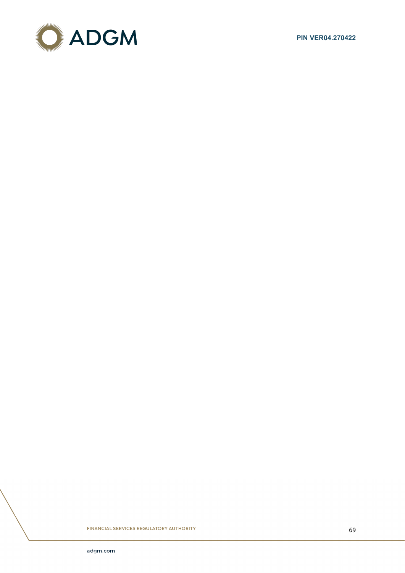

**PIN VER04.270422**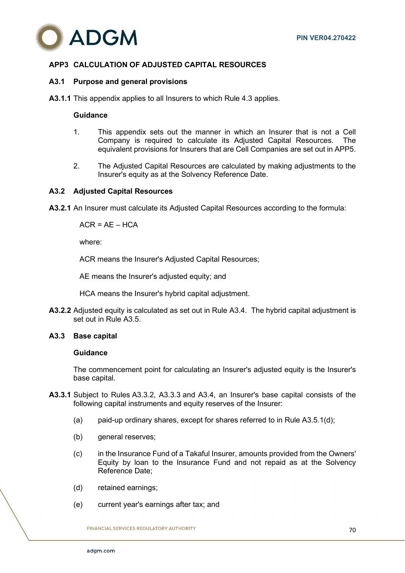

## <span id="page-74-2"></span>**APP3 CALCULATION OF ADJUSTED CAPITAL RESOURCES**

### **A3.1 Purpose and general provisions**

**A3.1.1** This appendix applies to all Insurers to which Rule [4.3](#page-16-0) applies.

## **Guidance**

- 1. This appendix sets out the manner in which an Insurer that is not a Cell Company is required to calculate its Adjusted Capital Resources. The equivalent provisions for Insurers that are Cell Companies are set out in [APP5.](#page-93-0)
- 2. The Adjusted Capital Resources are calculated by making adjustments to the Insurer's equity as at the Solvency Reference Date.

### **A3.2 Adjusted Capital Resources**

**A3.2.1** An Insurer must calculate its Adjusted Capital Resources according to the formula:

 $ACR = AE - HCA$ 

where:

ACR means the Insurer's Adjusted Capital Resources;

AE means the Insurer's adjusted equity; and

HCA means the Insurer's hybrid capital adjustment.

**A3.2.2** Adjusted equity is calculated as set out in Rule [A3.4.](#page-75-0) The hybrid capital adjustment is set out in Rule [A3.5.](#page-76-0)

#### **A3.3 Base capital**

### **Guidance**

The commencement point for calculating an Insurer's adjusted equity is the Insurer's base capital.

- <span id="page-74-1"></span><span id="page-74-0"></span>**A3.3.1** Subject to Rules [A3.3.2,](#page-75-1) [A3.3.3](#page-75-2) and [A3.4,](#page-75-0) an Insurer's base capital consists of the following capital instruments and equity reserves of the Insurer:
	- (a) paid-up ordinary shares, except for shares referred to in Rule [A3.5.1\(d\);](#page-76-1)
	- (b) general reserves;
	- (c) in the Insurance Fund of a Takaful Insurer, amounts provided from the Owners' Equity by loan to the Insurance Fund and not repaid as at the Solvency Reference Date;
	- (d) retained earnings;
	- (e) current year's earnings after tax; and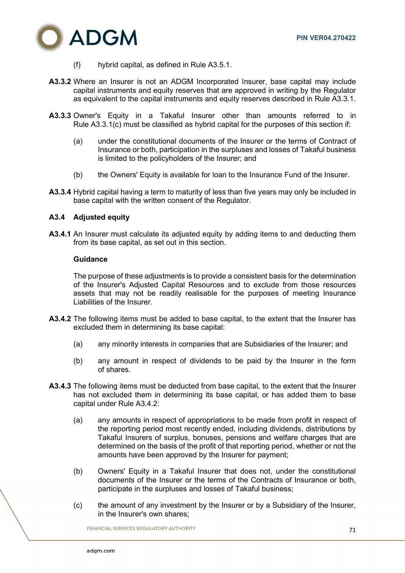

- (f) hybrid capital, as defined in Rule [A3.5.1.](#page-76-2)
- <span id="page-75-1"></span>**A3.3.2** Where an Insurer is not an ADGM Incorporated Insurer, base capital may include capital instruments and equity reserves that are approved in writing by the Regulator as equivalent to the capital instruments and equity reserves described in Rule [A3.3.1.](#page-74-0)
- <span id="page-75-2"></span>**A3.3.3** Owner's Equity in a Takaful Insurer other than amounts referred to in Rule [A3.3.1\(c\)](#page-74-1) must be classified as hybrid capital for the purposes of this section if:
	- (a) under the constitutional documents of the Insurer or the terms of Contract of Insurance or both, participation in the surpluses and losses of Takaful business is limited to the policyholders of the Insurer; and
	- (b) the Owners' Equity is available for loan to the Insurance Fund of the Insurer.
- **A3.3.4** Hybrid capital having a term to maturity of less than five years may only be included in base capital with the written consent of the Regulator.

### <span id="page-75-0"></span>**A3.4 Adjusted equity**

**A3.4.1** An Insurer must calculate its adjusted equity by adding items to and deducting them from its base capital, as set out in this section.

## **Guidance**

The purpose of these adjustments is to provide a consistent basis for the determination of the Insurer's Adjusted Capital Resources and to exclude from those resources assets that may not be readily realisable for the purposes of meeting Insurance Liabilities of the Insurer.

- <span id="page-75-3"></span>**A3.4.2** The following items must be added to base capital, to the extent that the Insurer has excluded them in determining its base capital:
	- (a) any minority interests in companies that are Subsidiaries of the Insurer; and
	- (b) any amount in respect of dividends to be paid by the Insurer in the form of shares.
- **A3.4.3** The following items must be deducted from base capital, to the extent that the Insurer has not excluded them in determining its base capital, or has added them to base capital under Rule [A3.4.2:](#page-75-3)
	- (a) any amounts in respect of appropriations to be made from profit in respect of the reporting period most recently ended, including dividends, distributions by Takaful Insurers of surplus, bonuses, pensions and welfare charges that are determined on the basis of the profit of that reporting period, whether or not the amounts have been approved by the Insurer for payment;
	- (b) Owners' Equity in a Takaful Insurer that does not, under the constitutional documents of the Insurer or the terms of the Contracts of Insurance or both, participate in the surpluses and losses of Takaful business;
	- (c) the amount of any investment by the Insurer or by a Subsidiary of the Insurer, in the Insurer's own shares;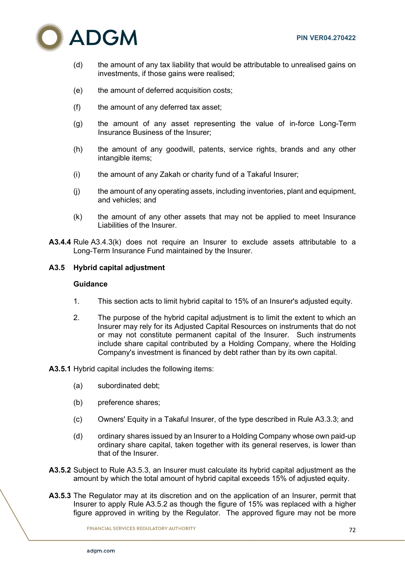

- (d) the amount of any tax liability that would be attributable to unrealised gains on investments, if those gains were realised;
- <span id="page-76-6"></span>(e) the amount of deferred acquisition costs;
- <span id="page-76-7"></span>(f) the amount of any deferred tax asset;
- <span id="page-76-8"></span>(g) the amount of any asset representing the value of in-force Long-Term Insurance Business of the Insurer;
- <span id="page-76-9"></span>(h) the amount of any goodwill, patents, service rights, brands and any other intangible items;
- (i) the amount of any Zakah or charity fund of a Takaful Insurer;
- <span id="page-76-10"></span>(j) the amount of any operating assets, including inventories, plant and equipment, and vehicles; and
- <span id="page-76-3"></span>(k) the amount of any other assets that may not be applied to meet Insurance Liabilities of the Insurer.
- **A3.4.4** Rule [A3.4.3\(k\)](#page-76-3) does not require an Insurer to exclude assets attributable to a Long-Term Insurance Fund maintained by the Insurer.

## <span id="page-76-0"></span>**A3.5 Hybrid capital adjustment**

### **Guidance**

- 1. This section acts to limit hybrid capital to 15% of an Insurer's adjusted equity.
- 2. The purpose of the hybrid capital adjustment is to limit the extent to which an Insurer may rely for its Adjusted Capital Resources on instruments that do not or may not constitute permanent capital of the Insurer. Such instruments include share capital contributed by a Holding Company, where the Holding Company's investment is financed by debt rather than by its own capital.

<span id="page-76-2"></span>**A3.5.1** Hybrid capital includes the following items:

- (a) subordinated debt;
- (b) preference shares;
- (c) Owners' Equity in a Takaful Insurer, of the type described in Rule [A3.3.3;](#page-75-2) and
- <span id="page-76-1"></span>(d) ordinary shares issued by an Insurer to a Holding Company whose own paid-up ordinary share capital, taken together with its general reserves, is lower than that of the Insurer.
- <span id="page-76-5"></span>**A3.5.2** Subject to Rule [A3.5.3,](#page-76-4) an Insurer must calculate its hybrid capital adjustment as the amount by which the total amount of hybrid capital exceeds 15% of adjusted equity.
- <span id="page-76-4"></span>**A3.5.3** The Regulator may at its discretion and on the application of an Insurer, permit that Insurer to apply Rule [A3.5.2](#page-76-5) as though the figure of 15% was replaced with a higher figure approved in writing by the Regulator. The approved figure may not be more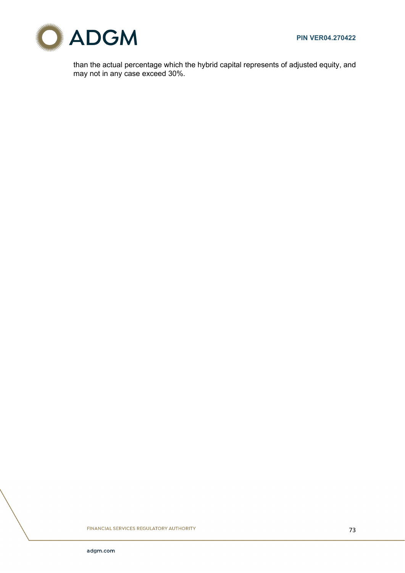

than the actual percentage which the hybrid capital represents of adjusted equity, and may not in any case exceed 30%.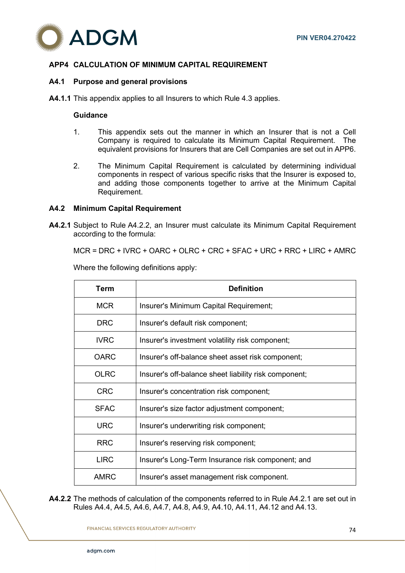

## <span id="page-78-2"></span>**APP4 CALCULATION OF MINIMUM CAPITAL REQUIREMENT**

### **A4.1 Purpose and general provisions**

**A4.1.1** This appendix applies to all Insurers to which Rule [4.3](#page-16-0) applies.

### **Guidance**

- 1. This appendix sets out the manner in which an Insurer that is not a Cell Company is required to calculate its Minimum Capital Requirement. The equivalent provisions for Insurers that are Cell Companies are set out in [APP6.](#page-99-0)
- 2. The Minimum Capital Requirement is calculated by determining individual components in respect of various specific risks that the Insurer is exposed to, and adding those components together to arrive at the Minimum Capital Requirement.

### **A4.2 Minimum Capital Requirement**

<span id="page-78-1"></span>**A4.2.1** Subject to Rule [A4.2.2,](#page-78-0) an Insurer must calculate its Minimum Capital Requirement according to the formula:

MCR = DRC + IVRC + OARC + OLRC + CRC + SFAC + URC + RRC + LIRC + AMRC

| Term        | <b>Definition</b>                                     |  |  |  |
|-------------|-------------------------------------------------------|--|--|--|
| <b>MCR</b>  | Insurer's Minimum Capital Requirement;                |  |  |  |
| <b>DRC</b>  | Insurer's default risk component;                     |  |  |  |
| <b>IVRC</b> | Insurer's investment volatility risk component;       |  |  |  |
| <b>OARC</b> | Insurer's off-balance sheet asset risk component;     |  |  |  |
| <b>OLRC</b> | Insurer's off-balance sheet liability risk component; |  |  |  |
| <b>CRC</b>  | Insurer's concentration risk component;               |  |  |  |
| <b>SFAC</b> | Insurer's size factor adjustment component;           |  |  |  |
| <b>URC</b>  | Insurer's underwriting risk component;                |  |  |  |
| <b>RRC</b>  | Insurer's reserving risk component;                   |  |  |  |
| <b>LIRC</b> | Insurer's Long-Term Insurance risk component; and     |  |  |  |
| <b>AMRC</b> | Insurer's asset management risk component.            |  |  |  |

Where the following definitions apply:

<span id="page-78-0"></span>**A4.2.2** The methods of calculation of the components referred to in Rule [A4.2.1](#page-78-1) are set out in Rules [A4.4,](#page-79-0) [A4.5,](#page-81-0) [A4.6,](#page-82-0) [A4.7,](#page-83-0) [A4.8,](#page-84-0) [A4.9,](#page-85-0) [A4.10,](#page-86-0) [A4.11,](#page-88-0) [A4.12](#page-89-0) and [A4.13.](#page-92-0)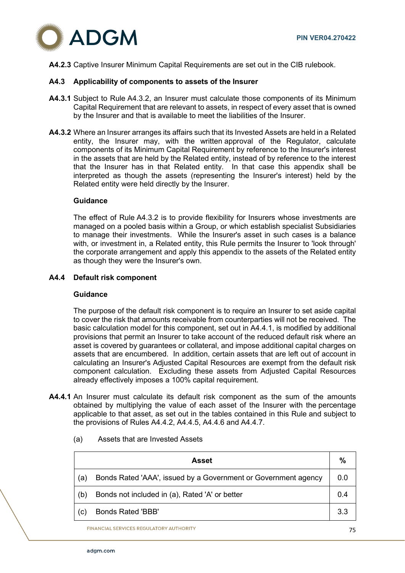

**A4.2.3** Captive Insurer Minimum Capital Requirements are set out in the CIB rulebook.

## **A4.3 Applicability of components to assets of the Insurer**

- **A4.3.1** Subject to Rule [A4.3.2,](#page-79-1) an Insurer must calculate those components of its Minimum Capital Requirement that are relevant to assets, in respect of every asset that is owned by the Insurer and that is available to meet the liabilities of the Insurer.
- <span id="page-79-1"></span>**A4.3.2** Where an Insurer arranges its affairs such that its Invested Assets are held in a Related entity, the Insurer may, with the written approval of the Regulator, calculate components of its Minimum Capital Requirement by reference to the Insurer's interest in the assets that are held by the Related entity, instead of by reference to the interest that the Insurer has in that Related entity. In that case this appendix shall be interpreted as though the assets (representing the Insurer's interest) held by the Related entity were held directly by the Insurer.

## **Guidance**

The effect of Rule [A4.3.2](#page-79-1) is to provide flexibility for Insurers whose investments are managed on a pooled basis within a Group, or which establish specialist Subsidiaries to manage their investments. While the Insurer's asset in such cases is a balance with, or investment in, a Related entity, this Rule permits the Insurer to 'look through' the corporate arrangement and apply this appendix to the assets of the Related entity as though they were the Insurer's own.

# <span id="page-79-0"></span>**A4.4 Default risk component**

## **Guidance**

The purpose of the default risk component is to require an Insurer to set aside capital to cover the risk that amounts receivable from counterparties will not be received. The basic calculation model for this component, set out in [A4.4.1,](#page-79-2) is modified by additional provisions that permit an Insurer to take account of the reduced default risk where an asset is covered by guarantees or collateral, and impose additional capital charges on assets that are encumbered. In addition, certain assets that are left out of account in calculating an Insurer's Adjusted Capital Resources are exempt from the default risk component calculation. Excluding these assets from Adjusted Capital Resources already effectively imposes a 100% capital requirement.

<span id="page-79-2"></span>**A4.4.1** An Insurer must calculate its default risk component as the sum of the amounts obtained by multiplying the value of each asset of the Insurer with the percentage applicable to that asset, as set out in the tables contained in this Rule and subject to the provisions of Rules [A4.4.2,](#page-80-0) [A4.4.5,](#page-81-1) [A4.4.6](#page-81-2) and [A4.4.7.](#page-81-3)

|                        | Asset                                                          | %   |
|------------------------|----------------------------------------------------------------|-----|
| (a                     | Bonds Rated 'AAA', issued by a Government or Government agency | 0.0 |
| (b)                    | Bonds not included in (a), Rated 'A' or better                 | 0.4 |
| $\mathsf{C}\mathsf{I}$ | <b>Bonds Rated 'BBB'</b>                                       | 3.3 |

<span id="page-79-3"></span>(a) Assets that are Invested Assets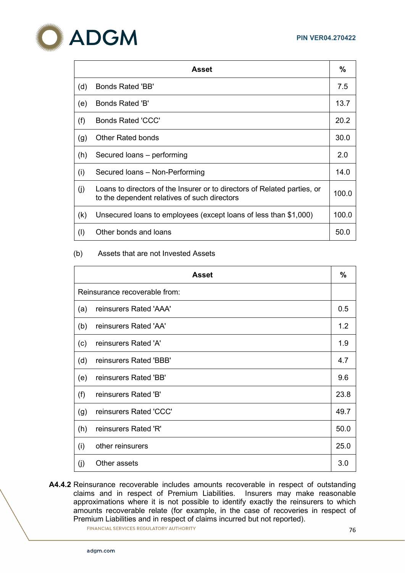

|       | Asset                                                                                                                    | $\%$  |
|-------|--------------------------------------------------------------------------------------------------------------------------|-------|
| (d)   | Bonds Rated 'BB'                                                                                                         | 7.5   |
| (e)   | Bonds Rated 'B'                                                                                                          | 13.7  |
| (f)   | <b>Bonds Rated 'CCC'</b>                                                                                                 | 20.2  |
| (g)   | Other Rated bonds                                                                                                        | 30.0  |
| (h)   | Secured loans – performing                                                                                               | 2.0   |
| (i)   | Secured loans – Non-Performing                                                                                           | 14.0  |
| (j)   | Loans to directors of the Insurer or to directors of Related parties, or<br>to the dependent relatives of such directors | 100.0 |
| (k)   | Unsecured loans to employees (except loans of less than \$1,000)                                                         | 100.0 |
| $($ l | Other bonds and loans                                                                                                    | 50.0  |

## <span id="page-80-1"></span>(b) Assets that are not Invested Assets

|     | <b>Asset</b>                  | $\%$ |  |
|-----|-------------------------------|------|--|
|     | Reinsurance recoverable from: |      |  |
| (a) | reinsurers Rated 'AAA'        | 0.5  |  |
| (b) | reinsurers Rated 'AA'         | 1.2  |  |
| (c) | reinsurers Rated 'A'          | 1.9  |  |
| (d) | reinsurers Rated 'BBB'        | 4.7  |  |
| (e) | reinsurers Rated 'BB'         | 9.6  |  |
| (f) | reinsurers Rated 'B'          | 23.8 |  |
| (g) | reinsurers Rated 'CCC'        | 49.7 |  |
| (h) | reinsurers Rated 'R'          | 50.0 |  |
| (i) | other reinsurers              | 25.0 |  |
| (i) | Other assets                  | 3.0  |  |

<span id="page-80-0"></span>**A4.4.2** Reinsurance recoverable includes amounts recoverable in respect of outstanding claims and in respect of Premium Liabilities. Insurers may make reasonable approximations where it is not possible to identify exactly the reinsurers to which amounts recoverable relate (for example, in the case of recoveries in respect of Premium Liabilities and in respect of claims incurred but not reported).<br>FINANCIAL SERVICES REGULATORY AUTHORITY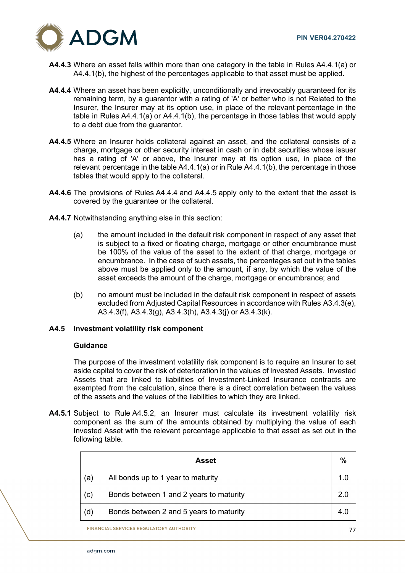

- <span id="page-81-7"></span>**A4.4.3** Where an asset falls within more than one category in the table in Rules [A4.4.1\(a\)](#page-79-3) or [A4.4.1\(b\),](#page-80-1) the highest of the percentages applicable to that asset must be applied.
- <span id="page-81-4"></span>**A4.4.4** Where an asset has been explicitly, unconditionally and irrevocably guaranteed for its remaining term, by a guarantor with a rating of 'A' or better who is not Related to the Insurer, the Insurer may at its option use, in place of the relevant percentage in the table in Rules [A4.4.1\(a\)](#page-79-3) or [A4.4.1\(b\),](#page-80-1) the percentage in those tables that would apply to a debt due from the guarantor.
- <span id="page-81-1"></span>**A4.4.5** Where an Insurer holds collateral against an asset, and the collateral consists of a charge, mortgage or other security interest in cash or in debt securities whose issuer has a rating of 'A' or above, the Insurer may at its option use, in place of the relevant percentage in the tabl[e A4.4.1\(a\)](#page-79-3) or in Rule [A4.4.1\(b\),](#page-80-1) the percentage in those tables that would apply to the collateral.
- <span id="page-81-2"></span>**A4.4.6** The provisions of Rules [A4.4.4](#page-81-4) and [A4.4.5](#page-81-1) apply only to the extent that the asset is covered by the guarantee or the collateral.
- <span id="page-81-3"></span>**A4.4.7** Notwithstanding anything else in this section:
	- (a) the amount included in the default risk component in respect of any asset that is subject to a fixed or floating charge, mortgage or other encumbrance must be 100% of the value of the asset to the extent of that charge, mortgage or encumbrance. In the case of such assets, the percentages set out in the tables above must be applied only to the amount, if any, by which the value of the asset exceeds the amount of the charge, mortgage or encumbrance; and
	- (b) no amount must be included in the default risk component in respect of assets excluded from Adjusted Capital Resources in accordance with Rules [A3.4.3\(e\),](#page-76-6) [A3.4.3\(f\),](#page-76-7) [A3.4.3\(g\),](#page-76-8) [A3.4.3\(h\),](#page-76-9) [A3.4.3\(j\)](#page-76-10) or [A3.4.3\(k\).](#page-76-3)

## <span id="page-81-5"></span><span id="page-81-0"></span>**A4.5 Investment volatility risk component**

## **Guidance**

The purpose of the investment volatility risk component is to require an Insurer to set aside capital to cover the risk of deterioration in the values of Invested Assets. Invested Assets that are linked to liabilities of Investment-Linked Insurance contracts are exempted from the calculation, since there is a direct correlation between the values of the assets and the values of the liabilities to which they are linked.

<span id="page-81-6"></span>**A4.5.1** Subject to Rule [A4.5.2,](#page-82-1) an Insurer must calculate its investment volatility risk component as the sum of the amounts obtained by multiplying the value of each Invested Asset with the relevant percentage applicable to that asset as set out in the following table.

|     | Asset                                   | $\%$ |
|-----|-----------------------------------------|------|
| (a` | All bonds up to 1 year to maturity      |      |
| (c) | Bonds between 1 and 2 years to maturity | 20   |
| (d) | Bonds between 2 and 5 years to maturity |      |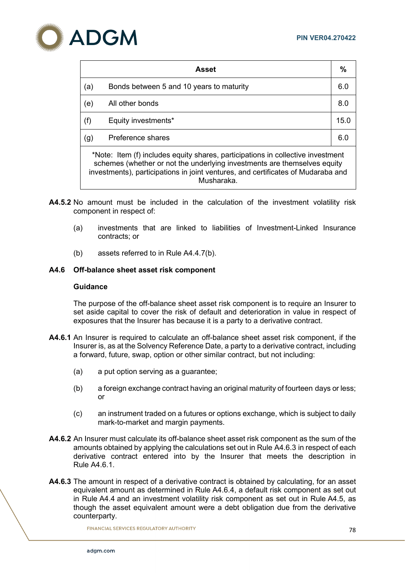

|                                                                                 | <b>Asset</b>                             | %    |  |
|---------------------------------------------------------------------------------|------------------------------------------|------|--|
| (a)                                                                             | Bonds between 5 and 10 years to maturity | 6.0  |  |
| (e)                                                                             | All other bonds                          | 8.0  |  |
| (f)                                                                             | Equity investments*                      | 15.0 |  |
| (g)                                                                             | Preference shares                        | 6.0  |  |
| *Note: Item (f) includes equity shares, participations in collective investment |                                          |      |  |

schemes (whether or not the underlying investments are themselves equity investments), participations in joint ventures, and certificates of Mudaraba and Musharaka.

- <span id="page-82-1"></span>**A4.5.2** No amount must be included in the calculation of the investment volatility risk component in respect of:
	- (a) investments that are linked to liabilities of Investment-Linked Insurance contracts; or
	- (b) assets referred to in Rule [A4.4.7\(b\).](#page-81-5)

# <span id="page-82-0"></span>**A4.6 Off-balance sheet asset risk component**

### **Guidance**

The purpose of the off-balance sheet asset risk component is to require an Insurer to set aside capital to cover the risk of default and deterioration in value in respect of exposures that the Insurer has because it is a party to a derivative contract.

- <span id="page-82-3"></span>**A4.6.1** An Insurer is required to calculate an off-balance sheet asset risk component, if the Insurer is, as at the Solvency Reference Date, a party to a derivative contract, including a forward, future, swap, option or other similar contract, but not including:
	- (a) a put option serving as a guarantee;
	- (b) a foreign exchange contract having an original maturity of fourteen days or less; or
	- (c) an instrument traded on a futures or options exchange, which is subject to daily mark-to-market and margin payments.
- <span id="page-82-4"></span>**A4.6.2** An Insurer must calculate its off-balance sheet asset risk component as the sum of the amounts obtained by applying the calculations set out in Rule [A4.6.3](#page-82-2) in respect of each derivative contract entered into by the Insurer that meets the description in Rule [A4.6.1.](#page-82-3)
- <span id="page-82-2"></span>**A4.6.3** The amount in respect of a derivative contract is obtained by calculating, for an asset equivalent amount as determined in Rule [A4.6.4,](#page-83-1) a default risk component as set out in Rule [A4.4](#page-79-0) and an investment volatility risk component as set out in Rule [A4.5,](#page-81-0) as though the asset equivalent amount were a debt obligation due from the derivative counterparty.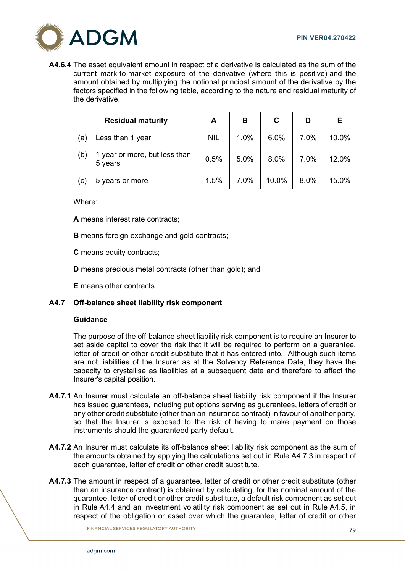

<span id="page-83-1"></span>**A4.6.4** The asset equivalent amount in respect of a derivative is calculated as the sum of the current mark-to-market exposure of the derivative (where this is positive) and the amount obtained by multiplying the notional principal amount of the derivative by the factors specified in the following table, according to the nature and residual maturity of the derivative.

|     | <b>Residual maturity</b>                 | A          | в    | С     | D    | Е     |
|-----|------------------------------------------|------------|------|-------|------|-------|
| (a  | Less than 1 year                         | <b>NIL</b> | 1.0% | 6.0%  | 7.0% | 10.0% |
| (b) | 1 year or more, but less than<br>5 years | 0.5%       | 5.0% | 8.0%  | 7.0% | 12.0% |
| c,  | 5 years or more                          | 1.5%       | 7.0% | 10.0% | 8.0% | 15.0% |

Where:

**A** means interest rate contracts;

**B** means foreign exchange and gold contracts;

**C** means equity contracts;

**D** means precious metal contracts (other than gold); and

**E** means other contracts.

# <span id="page-83-0"></span>**A4.7 Off-balance sheet liability risk component**

## **Guidance**

The purpose of the off-balance sheet liability risk component is to require an Insurer to set aside capital to cover the risk that it will be required to perform on a guarantee, letter of credit or other credit substitute that it has entered into. Although such items are not liabilities of the Insurer as at the Solvency Reference Date, they have the capacity to crystallise as liabilities at a subsequent date and therefore to affect the Insurer's capital position.

- **A4.7.1** An Insurer must calculate an off-balance sheet liability risk component if the Insurer has issued guarantees, including put options serving as guarantees, letters of credit or any other credit substitute (other than an insurance contract) in favour of another party, so that the Insurer is exposed to the risk of having to make payment on those instruments should the guaranteed party default.
- **A4.7.2** An Insurer must calculate its off-balance sheet liability risk component as the sum of the amounts obtained by applying the calculations set out in Rule [A4.7.3](#page-83-2) in respect of each guarantee, letter of credit or other credit substitute.
- <span id="page-83-2"></span>**A4.7.3** The amount in respect of a guarantee, letter of credit or other credit substitute (other than an insurance contract) is obtained by calculating, for the nominal amount of the guarantee, letter of credit or other credit substitute, a default risk component as set out in Rule [A4.4](#page-79-0) and an investment volatility risk component as set out in Rule [A4.5,](#page-81-0) in respect of the obligation or asset over which the guarantee, letter of credit or other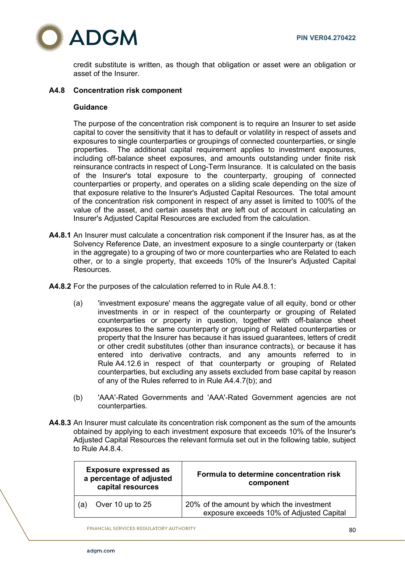

credit substitute is written, as though that obligation or asset were an obligation or asset of the Insurer.

## <span id="page-84-0"></span>**A4.8 Concentration risk component**

### **Guidance**

The purpose of the concentration risk component is to require an Insurer to set aside capital to cover the sensitivity that it has to default or volatility in respect of assets and exposures to single counterparties or groupings of connected counterparties, or single properties. The additional capital requirement applies to investment exposures, including off-balance sheet exposures, and amounts outstanding under finite risk reinsurance contracts in respect of Long-Term Insurance. It is calculated on the basis of the Insurer's total exposure to the counterparty, grouping of connected counterparties or property, and operates on a sliding scale depending on the size of that exposure relative to the Insurer's Adjusted Capital Resources. The total amount of the concentration risk component in respect of any asset is limited to 100% of the value of the asset, and certain assets that are left out of account in calculating an Insurer's Adjusted Capital Resources are excluded from the calculation.

- <span id="page-84-1"></span>**A4.8.1** An Insurer must calculate a concentration risk component if the Insurer has, as at the Solvency Reference Date, an investment exposure to a single counterparty or (taken in the aggregate) to a grouping of two or more counterparties who are Related to each other, or to a single property, that exceeds 10% of the Insurer's Adjusted Capital Resources.
- **A4.8.2** For the purposes of the calculation referred to in Rule [A4.8.1:](#page-84-1)
	- (a) 'investment exposure' means the aggregate value of all equity, bond or other investments in or in respect of the counterparty or grouping of Related counterparties or property in question, together with off-balance sheet exposures to the same counterparty or grouping of Related counterparties or property that the Insurer has because it has issued guarantees, letters of credit or other credit substitutes (other than insurance contracts), or because it has entered into derivative contracts, and any amounts referred to in Rule [A4.12.6](#page-91-0) in respect of that counterparty or grouping of Related counterparties, but excluding any assets excluded from base capital by reason of any of the Rules referred to in Rule [A4.4.7\(b\);](#page-81-5) and
	- (b) 'AAA'-Rated Governments and 'AAA'-Rated Government agencies are not counterparties.
- <span id="page-84-2"></span>**A4.8.3** An Insurer must calculate its concentration risk component as the sum of the amounts obtained by applying to each investment exposure that exceeds 10% of the Insurer's Adjusted Capital Resources the relevant formula set out in the following table, subject to Rule [A4.8.4.](#page-85-1)

| <b>Exposure expressed as</b><br>a percentage of adjusted<br>capital resources |                  | Formula to determine concentration risk<br>component                                  |  |
|-------------------------------------------------------------------------------|------------------|---------------------------------------------------------------------------------------|--|
| (a)                                                                           | Over 10 up to 25 | 20% of the amount by which the investment<br>exposure exceeds 10% of Adjusted Capital |  |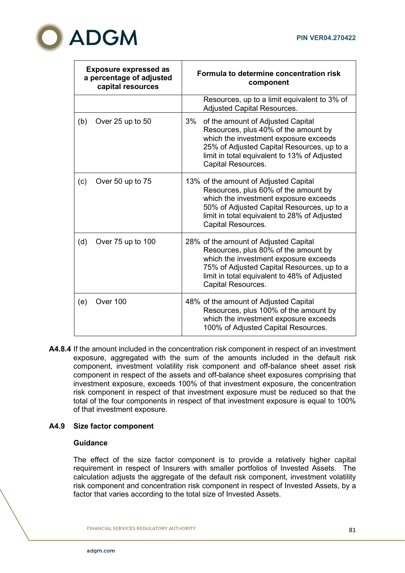

|     | <b>Exposure expressed as</b><br>a percentage of adjusted<br>capital resources | Formula to determine concentration risk<br>component |                                                                                                                                                                                                                                                   |
|-----|-------------------------------------------------------------------------------|------------------------------------------------------|---------------------------------------------------------------------------------------------------------------------------------------------------------------------------------------------------------------------------------------------------|
|     |                                                                               |                                                      | Resources, up to a limit equivalent to 3% of<br><b>Adjusted Capital Resources.</b>                                                                                                                                                                |
| (b) | Over 25 up to 50                                                              | $3\%$                                                | of the amount of Adjusted Capital<br>Resources, plus 40% of the amount by<br>which the investment exposure exceeds<br>25% of Adjusted Capital Resources, up to a<br>limit in total equivalent to 13% of Adjusted<br>Capital Resources.            |
| (c) | Over 50 up to 75                                                              |                                                      | 13% of the amount of Adjusted Capital<br>Resources, plus 60% of the amount by<br>which the investment exposure exceeds<br>50% of Adjusted Capital Resources, up to a<br>limit in total equivalent to 28% of Adjusted<br><b>Capital Resources.</b> |
| (d) | Over 75 up to 100                                                             |                                                      | 28% of the amount of Adjusted Capital<br>Resources, plus 80% of the amount by<br>which the investment exposure exceeds<br>75% of Adjusted Capital Resources, up to a<br>limit in total equivalent to 48% of Adjusted<br><b>Capital Resources.</b> |
| (e) | Over 100                                                                      |                                                      | 48% of the amount of Adjusted Capital<br>Resources, plus 100% of the amount by<br>which the investment exposure exceeds<br>100% of Adjusted Capital Resources.                                                                                    |

<span id="page-85-1"></span>**A4.8.4** If the amount included in the concentration risk component in respect of an investment exposure, aggregated with the sum of the amounts included in the default risk component, investment volatility risk component and off-balance sheet asset risk component in respect of the assets and off-balance sheet exposures comprising that investment exposure, exceeds 100% of that investment exposure, the concentration risk component in respect of that investment exposure must be reduced so that the total of the four components in respect of that investment exposure is equal to 100% of that investment exposure.

# <span id="page-85-0"></span>**A4.9 Size factor component**

## **Guidance**

The effect of the size factor component is to provide a relatively higher capital requirement in respect of Insurers with smaller portfolios of Invested Assets. The calculation adjusts the aggregate of the default risk component, investment volatility risk component and concentration risk component in respect of Invested Assets, by a factor that varies according to the total size of Invested Assets.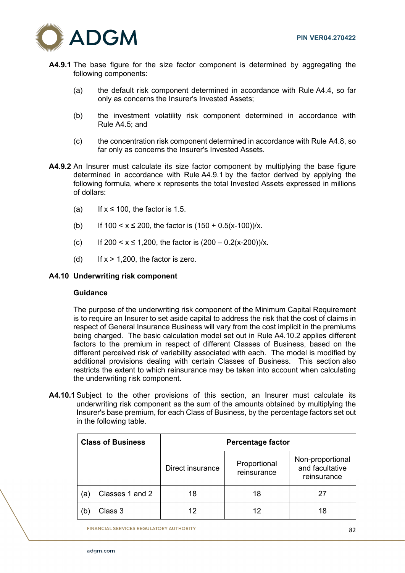

- <span id="page-86-1"></span>**A4.9.1** The base figure for the size factor component is determined by aggregating the following components:
	- (a) the default risk component determined in accordance with Rule [A4.4,](#page-79-0) so far only as concerns the Insurer's Invested Assets;
	- (b) the investment volatility risk component determined in accordance with Rule [A4.5;](#page-81-0) and
	- (c) the concentration risk component determined in accordance with Rule [A4.8,](#page-84-0) so far only as concerns the Insurer's Invested Assets.
- **A4.9.2** An Insurer must calculate its size factor component by multiplying the base figure determined in accordance with Rule [A4.9.1](#page-86-1) by the factor derived by applying the following formula, where x represents the total Invested Assets expressed in millions of dollars:
	- (a) If  $x \le 100$ , the factor is 1.5.
	- (b) If  $100 < x \le 200$ , the factor is  $(150 + 0.5(x-100))/x$ .
	- (c) If  $200 < x \le 1,200$ , the factor is  $(200 0.2(x 200))/x$ .
	- (d) If  $x > 1,200$ , the factor is zero.

## <span id="page-86-0"></span>**A4.10 Underwriting risk component**

#### **Guidance**

The purpose of the underwriting risk component of the Minimum Capital Requirement is to require an Insurer to set aside capital to address the risk that the cost of claims in respect of General Insurance Business will vary from the cost implicit in the premiums being charged. The basic calculation model set out in Rule [A4.10.2](#page-87-0) applies different factors to the premium in respect of different Classes of Business, based on the different perceived risk of variability associated with each. The model is modified by additional provisions dealing with certain Classes of Business. This section also restricts the extent to which reinsurance may be taken into account when calculating the underwriting risk component.

<span id="page-86-2"></span>**A4.10.1** Subject to the other provisions of this section, an Insurer must calculate its underwriting risk component as the sum of the amounts obtained by multiplying the Insurer's base premium, for each Class of Business, by the percentage factors set out in the following table.

| <b>Class of Business</b> |                 | <b>Percentage factor</b> |                             |                                                    |  |
|--------------------------|-----------------|--------------------------|-----------------------------|----------------------------------------------------|--|
|                          |                 | Direct insurance         | Proportional<br>reinsurance | Non-proportional<br>and facultative<br>reinsurance |  |
| a.                       | Classes 1 and 2 | 18                       | 18                          | 27                                                 |  |
|                          | Class 3         |                          | 12                          | 18                                                 |  |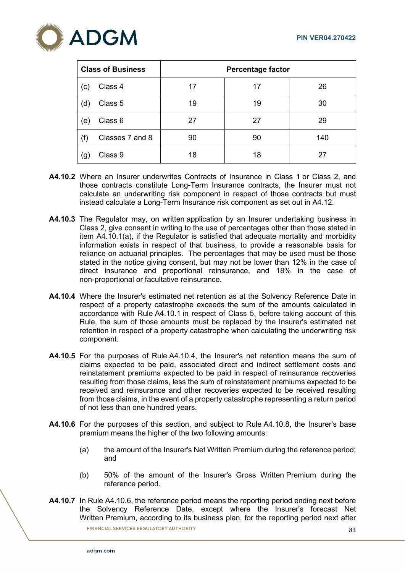

| <b>Class of Business</b> |                 |    | <b>Percentage factor</b> |     |
|--------------------------|-----------------|----|--------------------------|-----|
| (c)                      | Class 4         | 17 | 17                       | 26  |
| (d)                      | Class 5         | 19 | 19                       | 30  |
| (e)                      | Class 6         | 27 | 27                       | 29  |
| (f)                      | Classes 7 and 8 | 90 | 90                       | 140 |
| (g)                      | Class 9         | 18 | 18                       | 27  |

- <span id="page-87-0"></span>**A4.10.2** Where an Insurer underwrites Contracts of Insurance in Class 1 or Class 2, and those contracts constitute Long-Term Insurance contracts, the Insurer must not calculate an underwriting risk component in respect of those contracts but must instead calculate a Long-Term Insurance risk component as set out in [A4.12.](#page-89-0)
- **A4.10.3** The Regulator may, on written application by an Insurer undertaking business in Class 2, give consent in writing to the use of percentages other than those stated in item [A4.10.1\(](#page-86-2)a), if the Regulator is satisfied that adequate mortality and morbidity information exists in respect of that business, to provide a reasonable basis for reliance on actuarial principles. The percentages that may be used must be those stated in the notice giving consent, but may not be lower than 12% in the case of direct insurance and proportional reinsurance, and 18% in the case of non-proportional or facultative reinsurance.
- <span id="page-87-1"></span>**A4.10.4** Where the Insurer's estimated net retention as at the Solvency Reference Date in respect of a property catastrophe exceeds the sum of the amounts calculated in accordance with Rule [A4.10.1](#page-86-2) in respect of Class 5, before taking account of this Rule, the sum of those amounts must be replaced by the Insurer's estimated net retention in respect of a property catastrophe when calculating the underwriting risk component.
- **A4.10.5** For the purposes of Rule [A4.10.4,](#page-87-1) the Insurer's net retention means the sum of claims expected to be paid, associated direct and indirect settlement costs and reinstatement premiums expected to be paid in respect of reinsurance recoveries resulting from those claims, less the sum of reinstatement premiums expected to be received and reinsurance and other recoveries expected to be received resulting from those claims, in the event of a property catastrophe representing a return period of not less than one hundred years.
- <span id="page-87-2"></span>**A4.10.6** For the purposes of this section, and subject to Rule [A4.10.8,](#page-88-1) the Insurer's base premium means the higher of the two following amounts:
	- (a) the amount of the Insurer's Net Written Premium during the reference period; and
	- (b) 50% of the amount of the Insurer's Gross Written Premium during the reference period.
- **A4.10.7** In Rule [A4.10.6,](#page-87-2) the reference period means the reporting period ending next before the Solvency Reference Date, except where the Insurer's forecast Net Written Premium, according to its business plan, for the reporting period next after **FINANCIAL SERVICES REGULATORY AUTHORITY**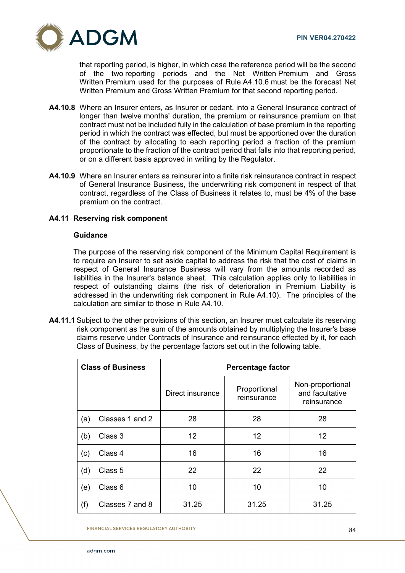

that reporting period, is higher, in which case the reference period will be the second of the two reporting periods and the Net Written Premium and Gross Written Premium used for the purposes of Rule [A4.10.6](#page-87-2) must be the forecast Net Written Premium and Gross Written Premium for that second reporting period.

- <span id="page-88-1"></span>**A4.10.8** Where an Insurer enters, as Insurer or cedant, into a General Insurance contract of longer than twelve months' duration, the premium or reinsurance premium on that contract must not be included fully in the calculation of base premium in the reporting period in which the contract was effected, but must be apportioned over the duration of the contract by allocating to each reporting period a fraction of the premium proportionate to the fraction of the contract period that falls into that reporting period, or on a different basis approved in writing by the Regulator.
- **A4.10.9** Where an Insurer enters as reinsurer into a finite risk reinsurance contract in respect of General Insurance Business, the underwriting risk component in respect of that contract, regardless of the Class of Business it relates to, must be 4% of the base premium on the contract.

## <span id="page-88-0"></span>**A4.11 Reserving risk component**

### **Guidance**

The purpose of the reserving risk component of the Minimum Capital Requirement is to require an Insurer to set aside capital to address the risk that the cost of claims in respect of General Insurance Business will vary from the amounts recorded as liabilities in the Insurer's balance sheet. This calculation applies only to liabilities in respect of outstanding claims (the risk of deterioration in Premium Liability is addressed in the underwriting risk component in Rule [A4.10\)](#page-86-0). The principles of the calculation are similar to those in Rule [A4.10.](#page-86-0)

<span id="page-88-2"></span>**A4.11.1** Subject to the other provisions of this section, an Insurer must calculate its reserving risk component as the sum of the amounts obtained by multiplying the Insurer's base claims reserve under Contracts of Insurance and reinsurance effected by it, for each Class of Business, by the percentage factors set out in the following table.

| <b>Class of Business</b> |                 | <b>Percentage factor</b> |                             |                                                    |  |
|--------------------------|-----------------|--------------------------|-----------------------------|----------------------------------------------------|--|
|                          |                 | Direct insurance         | Proportional<br>reinsurance | Non-proportional<br>and facultative<br>reinsurance |  |
| (a)                      | Classes 1 and 2 | 28                       | 28                          | 28                                                 |  |
| (b)                      | Class 3         | 12                       | 12                          | 12                                                 |  |
| (c)                      | Class 4         | 16                       | 16                          | 16                                                 |  |
| (d)                      | Class 5         | 22                       | 22                          | 22                                                 |  |
| (e)                      | Class 6         | 10                       | 10                          | 10                                                 |  |
| (f)                      | Classes 7 and 8 | 31.25                    | 31.25                       | 31.25                                              |  |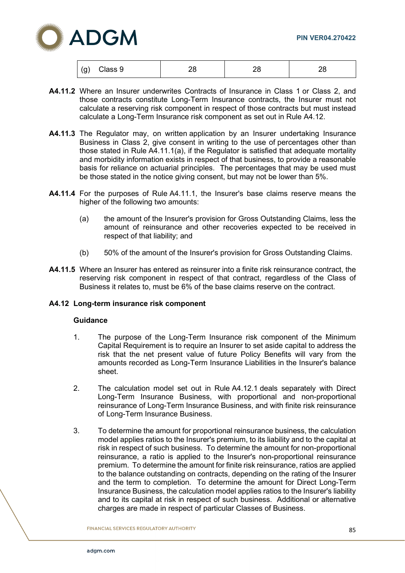

| 2001<br>◡<br>oldoo o<br>Ö |  |  |  |
|---------------------------|--|--|--|
|---------------------------|--|--|--|

- A4.11.2 Where an Insurer underwrites Contracts of Insurance in Class 1 or Class 2, and those contracts constitute Long-Term Insurance contracts, the Insurer must not calculate a reserving risk component in respect of those contracts but must instead calculate a Long-Term Insurance risk component as set out in Rule [A4.12.](#page-89-0)
- **A4.11.3** The Regulator may, on written application by an Insurer undertaking Insurance Business in Class 2, give consent in writing to the use of percentages other than those stated in Rule [A4.11.1\(](#page-88-2)a), if the Regulator is satisfied that adequate mortality and morbidity information exists in respect of that business, to provide a reasonable basis for reliance on actuarial principles. The percentages that may be used must be those stated in the notice giving consent, but may not be lower than 5%.
- **A4.11.4** For the purposes of Rule [A4.11.1,](#page-88-2) the Insurer's base claims reserve means the higher of the following two amounts:
	- (a) the amount of the Insurer's provision for Gross Outstanding Claims, less the amount of reinsurance and other recoveries expected to be received in respect of that liability; and
	- (b) 50% of the amount of the Insurer's provision for Gross Outstanding Claims.
- **A4.11.5** Where an Insurer has entered as reinsurer into a finite risk reinsurance contract, the reserving risk component in respect of that contract, regardless of the Class of Business it relates to, must be 6% of the base claims reserve on the contract.

## <span id="page-89-0"></span>**A4.12 Long-term insurance risk component**

## **Guidance**

- 1. The purpose of the Long-Term Insurance risk component of the Minimum Capital Requirement is to require an Insurer to set aside capital to address the risk that the net present value of future Policy Benefits will vary from the amounts recorded as Long-Term Insurance Liabilities in the Insurer's balance sheet.
- 2. The calculation model set out in Rule [A4.12.1](#page-90-0) deals separately with Direct Long-Term Insurance Business, with proportional and non-proportional reinsurance of Long-Term Insurance Business, and with finite risk reinsurance of Long-Term Insurance Business.
- 3. To determine the amount for proportional reinsurance business, the calculation model applies ratios to the Insurer's premium, to its liability and to the capital at risk in respect of such business. To determine the amount for non-proportional reinsurance, a ratio is applied to the Insurer's non-proportional reinsurance premium. To determine the amount for finite risk reinsurance, ratios are applied to the balance outstanding on contracts, depending on the rating of the Insurer and the term to completion. To determine the amount for Direct Long-Term Insurance Business, the calculation model applies ratios to the Insurer's liability and to its capital at risk in respect of such business. Additional or alternative charges are made in respect of particular Classes of Business.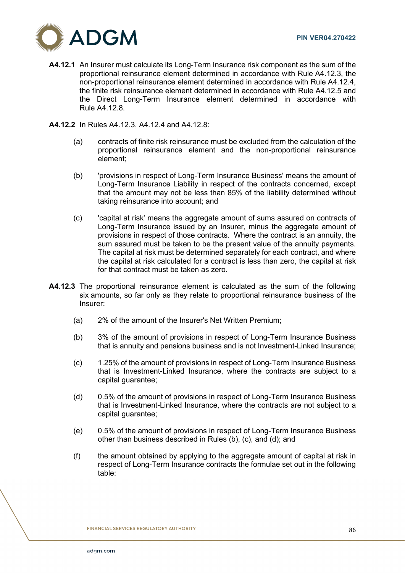

<span id="page-90-0"></span>**A4.12.1** An Insurer must calculate its Long-Term Insurance risk component as the sum of the proportional reinsurance element determined in accordance with Rule [A4.12.3,](#page-90-1) the non-proportional reinsurance element determined in accordance with Rule [A4.12.4,](#page-91-1) the finite risk reinsurance element determined in accordance with Rule [A4.12.5](#page-91-2) and the Direct Long-Term Insurance element determined in accordance with Rule [A4.12.8.](#page-91-3)

**A4.12.2** In Rules [A4.12.3,](#page-90-1) [A4.12.4](#page-91-1) and [A4.12.8:](#page-91-3)

- (a) contracts of finite risk reinsurance must be excluded from the calculation of the proportional reinsurance element and the non-proportional reinsurance element;
- (b) 'provisions in respect of Long-Term Insurance Business' means the amount of Long-Term Insurance Liability in respect of the contracts concerned, except that the amount may not be less than 85% of the liability determined without taking reinsurance into account; and
- (c) 'capital at risk' means the aggregate amount of sums assured on contracts of Long-Term Insurance issued by an Insurer, minus the aggregate amount of provisions in respect of those contracts. Where the contract is an annuity, the sum assured must be taken to be the present value of the annuity payments. The capital at risk must be determined separately for each contract, and where the capital at risk calculated for a contract is less than zero, the capital at risk for that contract must be taken as zero.
- <span id="page-90-4"></span><span id="page-90-3"></span><span id="page-90-2"></span><span id="page-90-1"></span>**A4.12.3** The proportional reinsurance element is calculated as the sum of the following six amounts, so far only as they relate to proportional reinsurance business of the Insurer:
	- (a) 2% of the amount of the Insurer's Net Written Premium;
	- (b) 3% of the amount of provisions in respect of Long-Term Insurance Business that is annuity and pensions business and is not Investment-Linked Insurance;
	- (c) 1.25% of the amount of provisions in respect of Long-Term Insurance Business that is Investment-Linked Insurance, where the contracts are subject to a capital guarantee;
	- (d) 0.5% of the amount of provisions in respect of Long-Term Insurance Business that is Investment-Linked Insurance, where the contracts are not subject to a capital guarantee;
	- (e) 0.5% of the amount of provisions in respect of Long-Term Insurance Business other than business described in Rules [\(b\),](#page-90-2) [\(c\),](#page-90-3) and [\(d\);](#page-90-4) and
	- (f) the amount obtained by applying to the aggregate amount of capital at risk in respect of Long-Term Insurance contracts the formulae set out in the following table: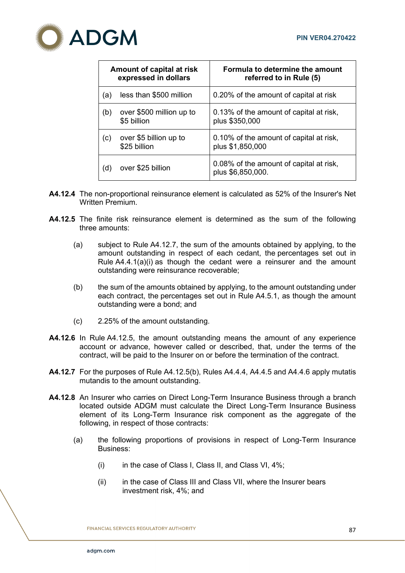

| Amount of capital at risk<br>expressed in dollars |                                         | Formula to determine the amount<br>referred to in Rule (5)   |
|---------------------------------------------------|-----------------------------------------|--------------------------------------------------------------|
| (a)                                               | less than \$500 million                 | 0.20% of the amount of capital at risk                       |
| (b)                                               | over \$500 million up to<br>\$5 billion | 0.13% of the amount of capital at risk,<br>plus \$350,000    |
| (c)                                               | over \$5 billion up to<br>\$25 billion  | 0.10% of the amount of capital at risk,<br>plus \$1,850,000  |
| (d)                                               | over \$25 billion                       | 0.08% of the amount of capital at risk,<br>plus \$6,850,000. |

- <span id="page-91-1"></span>**A4.12.4** The non-proportional reinsurance element is calculated as 52% of the Insurer's Net Written Premium.
- <span id="page-91-2"></span>**A4.12.5** The finite risk reinsurance element is determined as the sum of the following three amounts:
	- (a) subject to Rule [A4.12.7,](#page-91-4) the sum of the amounts obtained by applying, to the amount outstanding in respect of each cedant, the percentages set out in Rule [A4.4.1\(a\)\(](#page-79-3)i) as though the cedant were a reinsurer and the amount outstanding were reinsurance recoverable;
	- (b) the sum of the amounts obtained by applying, to the amount outstanding under each contract, the percentages set out in Rule [A4.5.1,](#page-81-6) as though the amount outstanding were a bond; and
	- (c) 2.25% of the amount outstanding.
- <span id="page-91-5"></span><span id="page-91-0"></span>**A4.12.6** In Rule [A4.12.5,](#page-91-2) the amount outstanding means the amount of any experience account or advance, however called or described, that, under the terms of the contract, will be paid to the Insurer on or before the termination of the contract.
- <span id="page-91-4"></span>**A4.12.7** For the purposes of Rule [A4.12.5\(b\),](#page-91-5) Rules [A4.4.4,](#page-81-4) [A4.4.5](#page-81-1) and [A4.4.6](#page-81-2) apply mutatis mutandis to the amount outstanding.
- <span id="page-91-3"></span>**A4.12.8** An Insurer who carries on Direct Long-Term Insurance Business through a branch located outside ADGM must calculate the Direct Long-Term Insurance Business element of its Long-Term Insurance risk component as the aggregate of the following, in respect of those contracts:
	- (a) the following proportions of provisions in respect of Long-Term Insurance Business:
		- (i) in the case of Class I, Class II, and Class VI, 4%;
		- (ii) in the case of Class III and Class VII, where the Insurer bears investment risk, 4%; and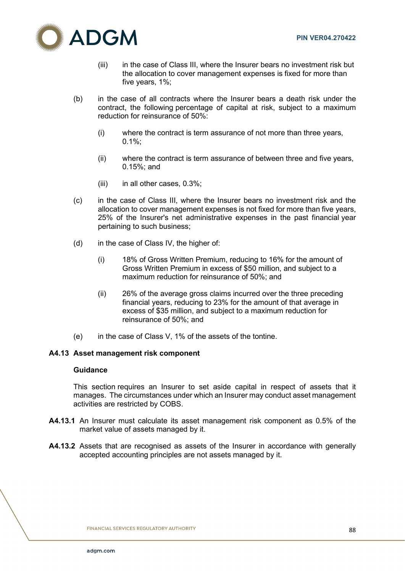

- (iii) in the case of Class III, where the Insurer bears no investment risk but the allocation to cover management expenses is fixed for more than five years, 1%;
- (b) in the case of all contracts where the Insurer bears a death risk under the contract, the following percentage of capital at risk, subject to a maximum reduction for reinsurance of 50%:
	- (i) where the contract is term assurance of not more than three years, 0.1%;
	- (ii) where the contract is term assurance of between three and five years, 0.15%; and
	- $(iii)$  in all other cases,  $0.3\%$ ;
- (c) in the case of Class III, where the Insurer bears no investment risk and the allocation to cover management expenses is not fixed for more than five years, 25% of the Insurer's net administrative expenses in the past financial year pertaining to such business;
- (d) in the case of Class IV, the higher of:
	- (i) 18% of Gross Written Premium, reducing to 16% for the amount of Gross Written Premium in excess of \$50 million, and subject to a maximum reduction for reinsurance of 50%; and
	- (ii) 26% of the average gross claims incurred over the three preceding financial years, reducing to 23% for the amount of that average in excess of \$35 million, and subject to a maximum reduction for reinsurance of 50%; and
- (e) in the case of Class V, 1% of the assets of the tontine.

## <span id="page-92-0"></span>**A4.13 Asset management risk component**

## **Guidance**

This section requires an Insurer to set aside capital in respect of assets that it manages. The circumstances under which an Insurer may conduct asset management activities are restricted by COBS.

- **A4.13.1** An Insurer must calculate its asset management risk component as 0.5% of the market value of assets managed by it.
- **A4.13.2** Assets that are recognised as assets of the Insurer in accordance with generally accepted accounting principles are not assets managed by it.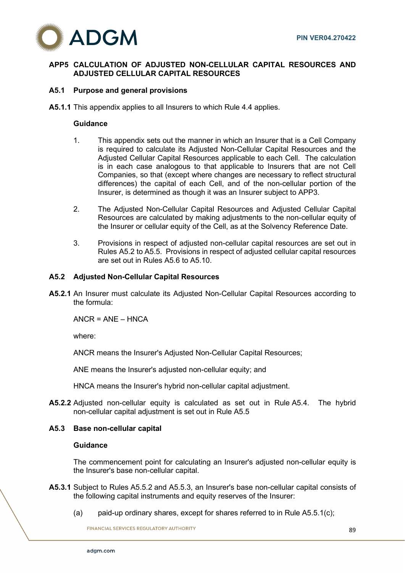

# <span id="page-93-0"></span>**APP5 CALCULATION OF ADJUSTED NON-CELLULAR CAPITAL RESOURCES AND ADJUSTED CELLULAR CAPITAL RESOURCES**

# **A5.1 Purpose and general provisions**

**A5.1.1** This appendix applies to all Insurers to which Rule [4.4](#page-16-1) applies.

### **Guidance**

- 1. This appendix sets out the manner in which an Insurer that is a Cell Company is required to calculate its Adjusted Non-Cellular Capital Resources and the Adjusted Cellular Capital Resources applicable to each Cell. The calculation is in each case analogous to that applicable to Insurers that are not Cell Companies, so that (except where changes are necessary to reflect structural differences) the capital of each Cell, and of the non-cellular portion of the Insurer, is determined as though it was an Insurer subject to [APP3.](#page-74-2)
- 2. The Adjusted Non-Cellular Capital Resources and Adjusted Cellular Capital Resources are calculated by making adjustments to the non-cellular equity of the Insurer or cellular equity of the Cell, as at the Solvency Reference Date.
- 3. Provisions in respect of adjusted non-cellular capital resources are set out in Rules [A5.2](#page-93-1) t[o A5.5.](#page-95-0) Provisions in respect of adjusted cellular capital resources are set out in Rules [A5.6](#page-96-0) to [A5.10.](#page-99-1)

## <span id="page-93-1"></span>**A5.2 Adjusted Non-Cellular Capital Resources**

**A5.2.1** An Insurer must calculate its Adjusted Non-Cellular Capital Resources according to the formula:

 $ANCE = ANE - HNCA$ 

where:

ANCR means the Insurer's Adjusted Non-Cellular Capital Resources;

ANE means the Insurer's adjusted non-cellular equity; and

HNCA means the Insurer's hybrid non-cellular capital adjustment.

**A5.2.2** Adjusted non-cellular equity is calculated as set out in Rule [A5.4.](#page-94-0) The hybrid non-cellular capital adjustment is set out in Rule [A5.5](#page-95-0)

### **A5.3 Base non-cellular capital**

### **Guidance**

The commencement point for calculating an Insurer's adjusted non-cellular equity is the Insurer's base non-cellular capital.

- **A5.3.1** Subject to Rules [A5.5.2](#page-95-1) and [A5.5.3,](#page-95-2) an Insurer's base non-cellular capital consists of the following capital instruments and equity reserves of the Insurer:
	- (a) paid-up ordinary shares, except for shares referred to in Rule  $A5.5.1(c)$ ;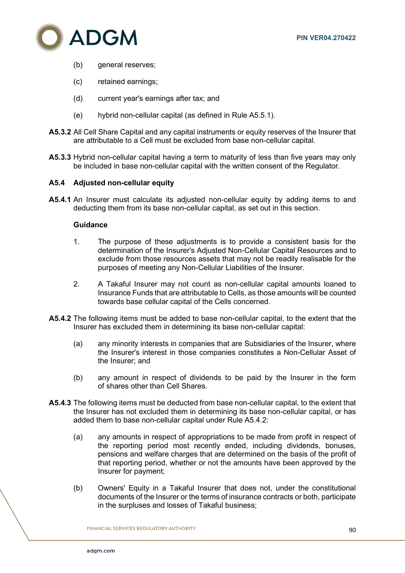

- (b) general reserves;
- (c) retained earnings;
- (d) current year's earnings after tax; and
- (e) hybrid non-cellular capital (as defined in Rule [A5.5.1\)](#page-95-4).
- **A5.3.2** All Cell Share Capital and any capital instruments or equity reserves of the Insurer that are attributable to a Cell must be excluded from base non-cellular capital.
- **A5.3.3** Hybrid non-cellular capital having a term to maturity of less than five years may only be included in base non-cellular capital with the written consent of the Regulator.

# <span id="page-94-0"></span>**A5.4 Adjusted non-cellular equity**

**A5.4.1** An Insurer must calculate its adjusted non-cellular equity by adding items to and deducting them from its base non-cellular capital, as set out in this section.

### **Guidance**

- 1. The purpose of these adjustments is to provide a consistent basis for the determination of the Insurer's Adjusted Non-Cellular Capital Resources and to exclude from those resources assets that may not be readily realisable for the purposes of meeting any Non-Cellular Liabilities of the Insurer.
- 2. A Takaful Insurer may not count as non-cellular capital amounts loaned to Insurance Funds that are attributable to Cells, as those amounts will be counted towards base cellular capital of the Cells concerned.
- <span id="page-94-1"></span>**A5.4.2** The following items must be added to base non-cellular capital, to the extent that the Insurer has excluded them in determining its base non-cellular capital:
	- (a) any minority interests in companies that are Subsidiaries of the Insurer, where the Insurer's interest in those companies constitutes a Non-Cellular Asset of the Insurer; and
	- (b) any amount in respect of dividends to be paid by the Insurer in the form of shares other than Cell Shares.
- **A5.4.3** The following items must be deducted from base non-cellular capital, to the extent that the Insurer has not excluded them in determining its base non-cellular capital, or has added them to base non-cellular capital under Rule [A5.4.2:](#page-94-1)
	- (a) any amounts in respect of appropriations to be made from profit in respect of the reporting period most recently ended, including dividends, bonuses, pensions and welfare charges that are determined on the basis of the profit of that reporting period, whether or not the amounts have been approved by the Insurer for payment;
	- (b) Owners' Equity in a Takaful Insurer that does not, under the constitutional documents of the Insurer or the terms of insurance contracts or both, participate in the surpluses and losses of Takaful business;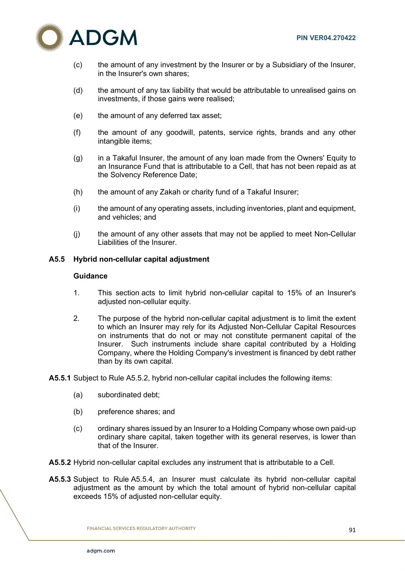

- (c) the amount of any investment by the Insurer or by a Subsidiary of the Insurer, in the Insurer's own shares;
- (d) the amount of any tax liability that would be attributable to unrealised gains on investments, if those gains were realised;
- <span id="page-95-5"></span>(e) the amount of any deferred tax asset;
- <span id="page-95-6"></span>(f) the amount of any goodwill, patents, service rights, brands and any other intangible items;
- (g) in a Takaful Insurer, the amount of any loan made from the Owners' Equity to an Insurance Fund that is attributable to a Cell, that has not been repaid as at the Solvency Reference Date;
- (h) the amount of any Zakah or charity fund of a Takaful Insurer;
- <span id="page-95-7"></span>(i) the amount of any operating assets, including inventories, plant and equipment, and vehicles; and
- <span id="page-95-8"></span>(j) the amount of any other assets that may not be applied to meet Non-Cellular Liabilities of the Insurer.

# <span id="page-95-0"></span>**A5.5 Hybrid non-cellular capital adjustment**

### **Guidance**

- 1. This section acts to limit hybrid non-cellular capital to 15% of an Insurer's adjusted non-cellular equity.
- 2. The purpose of the hybrid non-cellular capital adjustment is to limit the extent to which an Insurer may rely for its Adjusted Non-Cellular Capital Resources on instruments that do not or may not constitute permanent capital of the Insurer. Such instruments include share capital contributed by a Holding Company, where the Holding Company's investment is financed by debt rather than by its own capital.

<span id="page-95-4"></span>**A5.5.1** Subject to Rule [A5.5.2,](#page-95-1) hybrid non-cellular capital includes the following items:

- (a) subordinated debt;
- (b) preference shares; and
- <span id="page-95-3"></span>(c) ordinary shares issued by an Insurer to a Holding Company whose own paid-up ordinary share capital, taken together with its general reserves, is lower than that of the Insurer.

<span id="page-95-1"></span>**A5.5.2** Hybrid non-cellular capital excludes any instrument that is attributable to a Cell.

<span id="page-95-2"></span>**A5.5.3** Subject to Rule [A5.5.4,](#page-96-1) an Insurer must calculate its hybrid non-cellular capital adjustment as the amount by which the total amount of hybrid non-cellular capital exceeds 15% of adjusted non-cellular equity.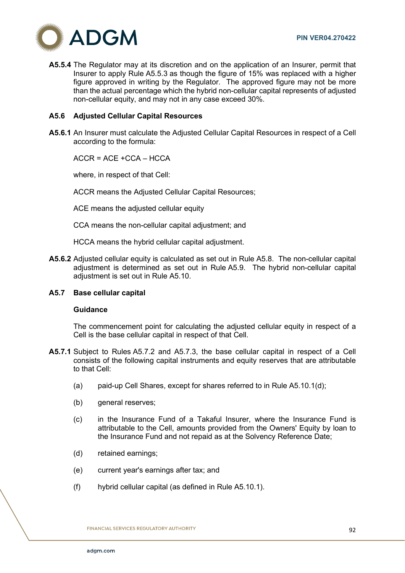

<span id="page-96-1"></span>**A5.5.4** The Regulator may at its discretion and on the application of an Insurer, permit that Insurer to apply Rule [A5.5.3](#page-95-2) as though the figure of 15% was replaced with a higher figure approved in writing by the Regulator. The approved figure may not be more than the actual percentage which the hybrid non-cellular capital represents of adjusted non-cellular equity, and may not in any case exceed 30%.

### <span id="page-96-0"></span>**A5.6 Adjusted Cellular Capital Resources**

**A5.6.1** An Insurer must calculate the Adjusted Cellular Capital Resources in respect of a Cell according to the formula:

## $ACCR = ACE + CCA - HCCA$

where, in respect of that Cell:

ACCR means the Adjusted Cellular Capital Resources;

ACE means the adjusted cellular equity

CCA means the non-cellular capital adjustment; and

HCCA means the hybrid cellular capital adjustment.

**A5.6.2** Adjusted cellular equity is calculated as set out in Rule [A5.8.](#page-97-0) The non-cellular capital adjustment is determined as set out in Rule [A5.9.](#page-98-0) The hybrid non-cellular capital adjustment is set out in Rule [A5.10.](#page-99-1)

## **A5.7 Base cellular capital**

#### **Guidance**

The commencement point for calculating the adjusted cellular equity in respect of a Cell is the base cellular capital in respect of that Cell.

- <span id="page-96-2"></span>**A5.7.1** Subject to Rules [A5.7.2](#page-97-1) and [A5.7.3,](#page-97-2) the base cellular capital in respect of a Cell consists of the following capital instruments and equity reserves that are attributable to that Cell:
	- (a) paid-up Cell Shares, except for shares referred to in Rule [A5.10.1\(d\);](#page-99-2)
	- (b) general reserves;
	- (c) in the Insurance Fund of a Takaful Insurer, where the Insurance Fund is attributable to the Cell, amounts provided from the Owners' Equity by loan to the Insurance Fund and not repaid as at the Solvency Reference Date;
	- (d) retained earnings;
	- (e) current year's earnings after tax; and
	- (f) hybrid cellular capital (as defined in Rule [A5.10.1\)](#page-99-3).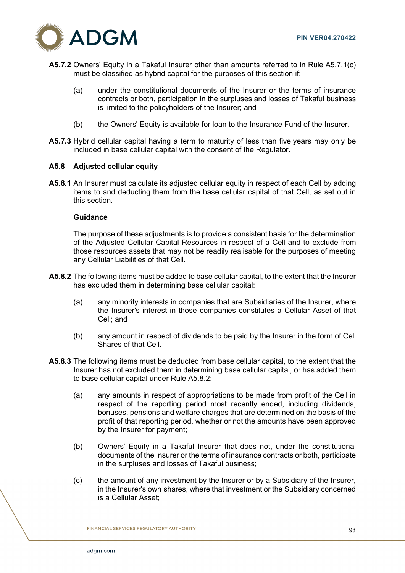

- <span id="page-97-1"></span>**A5.7.2** Owners' Equity in a Takaful Insurer other than amounts referred to in Rule [A5.7.1\(c\)](#page-96-2) must be classified as hybrid capital for the purposes of this section if:
	- (a) under the constitutional documents of the Insurer or the terms of insurance contracts or both, participation in the surpluses and losses of Takaful business is limited to the policyholders of the Insurer; and
	- (b) the Owners' Equity is available for loan to the Insurance Fund of the Insurer.
- <span id="page-97-2"></span>**A5.7.3** Hybrid cellular capital having a term to maturity of less than five years may only be included in base cellular capital with the consent of the Regulator.

### <span id="page-97-0"></span>**A5.8 Adjusted cellular equity**

**A5.8.1** An Insurer must calculate its adjusted cellular equity in respect of each Cell by adding items to and deducting them from the base cellular capital of that Cell, as set out in this section.

### **Guidance**

The purpose of these adjustments is to provide a consistent basis for the determination of the Adjusted Cellular Capital Resources in respect of a Cell and to exclude from those resources assets that may not be readily realisable for the purposes of meeting any Cellular Liabilities of that Cell.

- <span id="page-97-3"></span>**A5.8.2** The following items must be added to base cellular capital, to the extent that the Insurer has excluded them in determining base cellular capital:
	- (a) any minority interests in companies that are Subsidiaries of the Insurer, where the Insurer's interest in those companies constitutes a Cellular Asset of that Cell; and
	- (b) any amount in respect of dividends to be paid by the Insurer in the form of Cell Shares of that Cell.
- **A5.8.3** The following items must be deducted from base cellular capital, to the extent that the Insurer has not excluded them in determining base cellular capital, or has added them to base cellular capital under Rule [A5.8.2:](#page-97-3)
	- (a) any amounts in respect of appropriations to be made from profit of the Cell in respect of the reporting period most recently ended, including dividends, bonuses, pensions and welfare charges that are determined on the basis of the profit of that reporting period, whether or not the amounts have been approved by the Insurer for payment;
	- (b) Owners' Equity in a Takaful Insurer that does not, under the constitutional documents of the Insurer or the terms of insurance contracts or both, participate in the surpluses and losses of Takaful business;
	- (c) the amount of any investment by the Insurer or by a Subsidiary of the Insurer, in the Insurer's own shares, where that investment or the Subsidiary concerned is a Cellular Asset;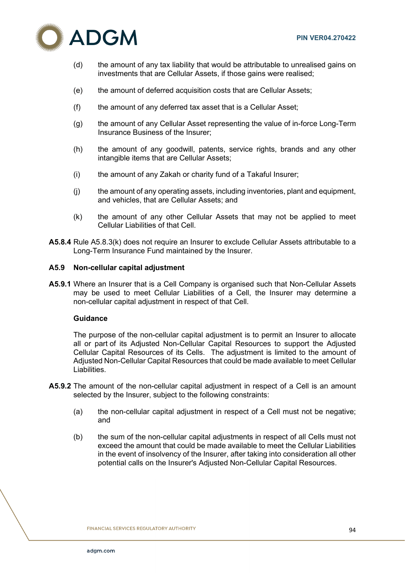

- (d) the amount of any tax liability that would be attributable to unrealised gains on investments that are Cellular Assets, if those gains were realised;
- <span id="page-98-2"></span>(e) the amount of deferred acquisition costs that are Cellular Assets;
- <span id="page-98-3"></span>(f) the amount of any deferred tax asset that is a Cellular Asset;
- <span id="page-98-4"></span>(g) the amount of any Cellular Asset representing the value of in-force Long-Term Insurance Business of the Insurer;
- <span id="page-98-5"></span>(h) the amount of any goodwill, patents, service rights, brands and any other intangible items that are Cellular Assets;
- (i) the amount of any Zakah or charity fund of a Takaful Insurer;
- <span id="page-98-6"></span>(j) the amount of any operating assets, including inventories, plant and equipment, and vehicles, that are Cellular Assets; and
- <span id="page-98-1"></span>(k) the amount of any other Cellular Assets that may not be applied to meet Cellular Liabilities of that Cell.
- **A5.8.4** Rule [A5.8.3\(k\)](#page-98-1) does not require an Insurer to exclude Cellular Assets attributable to a Long-Term Insurance Fund maintained by the Insurer.

## <span id="page-98-0"></span>**A5.9 Non-cellular capital adjustment**

**A5.9.1** Where an Insurer that is a Cell Company is organised such that Non-Cellular Assets may be used to meet Cellular Liabilities of a Cell, the Insurer may determine a non-cellular capital adjustment in respect of that Cell.

## **Guidance**

The purpose of the non-cellular capital adjustment is to permit an Insurer to allocate all or part of its Adjusted Non-Cellular Capital Resources to support the Adjusted Cellular Capital Resources of its Cells. The adjustment is limited to the amount of Adjusted Non-Cellular Capital Resources that could be made available to meet Cellular Liabilities.

- **A5.9.2** The amount of the non-cellular capital adjustment in respect of a Cell is an amount selected by the Insurer, subject to the following constraints:
	- (a) the non-cellular capital adjustment in respect of a Cell must not be negative; and
	- (b) the sum of the non-cellular capital adjustments in respect of all Cells must not exceed the amount that could be made available to meet the Cellular Liabilities in the event of insolvency of the Insurer, after taking into consideration all other potential calls on the Insurer's Adjusted Non-Cellular Capital Resources.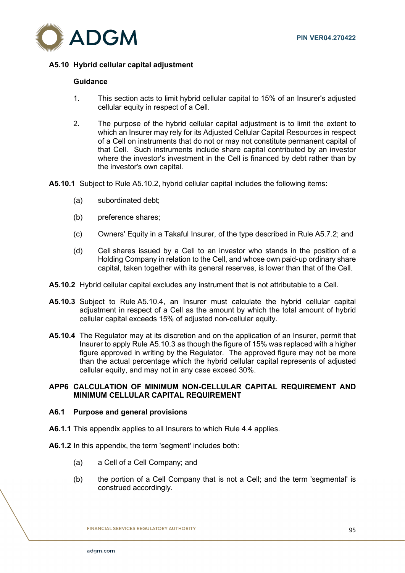

## <span id="page-99-1"></span>**A5.10 Hybrid cellular capital adjustment**

## **Guidance**

- 1. This section acts to limit hybrid cellular capital to 15% of an Insurer's adjusted cellular equity in respect of a Cell.
- 2. The purpose of the hybrid cellular capital adjustment is to limit the extent to which an Insurer may rely for its Adjusted Cellular Capital Resources in respect of a Cell on instruments that do not or may not constitute permanent capital of that Cell. Such instruments include share capital contributed by an investor where the investor's investment in the Cell is financed by debt rather than by the investor's own capital.

<span id="page-99-3"></span>**A5.10.1** Subject to Rule [A5.10.2,](#page-99-4) hybrid cellular capital includes the following items:

- (a) subordinated debt;
- (b) preference shares;
- (c) Owners' Equity in a Takaful Insurer, of the type described in Rule [A5.7.2;](#page-97-1) and
- <span id="page-99-2"></span>(d) Cell shares issued by a Cell to an investor who stands in the position of a Holding Company in relation to the Cell, and whose own paid-up ordinary share capital, taken together with its general reserves, is lower than that of the Cell.
- <span id="page-99-4"></span>**A5.10.2** Hybrid cellular capital excludes any instrument that is not attributable to a Cell.
- <span id="page-99-6"></span>**A5.10.3** Subject to Rule [A5.10.4,](#page-99-5) an Insurer must calculate the hybrid cellular capital adjustment in respect of a Cell as the amount by which the total amount of hybrid cellular capital exceeds 15% of adjusted non-cellular equity.
- <span id="page-99-5"></span>**A5.10.4** The Regulator may at its discretion and on the application of an Insurer, permit that Insurer to apply Rule [A5.10.3](#page-99-6) as though the figure of 15% was replaced with a higher figure approved in writing by the Regulator. The approved figure may not be more than the actual percentage which the hybrid cellular capital represents of adjusted cellular equity, and may not in any case exceed 30%.

# <span id="page-99-0"></span>**APP6 CALCULATION OF MINIMUM NON-CELLULAR CAPITAL REQUIREMENT AND MINIMUM CELLULAR CAPITAL REQUIREMENT**

#### **A6.1 Purpose and general provisions**

- **A6.1.1** This appendix applies to all Insurers to which Rule [4.4](#page-16-1) applies.
- **A6.1.2** In this appendix, the term 'segment' includes both:
	- (a) a Cell of a Cell Company; and
	- (b) the portion of a Cell Company that is not a Cell; and the term 'segmental' is construed accordingly.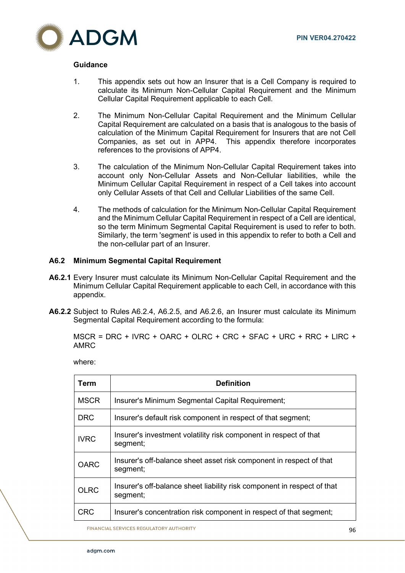

### **Guidance**

- 1. This appendix sets out how an Insurer that is a Cell Company is required to calculate its Minimum Non-Cellular Capital Requirement and the Minimum Cellular Capital Requirement applicable to each Cell.
- 2. The Minimum Non-Cellular Capital Requirement and the Minimum Cellular Capital Requirement are calculated on a basis that is analogous to the basis of calculation of the Minimum Capital Requirement for Insurers that are not Cell Companies, as set out in [APP4.](#page-78-2) This appendix therefore incorporates references to the provisions of [APP4.](#page-78-2)
- 3. The calculation of the Minimum Non-Cellular Capital Requirement takes into account only Non-Cellular Assets and Non-Cellular liabilities, while the Minimum Cellular Capital Requirement in respect of a Cell takes into account only Cellular Assets of that Cell and Cellular Liabilities of the same Cell.
- 4. The methods of calculation for the Minimum Non-Cellular Capital Requirement and the Minimum Cellular Capital Requirement in respect of a Cell are identical, so the term Minimum Segmental Capital Requirement is used to refer to both. Similarly, the term 'segment' is used in this appendix to refer to both a Cell and the non-cellular part of an Insurer.

## **A6.2 Minimum Segmental Capital Requirement**

- **A6.2.1** Every Insurer must calculate its Minimum Non-Cellular Capital Requirement and the Minimum Cellular Capital Requirement applicable to each Cell, in accordance with this appendix.
- <span id="page-100-0"></span>**A6.2.2** Subject to Rules [A6.2.4,](#page-101-0) [A6.2.5,](#page-101-1) and [A6.2.6,](#page-101-2) an Insurer must calculate its Minimum Segmental Capital Requirement according to the formula:

MSCR = DRC + IVRC + OARC + OLRC + CRC + SFAC + URC + RRC + LIRC + AMRC

where:

| Term        | <b>Definition</b>                                                                   |
|-------------|-------------------------------------------------------------------------------------|
| <b>MSCR</b> | Insurer's Minimum Segmental Capital Requirement;                                    |
| <b>DRC</b>  | Insurer's default risk component in respect of that segment;                        |
| <b>IVRC</b> | Insurer's investment volatility risk component in respect of that<br>segment;       |
| <b>OARC</b> | Insurer's off-balance sheet asset risk component in respect of that<br>segment;     |
| <b>OLRC</b> | Insurer's off-balance sheet liability risk component in respect of that<br>segment; |
| <b>CRC</b>  | Insurer's concentration risk component in respect of that segment;                  |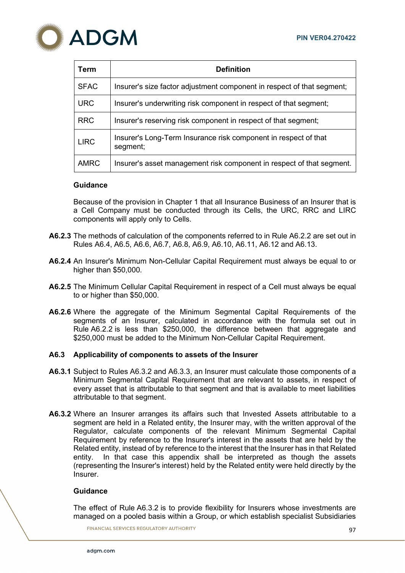

| Term        | <b>Definition</b>                                                           |
|-------------|-----------------------------------------------------------------------------|
| <b>SFAC</b> | Insurer's size factor adjustment component in respect of that segment;      |
| <b>URC</b>  | Insurer's underwriting risk component in respect of that segment;           |
| <b>RRC</b>  | Insurer's reserving risk component in respect of that segment;              |
| <b>LIRC</b> | Insurer's Long-Term Insurance risk component in respect of that<br>segment; |
| <b>AMRC</b> | Insurer's asset management risk component in respect of that segment.       |

## **Guidance**

Because of the provision in Chapter [1](#page-5-0) that all Insurance Business of an Insurer that is a Cell Company must be conducted through its Cells, the URC, RRC and LIRC components will apply only to Cells.

- **A6.2.3** The methods of calculation of the components referred to in Rule [A6.2.2](#page-100-0) are set out in Rules [A6.4,](#page-102-0) [A6.5,](#page-103-0) [A6.6,](#page-103-1) [A6.7,](#page-104-0) [A6.8,](#page-104-1) [A6.9,](#page-105-0) [A6.10,](#page-106-0) [A6.11,](#page-106-1) [A6.12](#page-107-0) and [A6.13.](#page-107-1)
- <span id="page-101-0"></span>**A6.2.4** An Insurer's Minimum Non-Cellular Capital Requirement must always be equal to or higher than \$50,000.
- <span id="page-101-1"></span>**A6.2.5** The Minimum Cellular Capital Requirement in respect of a Cell must always be equal to or higher than \$50,000.
- <span id="page-101-2"></span>**A6.2.6** Where the aggregate of the Minimum Segmental Capital Requirements of the segments of an Insurer, calculated in accordance with the formula set out in Rule [A6.2.2](#page-100-0) is less than \$250,000, the difference between that aggregate and \$250,000 must be added to the Minimum Non-Cellular Capital Requirement.

## **A6.3 Applicability of components to assets of the Insurer**

- **A6.3.1** Subject to Rules [A6.3.2](#page-101-3) and [A6.3.3,](#page-102-1) an Insurer must calculate those components of a Minimum Segmental Capital Requirement that are relevant to assets, in respect of every asset that is attributable to that segment and that is available to meet liabilities attributable to that segment.
- <span id="page-101-3"></span>**A6.3.2** Where an Insurer arranges its affairs such that Invested Assets attributable to a segment are held in a Related entity, the Insurer may, with the written approval of the Regulator, calculate components of the relevant Minimum Segmental Capital Requirement by reference to the Insurer's interest in the assets that are held by the Related entity, instead of by reference to the interest that the Insurer has in that Related entity. In that case this appendix shall be interpreted as though the assets (representing the Insurer's interest) held by the Related entity were held directly by the **Insurer**

## **Guidance**

adgm.com

The effect of Rule [A6.3.2](#page-101-3) is to provide flexibility for Insurers whose investments are managed on a pooled basis within a Group, or which establish specialist Subsidiaries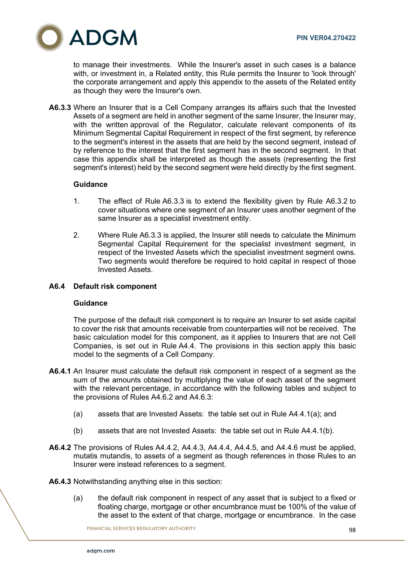

to manage their investments. While the Insurer's asset in such cases is a balance with, or investment in, a Related entity, this Rule permits the Insurer to 'look through' the corporate arrangement and apply this appendix to the assets of the Related entity as though they were the Insurer's own.

<span id="page-102-1"></span>**A6.3.3** Where an Insurer that is a Cell Company arranges its affairs such that the Invested Assets of a segment are held in another segment of the same Insurer, the Insurer may, with the written approval of the Regulator, calculate relevant components of its Minimum Segmental Capital Requirement in respect of the first segment, by reference to the segment's interest in the assets that are held by the second segment, instead of by reference to the interest that the first segment has in the second segment. In that case this appendix shall be interpreted as though the assets (representing the first segment's interest) held by the second segment were held directly by the first segment.

# **Guidance**

- 1. The effect of Rule [A6.3.3](#page-102-1) is to extend the flexibility given by Rule [A6.3.2](#page-101-3) to cover situations where one segment of an Insurer uses another segment of the same Insurer as a specialist investment entity.
- 2. Where Rule [A6.3.3](#page-102-1) is applied, the Insurer still needs to calculate the Minimum Segmental Capital Requirement for the specialist investment segment, in respect of the Invested Assets which the specialist investment segment owns. Two segments would therefore be required to hold capital in respect of those Invested Assets.

# <span id="page-102-0"></span>**A6.4 Default risk component**

## **Guidance**

The purpose of the default risk component is to require an Insurer to set aside capital to cover the risk that amounts receivable from counterparties will not be received. The basic calculation model for this component, as it applies to Insurers that are not Cell Companies, is set out in Rule [A4.4.](#page-79-0) The provisions in this section apply this basic model to the segments of a Cell Company.

- **A6.4.1** An Insurer must calculate the default risk component in respect of a segment as the sum of the amounts obtained by multiplying the value of each asset of the segment with the relevant percentage, in accordance with the following tables and subject to the provisions of Rules [A4.6.2](#page-82-4) and [A4.6.3:](#page-82-2)
	- (a) assets that are Invested Assets: the table set out in Rule [A4.4.1\(a\);](#page-79-3) and
	- (b) assets that are not Invested Assets: the table set out in Rule [A4.4.1\(b\).](#page-80-1)
- **A6.4.2** The provisions of Rules [A4.4.2,](#page-80-0) [A4.4.3,](#page-81-7) [A4.4.4,](#page-81-4) [A4.4.5,](#page-81-1) and [A4.4.6](#page-81-2) must be applied, mutatis mutandis, to assets of a segment as though references in those Rules to an Insurer were instead references to a segment.

**A6.4.3** Notwithstanding anything else in this section:

(a) the default risk component in respect of any asset that is subject to a fixed or floating charge, mortgage or other encumbrance must be 100% of the value of the asset to the extent of that charge, mortgage or encumbrance. In the case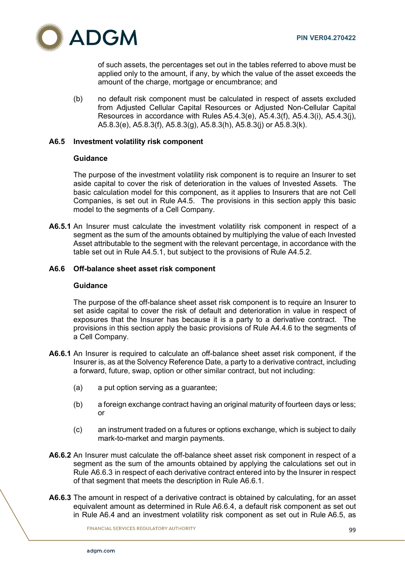

of such assets, the percentages set out in the tables referred to above must be applied only to the amount, if any, by which the value of the asset exceeds the amount of the charge, mortgage or encumbrance; and

<span id="page-103-4"></span>(b) no default risk component must be calculated in respect of assets excluded from Adjusted Cellular Capital Resources or Adjusted Non-Cellular Capital Resources in accordance with Rules [A5.4.3\(e\),](#page-95-5) [A5.4.3\(f\),](#page-95-6) [A5.4.3\(i\),](#page-95-7) [A5.4.3\(j\),](#page-95-8) [A5.8.3\(e\),](#page-98-2) [A5.8.3\(f\),](#page-98-3) [A5.8.3\(g\),](#page-98-4) [A5.8.3\(h\),](#page-98-5) [A5.8.3\(j\)](#page-98-6) or [A5.8.3\(k\).](#page-98-1)

## <span id="page-103-0"></span>**A6.5 Investment volatility risk component**

## **Guidance**

The purpose of the investment volatility risk component is to require an Insurer to set aside capital to cover the risk of deterioration in the values of Invested Assets. The basic calculation model for this component, as it applies to Insurers that are not Cell Companies, is set out in Rule [A4.5.](#page-81-0) The provisions in this section apply this basic model to the segments of a Cell Company.

**A6.5.1** An Insurer must calculate the investment volatility risk component in respect of a segment as the sum of the amounts obtained by multiplying the value of each Invested Asset attributable to the segment with the relevant percentage, in accordance with the table set out in Rule [A4.5.1,](#page-81-6) but subject to the provisions of Rule [A4.5.2.](#page-82-1)

## <span id="page-103-1"></span>**A6.6 Off-balance sheet asset risk component**

### **Guidance**

The purpose of the off-balance sheet asset risk component is to require an Insurer to set aside capital to cover the risk of default and deterioration in value in respect of exposures that the Insurer has because it is a party to a derivative contract. The provisions in this section apply the basic provisions of Rule [A4.4.6](#page-81-2) to the segments of a Cell Company.

- <span id="page-103-3"></span>**A6.6.1** An Insurer is required to calculate an off-balance sheet asset risk component, if the Insurer is, as at the Solvency Reference Date, a party to a derivative contract, including a forward, future, swap, option or other similar contract, but not including:
	- (a) a put option serving as a guarantee;
	- (b) a foreign exchange contract having an original maturity of fourteen days or less; or
	- (c) an instrument traded on a futures or options exchange, which is subject to daily mark-to-market and margin payments.
- **A6.6.2** An Insurer must calculate the off-balance sheet asset risk component in respect of a segment as the sum of the amounts obtained by applying the calculations set out in Rule [A6.6.3](#page-103-2) in respect of each derivative contract entered into by the Insurer in respect of that segment that meets the description in Rule [A6.6.1.](#page-103-3)
- <span id="page-103-2"></span>**A6.6.3** The amount in respect of a derivative contract is obtained by calculating, for an asset equivalent amount as determined in Rule [A6.6.4,](#page-104-2) a default risk component as set out in Rule [A6.4](#page-102-0) and an investment volatility risk component as set out in Rule [A6.5,](#page-103-0) as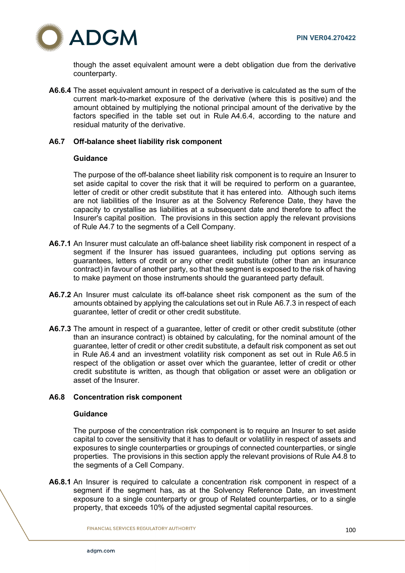

though the asset equivalent amount were a debt obligation due from the derivative counterparty.

<span id="page-104-2"></span>**A6.6.4** The asset equivalent amount in respect of a derivative is calculated as the sum of the current mark-to-market exposure of the derivative (where this is positive) and the amount obtained by multiplying the notional principal amount of the derivative by the factors specified in the table set out in Rule [A4.6.4,](#page-83-1) according to the nature and residual maturity of the derivative.

## <span id="page-104-0"></span>**A6.7 Off-balance sheet liability risk component**

### **Guidance**

The purpose of the off-balance sheet liability risk component is to require an Insurer to set aside capital to cover the risk that it will be required to perform on a guarantee, letter of credit or other credit substitute that it has entered into. Although such items are not liabilities of the Insurer as at the Solvency Reference Date, they have the capacity to crystallise as liabilities at a subsequent date and therefore to affect the Insurer's capital position. The provisions in this section apply the relevant provisions of Rule [A4.7](#page-83-0) to the segments of a Cell Company.

- **A6.7.1** An Insurer must calculate an off-balance sheet liability risk component in respect of a segment if the Insurer has issued guarantees, including put options serving as guarantees, letters of credit or any other credit substitute (other than an insurance contract) in favour of another party, so that the segment is exposed to the risk of having to make payment on those instruments should the guaranteed party default.
- **A6.7.2** An Insurer must calculate its off-balance sheet risk component as the sum of the amounts obtained by applying the calculations set out in Rule [A6.7.3](#page-104-3) in respect of each guarantee, letter of credit or other credit substitute.
- <span id="page-104-3"></span>**A6.7.3** The amount in respect of a guarantee, letter of credit or other credit substitute (other than an insurance contract) is obtained by calculating, for the nominal amount of the guarantee, letter of credit or other credit substitute, a default risk component as set out in Rule [A6.4](#page-102-0) and an investment volatility risk component as set out in Rule [A6.5](#page-103-0) in respect of the obligation or asset over which the guarantee, letter of credit or other credit substitute is written, as though that obligation or asset were an obligation or asset of the Insurer.

## <span id="page-104-1"></span>**A6.8 Concentration risk component**

## **Guidance**

The purpose of the concentration risk component is to require an Insurer to set aside capital to cover the sensitivity that it has to default or volatility in respect of assets and exposures to single counterparties or groupings of connected counterparties, or single properties. The provisions in this section apply the relevant provisions of Rule [A4.8](#page-84-0) to the segments of a Cell Company.

<span id="page-104-4"></span>**A6.8.1** An Insurer is required to calculate a concentration risk component in respect of a segment if the segment has, as at the Solvency Reference Date, an investment exposure to a single counterparty or group of Related counterparties, or to a single property, that exceeds 10% of the adjusted segmental capital resources.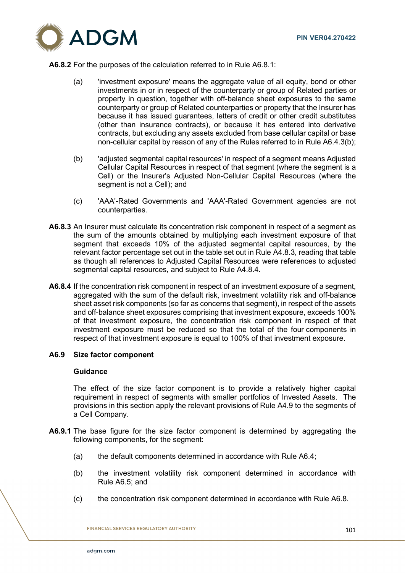

**A6.8.2** For the purposes of the calculation referred to in Rule [A6.8.1:](#page-104-4)

- (a) 'investment exposure' means the aggregate value of all equity, bond or other investments in or in respect of the counterparty or group of Related parties or property in question, together with off-balance sheet exposures to the same counterparty or group of Related counterparties or property that the Insurer has because it has issued guarantees, letters of credit or other credit substitutes (other than insurance contracts), or because it has entered into derivative contracts, but excluding any assets excluded from base cellular capital or base non-cellular capital by reason of any of the Rules referred to in Rule [A6.4.3\(b\);](#page-103-4)
- (b) 'adjusted segmental capital resources' in respect of a segment means Adjusted Cellular Capital Resources in respect of that segment (where the segment is a Cell) or the Insurer's Adjusted Non-Cellular Capital Resources (where the segment is not a Cell); and
- (c) 'AAA'-Rated Governments and 'AAA'-Rated Government agencies are not counterparties.
- **A6.8.3** An Insurer must calculate its concentration risk component in respect of a segment as the sum of the amounts obtained by multiplying each investment exposure of that segment that exceeds 10% of the adjusted segmental capital resources, by the relevant factor percentage set out in the table set out in Rule [A4.8.3,](#page-84-2) reading that table as though all references to Adjusted Capital Resources were references to adjusted segmental capital resources, and subject to Rule [A4.8.4.](#page-85-1)
- **A6.8.4** If the concentration risk component in respect of an investment exposure of a segment, aggregated with the sum of the default risk, investment volatility risk and off-balance sheet asset risk components (so far as concerns that segment), in respect of the assets and off-balance sheet exposures comprising that investment exposure, exceeds 100% of that investment exposure, the concentration risk component in respect of that investment exposure must be reduced so that the total of the four components in respect of that investment exposure is equal to 100% of that investment exposure.

## <span id="page-105-0"></span>**A6.9 Size factor component**

### **Guidance**

The effect of the size factor component is to provide a relatively higher capital requirement in respect of segments with smaller portfolios of Invested Assets. The provisions in this section apply the relevant provisions of Rule [A4.9](#page-85-0) to the segments of a Cell Company.

- <span id="page-105-1"></span>**A6.9.1** The base figure for the size factor component is determined by aggregating the following components, for the segment:
	- (a) the default components determined in accordance with Rule [A6.4;](#page-102-0)
	- (b) the investment volatility risk component determined in accordance with Rule [A6.5;](#page-103-0) and
	- (c) the concentration risk component determined in accordance with Rule [A6.8.](#page-104-1)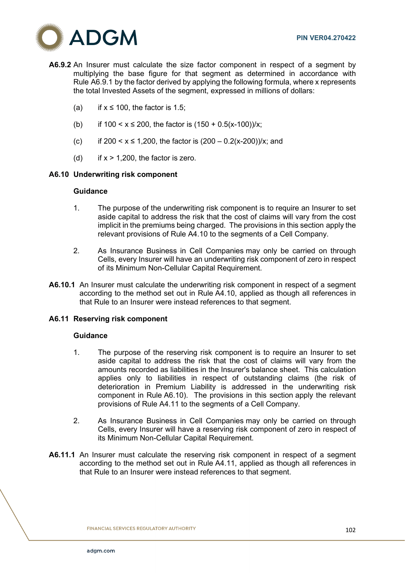

- **A6.9.2** An Insurer must calculate the size factor component in respect of a segment by multiplying the base figure for that segment as determined in accordance with Rule [A6.9.1](#page-105-1) by the factor derived by applying the following formula, where x represents the total Invested Assets of the segment, expressed in millions of dollars:
	- (a) if  $x \le 100$ , the factor is 1.5;
	- (b) if  $100 < x \le 200$ , the factor is  $(150 + 0.5(x-100))/x$ ;
	- (c) if  $200 < x \le 1,200$ , the factor is  $(200 0.2(x-200))/x$ ; and
	- (d) if  $x > 1,200$ , the factor is zero.

## <span id="page-106-0"></span>**A6.10 Underwriting risk component**

## **Guidance**

- 1. The purpose of the underwriting risk component is to require an Insurer to set aside capital to address the risk that the cost of claims will vary from the cost implicit in the premiums being charged. The provisions in this section apply the relevant provisions of Rule [A4.10](#page-86-0) to the segments of a Cell Company.
- 2. As Insurance Business in Cell Companies may only be carried on through Cells, every Insurer will have an underwriting risk component of zero in respect of its Minimum Non-Cellular Capital Requirement.
- **A6.10.1** An Insurer must calculate the underwriting risk component in respect of a segment according to the method set out in Rule [A4.10,](#page-86-0) applied as though all references in that Rule to an Insurer were instead references to that segment.

## <span id="page-106-1"></span>**A6.11 Reserving risk component**

#### **Guidance**

- 1. The purpose of the reserving risk component is to require an Insurer to set aside capital to address the risk that the cost of claims will vary from the amounts recorded as liabilities in the Insurer's balance sheet. This calculation applies only to liabilities in respect of outstanding claims (the risk of deterioration in Premium Liability is addressed in the underwriting risk component in Rule [A6.10\)](#page-106-0). The provisions in this section apply the relevant provisions of Rule [A4.11](#page-88-0) to the segments of a Cell Company.
- 2. As Insurance Business in Cell Companies may only be carried on through Cells, every Insurer will have a reserving risk component of zero in respect of its Minimum Non-Cellular Capital Requirement.
- **A6.11.1** An Insurer must calculate the reserving risk component in respect of a segment according to the method set out in Rule [A4.11,](#page-88-0) applied as though all references in that Rule to an Insurer were instead references to that segment.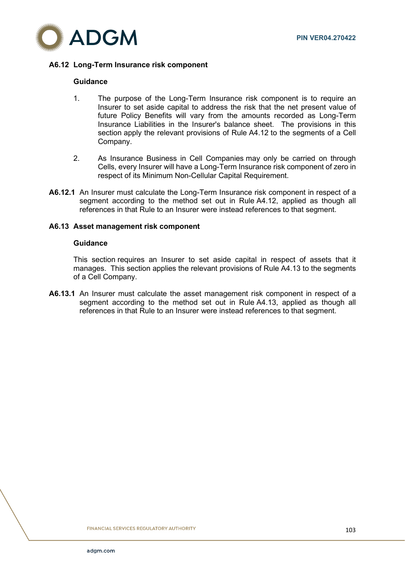

### <span id="page-107-0"></span>**A6.12 Long-Term Insurance risk component**

## **Guidance**

- 1. The purpose of the Long-Term Insurance risk component is to require an Insurer to set aside capital to address the risk that the net present value of future Policy Benefits will vary from the amounts recorded as Long-Term Insurance Liabilities in the Insurer's balance sheet. The provisions in this section apply the relevant provisions of Rule [A4.12](#page-89-0) to the segments of a Cell Company.
- 2. As Insurance Business in Cell Companies may only be carried on through Cells, every Insurer will have a Long-Term Insurance risk component of zero in respect of its Minimum Non-Cellular Capital Requirement.
- **A6.12.1** An Insurer must calculate the Long-Term Insurance risk component in respect of a segment according to the method set out in Rule [A4.12,](#page-89-0) applied as though all references in that Rule to an Insurer were instead references to that segment.

### <span id="page-107-1"></span>**A6.13 Asset management risk component**

#### **Guidance**

This section requires an Insurer to set aside capital in respect of assets that it manages. This section applies the relevant provisions of Rule [A4.13](#page-92-0) to the segments of a Cell Company.

**A6.13.1** An Insurer must calculate the asset management risk component in respect of a segment according to the method set out in Rule [A4.13,](#page-92-0) applied as though all references in that Rule to an Insurer were instead references to that segment.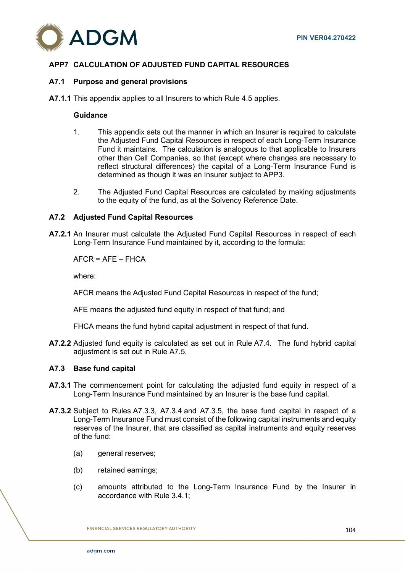

# **APP7 CALCULATION OF ADJUSTED FUND CAPITAL RESOURCES**

#### **A7.1 Purpose and general provisions**

**A7.1.1** This appendix applies to all Insurers to which Rule [4.5](#page-17-0) applies.

## **Guidance**

- 1. This appendix sets out the manner in which an Insurer is required to calculate the Adjusted Fund Capital Resources in respect of each Long-Term Insurance Fund it maintains. The calculation is analogous to that applicable to Insurers other than Cell Companies, so that (except where changes are necessary to reflect structural differences) the capital of a Long-Term Insurance Fund is determined as though it was an Insurer subject to [APP3.](#page-74-0)
- 2. The Adjusted Fund Capital Resources are calculated by making adjustments to the equity of the fund, as at the Solvency Reference Date.

## **A7.2 Adjusted Fund Capital Resources**

**A7.2.1** An Insurer must calculate the Adjusted Fund Capital Resources in respect of each Long-Term Insurance Fund maintained by it, according to the formula:

 $AFCR = AFF - FHCA$ 

where:

AFCR means the Adjusted Fund Capital Resources in respect of the fund;

AFE means the adjusted fund equity in respect of that fund; and

FHCA means the fund hybrid capital adjustment in respect of that fund.

**A7.2.2** Adjusted fund equity is calculated as set out in Rule [A7.4.](#page-109-0) The fund hybrid capital adjustment is set out in Rule [A7.5.](#page-110-0)

## **A7.3 Base fund capital**

- **A7.3.1** The commencement point for calculating the adjusted fund equity in respect of a Long-Term Insurance Fund maintained by an Insurer is the base fund capital.
- <span id="page-108-0"></span>**A7.3.2** Subject to Rules [A7.3.3,](#page-109-1) [A7.3.4](#page-109-2) and [A7.3.5,](#page-109-3) the base fund capital in respect of a Long-Term Insurance Fund must consist of the following capital instruments and equity reserves of the Insurer, that are classified as capital instruments and equity reserves of the fund:
	- (a) general reserves;
	- (b) retained earnings;
	- (c) amounts attributed to the Long-Term Insurance Fund by the Insurer in accordance with Rule [3.4.1;](#page-11-0)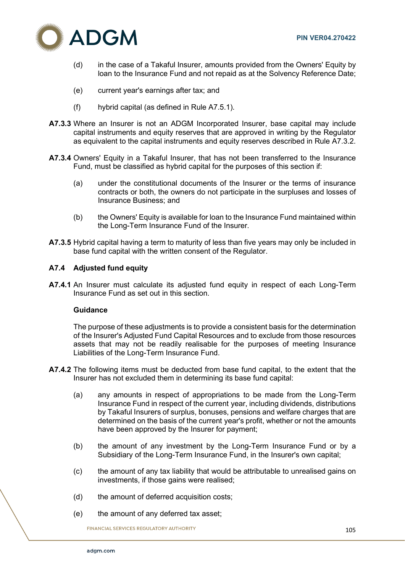

- (d) in the case of a Takaful Insurer, amounts provided from the Owners' Equity by loan to the Insurance Fund and not repaid as at the Solvency Reference Date;
- (e) current year's earnings after tax; and
- (f) hybrid capital (as defined in Rule [A7.5.1\)](#page-110-1).
- <span id="page-109-1"></span>**A7.3.3** Where an Insurer is not an ADGM Incorporated Insurer, base capital may include capital instruments and equity reserves that are approved in writing by the Regulator as equivalent to the capital instruments and equity reserves described in Rule [A7.3.2.](#page-108-0)
- <span id="page-109-2"></span>**A7.3.4** Owners' Equity in a Takaful Insurer, that has not been transferred to the Insurance Fund, must be classified as hybrid capital for the purposes of this section if:
	- (a) under the constitutional documents of the Insurer or the terms of insurance contracts or both, the owners do not participate in the surpluses and losses of Insurance Business; and
	- (b) the Owners' Equity is available for loan to the Insurance Fund maintained within the Long-Term Insurance Fund of the Insurer.
- <span id="page-109-3"></span>**A7.3.5** Hybrid capital having a term to maturity of less than five years may only be included in base fund capital with the written consent of the Regulator.

## <span id="page-109-0"></span>**A7.4 Adjusted fund equity**

**A7.4.1** An Insurer must calculate its adjusted fund equity in respect of each Long-Term Insurance Fund as set out in this section.

# **Guidance**

The purpose of these adjustments is to provide a consistent basis for the determination of the Insurer's Adjusted Fund Capital Resources and to exclude from those resources assets that may not be readily realisable for the purposes of meeting Insurance Liabilities of the Long-Term Insurance Fund.

- <span id="page-109-5"></span><span id="page-109-4"></span>**A7.4.2** The following items must be deducted from base fund capital, to the extent that the Insurer has not excluded them in determining its base fund capital:
	- (a) any amounts in respect of appropriations to be made from the Long-Term Insurance Fund in respect of the current year, including dividends, distributions by Takaful Insurers of surplus, bonuses, pensions and welfare charges that are determined on the basis of the current year's profit, whether or not the amounts have been approved by the Insurer for payment;
	- (b) the amount of any investment by the Long-Term Insurance Fund or by a Subsidiary of the Long-Term Insurance Fund, in the Insurer's own capital;
	- (c) the amount of any tax liability that would be attributable to unrealised gains on investments, if those gains were realised;
	- (d) the amount of deferred acquisition costs;
	- (e) the amount of any deferred tax asset;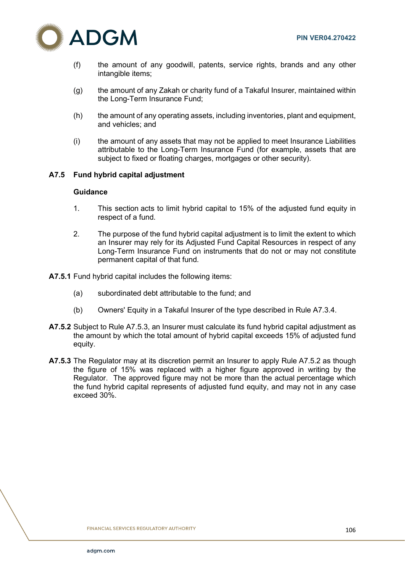

- <span id="page-110-4"></span>(f) the amount of any goodwill, patents, service rights, brands and any other intangible items;
- (g) the amount of any Zakah or charity fund of a Takaful Insurer, maintained within the Long-Term Insurance Fund;
- <span id="page-110-5"></span>(h) the amount of any operating assets, including inventories, plant and equipment, and vehicles; and
- <span id="page-110-6"></span>(i) the amount of any assets that may not be applied to meet Insurance Liabilities attributable to the Long-Term Insurance Fund (for example, assets that are subject to fixed or floating charges, mortgages or other security).

## <span id="page-110-0"></span>**A7.5 Fund hybrid capital adjustment**

# **Guidance**

- 1. This section acts to limit hybrid capital to 15% of the adjusted fund equity in respect of a fund.
- 2. The purpose of the fund hybrid capital adjustment is to limit the extent to which an Insurer may rely for its Adjusted Fund Capital Resources in respect of any Long-Term Insurance Fund on instruments that do not or may not constitute permanent capital of that fund.

<span id="page-110-1"></span>**A7.5.1** Fund hybrid capital includes the following items:

- (a) subordinated debt attributable to the fund; and
- (b) Owners' Equity in a Takaful Insurer of the type described in Rule [A7.3.4.](#page-109-2)
- <span id="page-110-3"></span>**A7.5.2** Subject to Rule [A7.5.3,](#page-110-2) an Insurer must calculate its fund hybrid capital adjustment as the amount by which the total amount of hybrid capital exceeds 15% of adjusted fund equity.
- <span id="page-110-2"></span>**A7.5.3** The Regulator may at its discretion permit an Insurer to apply Rule [A7.5.2](#page-110-3) as though the figure of 15% was replaced with a higher figure approved in writing by the Regulator. The approved figure may not be more than the actual percentage which the fund hybrid capital represents of adjusted fund equity, and may not in any case exceed 30%.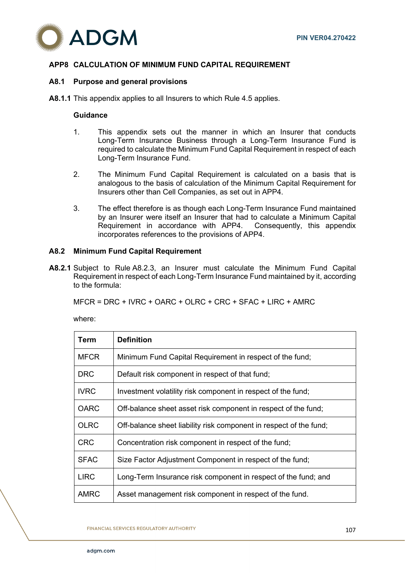

# **APP8 CALCULATION OF MINIMUM FUND CAPITAL REQUIREMENT**

#### **A8.1 Purpose and general provisions**

**A8.1.1** This appendix applies to all Insurers to which Rule [4.5](#page-17-0) applies.

## **Guidance**

- 1. This appendix sets out the manner in which an Insurer that conducts Long-Term Insurance Business through a Long-Term Insurance Fund is required to calculate the Minimum Fund Capital Requirement in respect of each Long-Term Insurance Fund.
- 2. The Minimum Fund Capital Requirement is calculated on a basis that is analogous to the basis of calculation of the Minimum Capital Requirement for Insurers other than Cell Companies, as set out in [APP4.](#page-78-0)
- 3. The effect therefore is as though each Long-Term Insurance Fund maintained by an Insurer were itself an Insurer that had to calculate a Minimum Capital Requirement in accordance with [APP4.](#page-78-0) Consequently, this appendix incorporates references to the provisions of [APP4.](#page-78-0)

# **A8.2 Minimum Fund Capital Requirement**

<span id="page-111-0"></span>**A8.2.1** Subject to Rule [A8.2.3,](#page-112-0) an Insurer must calculate the Minimum Fund Capital Requirement in respect of each Long-Term Insurance Fund maintained by it, according to the formula:

MFCR = DRC + IVRC + OARC + OLRC + CRC + SFAC + LIRC + AMRC

where:

| Term        | <b>Definition</b>                                                  |
|-------------|--------------------------------------------------------------------|
| <b>MFCR</b> | Minimum Fund Capital Requirement in respect of the fund;           |
| <b>DRC</b>  | Default risk component in respect of that fund;                    |
| <b>IVRC</b> | Investment volatility risk component in respect of the fund;       |
| <b>OARC</b> | Off-balance sheet asset risk component in respect of the fund;     |
| <b>OLRC</b> | Off-balance sheet liability risk component in respect of the fund; |
| <b>CRC</b>  | Concentration risk component in respect of the fund;               |
| <b>SFAC</b> | Size Factor Adjustment Component in respect of the fund;           |
| <b>LIRC</b> | Long-Term Insurance risk component in respect of the fund; and     |
| <b>AMRC</b> | Asset management risk component in respect of the fund.            |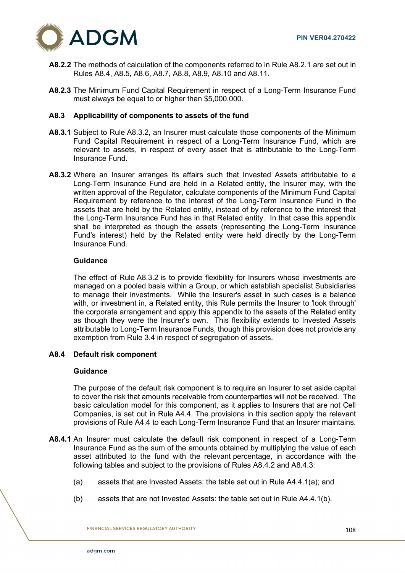

- **A8.2.2** The methods of calculation of the components referred to in Rule [A8.2.1](#page-111-0) are set out in Rules [A8.4,](#page-112-1) [A8.5,](#page-113-0) [A8.6,](#page-113-1) [A8.7,](#page-114-0) [A8.8,](#page-115-0) [A8.9,](#page-115-1) [A8.10](#page-116-0) and [A8.11.](#page-116-1)
- <span id="page-112-0"></span>**A8.2.3** The Minimum Fund Capital Requirement in respect of a Long-Term Insurance Fund must always be equal to or higher than \$5,000,000.

# **A8.3 Applicability of components to assets of the fund**

- **A8.3.1** Subject to Rule [A8.3.2,](#page-112-2) an Insurer must calculate those components of the Minimum Fund Capital Requirement in respect of a Long-Term Insurance Fund, which are relevant to assets, in respect of every asset that is attributable to the Long-Term Insurance Fund.
- <span id="page-112-2"></span>**A8.3.2** Where an Insurer arranges its affairs such that Invested Assets attributable to a Long-Term Insurance Fund are held in a Related entity, the Insurer may, with the written approval of the Regulator, calculate components of the Minimum Fund Capital Requirement by reference to the interest of the Long-Term Insurance Fund in the assets that are held by the Related entity, instead of by reference to the interest that the Long-Term Insurance Fund has in that Related entity. In that case this appendix shall be interpreted as though the assets (representing the Long-Term Insurance Fund's interest) held by the Related entity were held directly by the Long-Term Insurance Fund.

# **Guidance**

The effect of Rule [A8.3.2](#page-112-2) is to provide flexibility for Insurers whose investments are managed on a pooled basis within a Group, or which establish specialist Subsidiaries to manage their investments. While the Insurer's asset in such cases is a balance with, or investment in, a Related entity, this Rule permits the Insurer to 'look through' the corporate arrangement and apply this appendix to the assets of the Related entity as though they were the Insurer's own. This flexibility extends to Invested Assets attributable to Long-Term Insurance Funds, though this provision does not provide any exemption from Rule 3.4 in respect of segregation of assets.

## <span id="page-112-1"></span>**A8.4 Default risk component**

#### **Guidance**

The purpose of the default risk component is to require an Insurer to set aside capital to cover the risk that amounts receivable from counterparties will not be received. The basic calculation model for this component, as it applies to Insurers that are not Cell Companies, is set out in Rule [A4.4.](#page-79-0) The provisions in this section apply the relevant provisions of Rule [A4.4](#page-79-0) to each Long-Term Insurance Fund that an Insurer maintains.

- **A8.4.1** An Insurer must calculate the default risk component in respect of a Long-Term Insurance Fund as the sum of the amounts obtained by multiplying the value of each asset attributed to the fund with the relevant percentage, in accordance with the following tables and subject to the provisions of Rules [A8.4.2](#page-113-2) and [A8.4.3:](#page-113-3)
	- (a) assets that are Invested Assets: the table set out in Rule [A4.4.1\(a\);](#page-79-1) and
	- (b) assets that are not Invested Assets: the table set out in Rule [A4.4.1\(b\).](#page-80-0)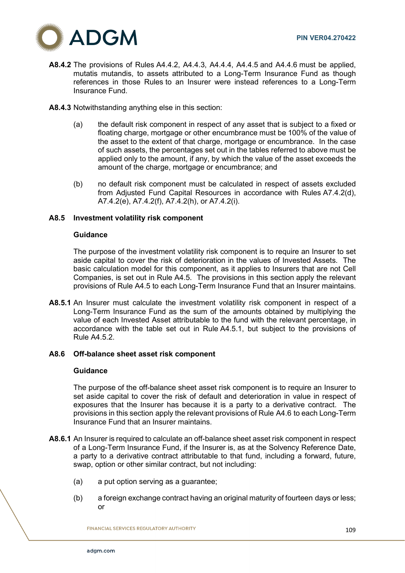

- <span id="page-113-2"></span>**A8.4.2** The provisions of Rules [A4.4.2,](#page-80-1) [A4.4.3,](#page-81-0) [A4.4.4,](#page-81-1) [A4.4.5](#page-81-2) and [A4.4.6](#page-81-3) must be applied, mutatis mutandis, to assets attributed to a Long-Term Insurance Fund as though references in those Rules to an Insurer were instead references to a Long-Term Insurance Fund.
- <span id="page-113-3"></span>**A8.4.3** Notwithstanding anything else in this section:
	- (a) the default risk component in respect of any asset that is subject to a fixed or floating charge, mortgage or other encumbrance must be 100% of the value of the asset to the extent of that charge, mortgage or encumbrance. In the case of such assets, the percentages set out in the tables referred to above must be applied only to the amount, if any, by which the value of the asset exceeds the amount of the charge, mortgage or encumbrance; and
	- (b) no default risk component must be calculated in respect of assets excluded from Adjusted Fund Capital Resources in accordance with Rules [A7.4.2\(d\),](#page-109-4) [A7.4.2\(e\),](#page-109-5) [A7.4.2\(f\),](#page-110-4) [A7.4.2\(h\),](#page-110-5) or [A7.4.2\(i\).](#page-110-6)

## <span id="page-113-5"></span><span id="page-113-0"></span>**A8.5 Investment volatility risk component**

## **Guidance**

The purpose of the investment volatility risk component is to require an Insurer to set aside capital to cover the risk of deterioration in the values of Invested Assets. The basic calculation model for this component, as it applies to Insurers that are not Cell Companies, is set out in Rule [A4.5.](#page-81-4) The provisions in this section apply the relevant provisions of Rule [A4.5](#page-81-4) to each Long-Term Insurance Fund that an Insurer maintains.

**A8.5.1** An Insurer must calculate the investment volatility risk component in respect of a Long-Term Insurance Fund as the sum of the amounts obtained by multiplying the value of each Invested Asset attributable to the fund with the relevant percentage, in accordance with the table set out in Rule [A4.5.1,](#page-81-5) but subject to the provisions of Rule [A4.5.2.](#page-82-0)

## <span id="page-113-1"></span>**A8.6 Off-balance sheet asset risk component**

## **Guidance**

The purpose of the off-balance sheet asset risk component is to require an Insurer to set aside capital to cover the risk of default and deterioration in value in respect of exposures that the Insurer has because it is a party to a derivative contract. The provisions in this section apply the relevant provisions of Rule [A4.6](#page-82-1) to each Long-Term Insurance Fund that an Insurer maintains.

- <span id="page-113-4"></span>**A8.6.1** An Insurer is required to calculate an off-balance sheet asset risk component in respect of a Long-Term Insurance Fund, if the Insurer is, as at the Solvency Reference Date, a party to a derivative contract attributable to that fund, including a forward, future, swap, option or other similar contract, but not including:
	- (a) a put option serving as a guarantee;
	- (b) a foreign exchange contract having an original maturity of fourteen days or less; or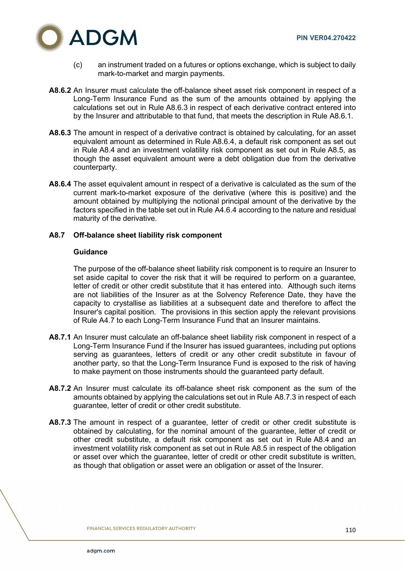

- (c) an instrument traded on a futures or options exchange, which is subject to daily mark-to-market and margin payments.
- **A8.6.2** An Insurer must calculate the off-balance sheet asset risk component in respect of a Long-Term Insurance Fund as the sum of the amounts obtained by applying the calculations set out in Rule [A8.6.3](#page-114-1) in respect of each derivative contract entered into by the Insurer and attributable to that fund, that meets the description in Rule [A8.6.1.](#page-113-4)
- <span id="page-114-1"></span>**A8.6.3** The amount in respect of a derivative contract is obtained by calculating, for an asset equivalent amount as determined in Rule [A8.6.4,](#page-114-2) a default risk component as set out in Rule [A8.4](#page-112-1) and an investment volatility risk component as set out in Rule [A8.5,](#page-113-0) as though the asset equivalent amount were a debt obligation due from the derivative counterparty.
- <span id="page-114-2"></span>**A8.6.4** The asset equivalent amount in respect of a derivative is calculated as the sum of the current mark-to-market exposure of the derivative (where this is positive) and the amount obtained by multiplying the notional principal amount of the derivative by the factors specified in the table set out in Rule [A4.6.4](#page-83-0) according to the nature and residual maturity of the derivative.

## <span id="page-114-0"></span>**A8.7 Off-balance sheet liability risk component**

## **Guidance**

The purpose of the off-balance sheet liability risk component is to require an Insurer to set aside capital to cover the risk that it will be required to perform on a guarantee, letter of credit or other credit substitute that it has entered into. Although such items are not liabilities of the Insurer as at the Solvency Reference Date, they have the capacity to crystallise as liabilities at a subsequent date and therefore to affect the Insurer's capital position. The provisions in this section apply the relevant provisions of Rule [A4.7](#page-83-1) to each Long-Term Insurance Fund that an Insurer maintains.

- **A8.7.1** An Insurer must calculate an off-balance sheet liability risk component in respect of a Long-Term Insurance Fund if the Insurer has issued guarantees, including put options serving as guarantees, letters of credit or any other credit substitute in favour of another party, so that the Long-Term Insurance Fund is exposed to the risk of having to make payment on those instruments should the guaranteed party default.
- **A8.7.2** An Insurer must calculate its off-balance sheet risk component as the sum of the amounts obtained by applying the calculations set out in Rule [A8.7.3](#page-114-3) in respect of each guarantee, letter of credit or other credit substitute.
- <span id="page-114-3"></span>A8.7.3 The amount in respect of a guarantee, letter of credit or other credit substitute is obtained by calculating, for the nominal amount of the guarantee, letter of credit or other credit substitute, a default risk component as set out in Rule [A8.4](#page-112-1) and an investment volatility risk component as set out in Rule [A8.5](#page-113-0) in respect of the obligation or asset over which the guarantee, letter of credit or other credit substitute is written, as though that obligation or asset were an obligation or asset of the Insurer.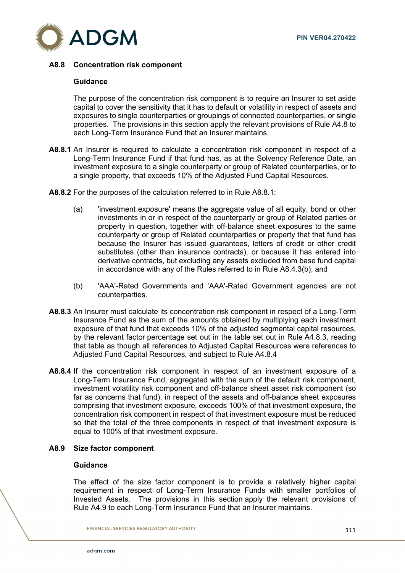

#### <span id="page-115-0"></span>**A8.8 Concentration risk component**

#### **Guidance**

The purpose of the concentration risk component is to require an Insurer to set aside capital to cover the sensitivity that it has to default or volatility in respect of assets and exposures to single counterparties or groupings of connected counterparties, or single properties. The provisions in this section apply the relevant provisions of Rule [A4.8](#page-84-0) to each Long-Term Insurance Fund that an Insurer maintains.

- <span id="page-115-2"></span>**A8.8.1** An Insurer is required to calculate a concentration risk component in respect of a Long-Term Insurance Fund if that fund has, as at the Solvency Reference Date, an investment exposure to a single counterparty or group of Related counterparties, or to a single property, that exceeds 10% of the Adjusted Fund Capital Resources.
- **A8.8.2** For the purposes of the calculation referred to in Rule [A8.8.1:](#page-115-2)
	- (a) 'investment exposure' means the aggregate value of all equity, bond or other investments in or in respect of the counterparty or group of Related parties or property in question, together with off-balance sheet exposures to the same counterparty or group of Related counterparties or property that that fund has because the Insurer has issued guarantees, letters of credit or other credit substitutes (other than insurance contracts), or because it has entered into derivative contracts, but excluding any assets excluded from base fund capital in accordance with any of the Rules referred to in Rule [A8.4.3\(b\);](#page-113-5) and
	- (b) 'AAA'-Rated Governments and 'AAA'-Rated Government agencies are not counterparties.
- **A8.8.3** An Insurer must calculate its concentration risk component in respect of a Long-Term Insurance Fund as the sum of the amounts obtained by multiplying each investment exposure of that fund that exceeds 10% of the adjusted segmental capital resources, by the relevant factor percentage set out in the table set out in Rule [A4.8.3,](#page-84-1) reading that table as though all references to Adjusted Capital Resources were references to Adjusted Fund Capital Resources, and subject to Rule [A4.8.4](#page-85-0)
- **A8.8.4** If the concentration risk component in respect of an investment exposure of a Long-Term Insurance Fund, aggregated with the sum of the default risk component, investment volatility risk component and off-balance sheet asset risk component (so far as concerns that fund), in respect of the assets and off-balance sheet exposures comprising that investment exposure, exceeds 100% of that investment exposure, the concentration risk component in respect of that investment exposure must be reduced so that the total of the three components in respect of that investment exposure is equal to 100% of that investment exposure.

#### <span id="page-115-1"></span>**A8.9 Size factor component**

## **Guidance**

The effect of the size factor component is to provide a relatively higher capital requirement in respect of Long-Term Insurance Funds with smaller portfolios of Invested Assets. The provisions in this section apply the relevant provisions of Rule [A4.9](#page-85-1) to each Long-Term Insurance Fund that an Insurer maintains.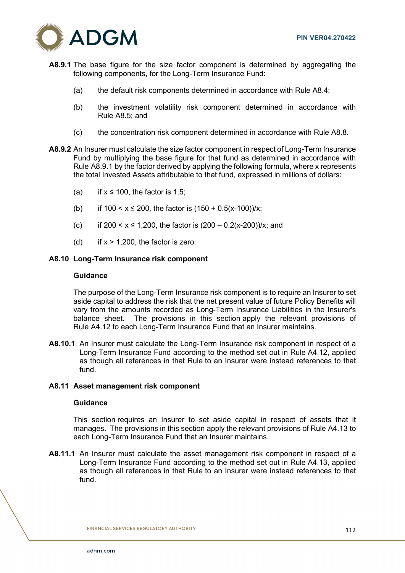

- <span id="page-116-2"></span>**A8.9.1** The base figure for the size factor component is determined by aggregating the following components, for the Long-Term Insurance Fund:
	- (a) the default risk components determined in accordance with Rule [A8.4;](#page-112-1)
	- (b) the investment volatility risk component determined in accordance with Rule [A8.5;](#page-113-0) and
	- (c) the concentration risk component determined in accordance with Rule [A8.8.](#page-115-0)
- **A8.9.2** An Insurer must calculate the size factor component in respect of Long-Term Insurance Fund by multiplying the base figure for that fund as determined in accordance with Rule [A8.9.1](#page-116-2) by the factor derived by applying the following formula, where x represents the total Invested Assets attributable to that fund, expressed in millions of dollars:
	- (a) if  $x \le 100$ , the factor is 1.5;
	- (b) if  $100 < x \le 200$ , the factor is  $(150 + 0.5(x-100))/x$ ;
	- (c) if  $200 < x \le 1,200$ , the factor is  $(200 0.2(x-200))/x$ ; and
	- (d) if  $x > 1,200$ , the factor is zero.

## <span id="page-116-0"></span>**A8.10 Long-Term Insurance risk component**

### **Guidance**

The purpose of the Long-Term Insurance risk component is to require an Insurer to set aside capital to address the risk that the net present value of future Policy Benefits will vary from the amounts recorded as Long-Term Insurance Liabilities in the Insurer's balance sheet. The provisions in this section apply the relevant provisions of Rule [A4.12](#page-89-0) to each Long-Term Insurance Fund that an Insurer maintains.

**A8.10.1** An Insurer must calculate the Long-Term Insurance risk component in respect of a Long-Term Insurance Fund according to the method set out in Rule [A4.12,](#page-89-0) applied as though all references in that Rule to an Insurer were instead references to that fund.

## <span id="page-116-1"></span>**A8.11 Asset management risk component**

#### **Guidance**

This section requires an Insurer to set aside capital in respect of assets that it manages. The provisions in this section apply the relevant provisions of Rule [A4.13](#page-92-0) to each Long-Term Insurance Fund that an Insurer maintains.

**A8.11.1** An Insurer must calculate the asset management risk component in respect of a Long-Term Insurance Fund according to the method set out in Rule [A4.13,](#page-92-0) applied as though all references in that Rule to an Insurer were instead references to that fund.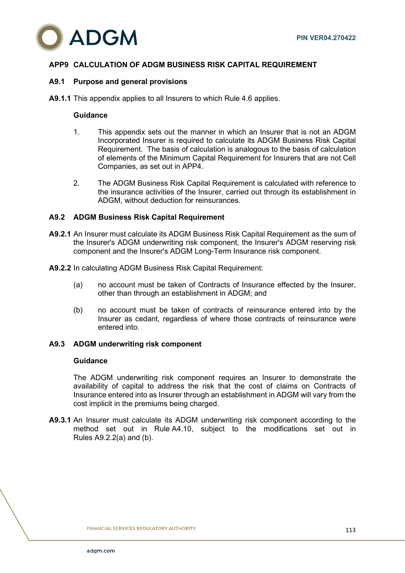

## **APP9 CALCULATION OF ADGM BUSINESS RISK CAPITAL REQUIREMENT**

#### **A9.1 Purpose and general provisions**

**A9.1.1** This appendix applies to all Insurers to which Rule [4.6](#page-17-1) applies.

#### **Guidance**

- 1. This appendix sets out the manner in which an Insurer that is not an ADGM Incorporated Insurer is required to calculate its ADGM Business Risk Capital Requirement. The basis of calculation is analogous to the basis of calculation of elements of the Minimum Capital Requirement for Insurers that are not Cell Companies, as set out in [APP4.](#page-78-0)
- 2. The ADGM Business Risk Capital Requirement is calculated with reference to the insurance activities of the Insurer, carried out through its establishment in ADGM, without deduction for reinsurances.

#### **A9.2 ADGM Business Risk Capital Requirement**

- **A9.2.1** An Insurer must calculate its ADGM Business Risk Capital Requirement as the sum of the Insurer's ADGM underwriting risk component, the Insurer's ADGM reserving risk component and the Insurer's ADGM Long-Term Insurance risk component.
- <span id="page-117-0"></span>**A9.2.2** In calculating ADGM Business Risk Capital Requirement:
	- (a) no account must be taken of Contracts of Insurance effected by the Insurer, other than through an establishment in ADGM; and
	- (b) no account must be taken of contracts of reinsurance entered into by the Insurer as cedant, regardless of where those contracts of reinsurance were entered into.

#### <span id="page-117-1"></span>**A9.3 ADGM underwriting risk component**

#### **Guidance**

The ADGM underwriting risk component requires an Insurer to demonstrate the availability of capital to address the risk that the cost of claims on Contracts of Insurance entered into as Insurer through an establishment in ADGM will vary from the cost implicit in the premiums being charged.

**A9.3.1** An Insurer must calculate its ADGM underwriting risk component according to the method set out in Rule [A4.10,](#page-86-0) subject to the modifications set out in Rules [A9.2.2\(a\)](#page-117-0) and [\(b\).](#page-117-1)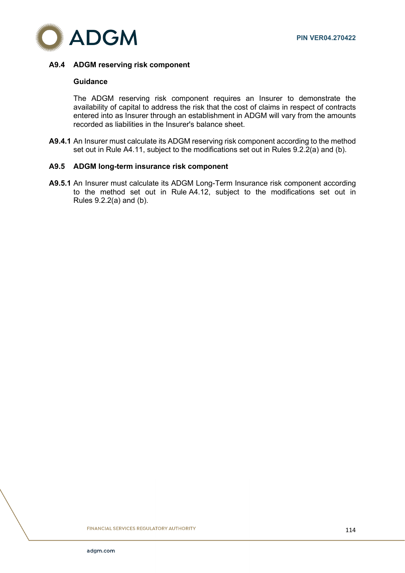

# **A9.4 ADGM reserving risk component**

## **Guidance**

The ADGM reserving risk component requires an Insurer to demonstrate the availability of capital to address the risk that the cost of claims in respect of contracts entered into as Insurer through an establishment in ADGM will vary from the amounts recorded as liabilities in the Insurer's balance sheet.

**A9.4.1** An Insurer must calculate its ADGM reserving risk component according to the method set out in Rule [A4.11,](#page-88-0) subject to the modifications set out in Rules [9.2.2\(a\)](#page-47-0) and [\(b\).](#page-47-1)

#### **A9.5 ADGM long-term insurance risk component**

**A9.5.1** An Insurer must calculate its ADGM Long-Term Insurance risk component according to the method set out in Rule [A4.12,](#page-89-0) subject to the modifications set out in Rules [9.2.2\(a\)](#page-47-0) and [\(b\).](#page-47-1)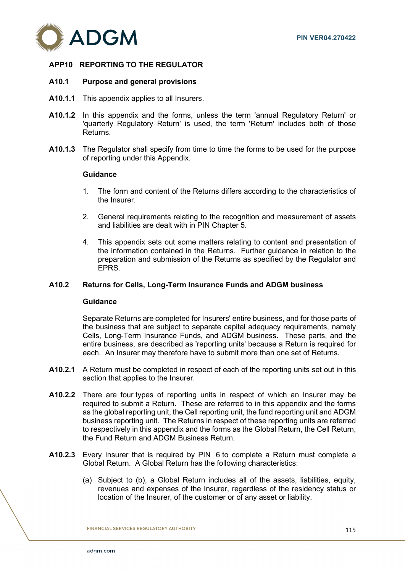

# **APP10 REPORTING TO THE REGULATOR**

#### **A10.1 Purpose and general provisions**

- **A10.1.1** This appendix applies to all Insurers.
- **A10.1.2** In this appendix and the forms, unless the term 'annual Regulatory Return' or 'quarterly Regulatory Return' is used, the term 'Return' includes both of those Returns.
- **A10.1.3** The Regulator shall specify from time to time the forms to be used for the purpose of reporting under this Appendix.

#### **Guidance**

- 1. The form and content of the Returns differs according to the characteristics of the Insurer.
- 2. General requirements relating to the recognition and measurement of assets and liabilities are dealt with in PIN Chapter [5.](#page-20-0)
- 4. This appendix sets out some matters relating to content and presentation of the information contained in the Returns. Further guidance in relation to the preparation and submission of the Returns as specified by the Regulator and EPRS.

#### **A10.2 Returns for Cells, Long-Term Insurance Funds and ADGM business**

#### **Guidance**

Separate Returns are completed for Insurers' entire business, and for those parts of the business that are subject to separate capital adequacy requirements, namely Cells, Long-Term Insurance Funds, and ADGM business. These parts, and the entire business, are described as 'reporting units' because a Return is required for each. An Insurer may therefore have to submit more than one set of Returns.

- **A10.2.1** A Return must be completed in respect of each of the reporting units set out in this section that applies to the Insurer.
- **A10.2.2** There are four types of reporting units in respect of which an Insurer may be required to submit a Return. These are referred to in this appendix and the forms as the global reporting unit, the Cell reporting unit, the fund reporting unit and ADGM business reporting unit. The Returns in respect of these reporting units are referred to respectively in this appendix and the forms as the Global Return, the Cell Return, the Fund Return and ADGM Business Return.
- **A10.2.3** Every Insurer that is required by PIN [6](#page-28-0) to complete a Return must complete a Global Return. A Global Return has the following characteristics:
	- (a) Subject to [\(b\),](#page-120-0) a Global Return includes all of the assets, liabilities, equity, revenues and expenses of the Insurer, regardless of the residency status or location of the Insurer, of the customer or of any asset or liability.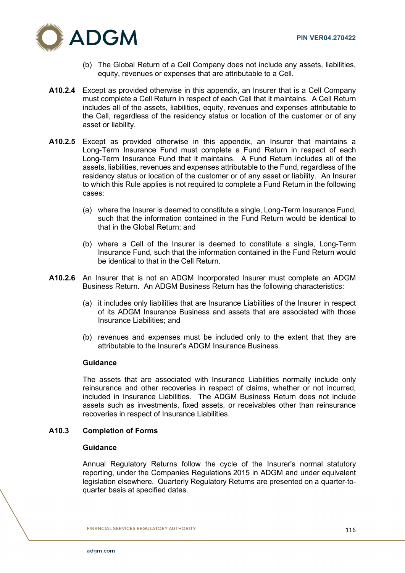

- (b) The Global Return of a Cell Company does not include any assets, liabilities, equity, revenues or expenses that are attributable to a Cell.
- <span id="page-120-0"></span>**A10.2.4** Except as provided otherwise in this appendix, an Insurer that is a Cell Company must complete a Cell Return in respect of each Cell that it maintains. A Cell Return includes all of the assets, liabilities, equity, revenues and expenses attributable to the Cell, regardless of the residency status or location of the customer or of any asset or liability.
- **A10.2.5** Except as provided otherwise in this appendix, an Insurer that maintains a Long-Term Insurance Fund must complete a Fund Return in respect of each Long-Term Insurance Fund that it maintains. A Fund Return includes all of the assets, liabilities, revenues and expenses attributable to the Fund, regardless of the residency status or location of the customer or of any asset or liability. An Insurer to which this Rule applies is not required to complete a Fund Return in the following cases:
	- (a) where the Insurer is deemed to constitute a single, Long-Term Insurance Fund, such that the information contained in the Fund Return would be identical to that in the Global Return; and
	- (b) where a Cell of the Insurer is deemed to constitute a single, Long-Term Insurance Fund, such that the information contained in the Fund Return would be identical to that in the Cell Return.
- **A10.2.6** An Insurer that is not an ADGM Incorporated Insurer must complete an ADGM Business Return. An ADGM Business Return has the following characteristics:
	- (a) it includes only liabilities that are Insurance Liabilities of the Insurer in respect of its ADGM Insurance Business and assets that are associated with those Insurance Liabilities; and
	- (b) revenues and expenses must be included only to the extent that they are attributable to the Insurer's ADGM Insurance Business.

# **Guidance**

The assets that are associated with Insurance Liabilities normally include only reinsurance and other recoveries in respect of claims, whether or not incurred, included in Insurance Liabilities. The ADGM Business Return does not include assets such as investments, fixed assets, or receivables other than reinsurance recoveries in respect of Insurance Liabilities.

#### **A10.3 Completion of Forms**

#### **Guidance**

Annual Regulatory Returns follow the cycle of the Insurer's normal statutory reporting, under the Companies Regulations 2015 in ADGM and under equivalent legislation elsewhere. Quarterly Regulatory Returns are presented on a quarter-toquarter basis at specified dates.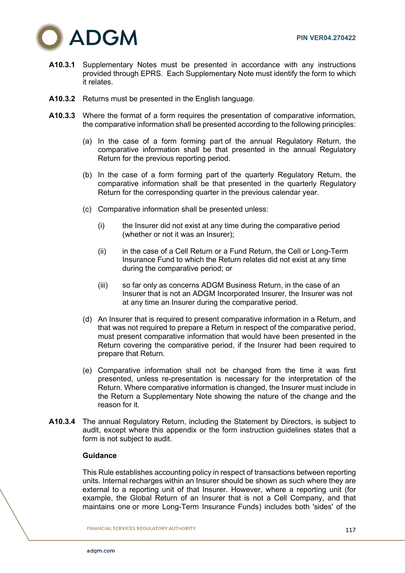

- **A10.3.1** Supplementary Notes must be presented in accordance with any instructions provided through EPRS. Each Supplementary Note must identify the form to which it relates.
- **A10.3.2** Returns must be presented in the English language.
- **A10.3.3** Where the format of a form requires the presentation of comparative information, the comparative information shall be presented according to the following principles:
	- (a) In the case of a form forming part of the annual Regulatory Return, the comparative information shall be that presented in the annual Regulatory Return for the previous reporting period.
	- (b) In the case of a form forming part of the quarterly Regulatory Return, the comparative information shall be that presented in the quarterly Regulatory Return for the corresponding quarter in the previous calendar year.
	- (c) Comparative information shall be presented unless:
		- (i) the Insurer did not exist at any time during the comparative period (whether or not it was an Insurer);
		- (ii) in the case of a Cell Return or a Fund Return, the Cell or Long-Term Insurance Fund to which the Return relates did not exist at any time during the comparative period; or
		- (iii) so far only as concerns ADGM Business Return, in the case of an Insurer that is not an ADGM Incorporated Insurer, the Insurer was not at any time an Insurer during the comparative period.
	- (d) An Insurer that is required to present comparative information in a Return, and that was not required to prepare a Return in respect of the comparative period, must present comparative information that would have been presented in the Return covering the comparative period, if the Insurer had been required to prepare that Return.
	- (e) Comparative information shall not be changed from the time it was first presented, unless re-presentation is necessary for the interpretation of the Return. Where comparative information is changed, the Insurer must include in the Return a Supplementary Note showing the nature of the change and the reason for it.
- **A10.3.4** The annual Regulatory Return, including the Statement by Directors, is subject to audit, except where this appendix or the form instruction guidelines states that a form is not subject to audit.

## **Guidance**

This Rule establishes accounting policy in respect of transactions between reporting units. Internal recharges within an Insurer should be shown as such where they are external to a reporting unit of that Insurer. However, where a reporting unit (for example, the Global Return of an Insurer that is not a Cell Company, and that maintains one or more Long-Term Insurance Funds) includes both 'sides' of the